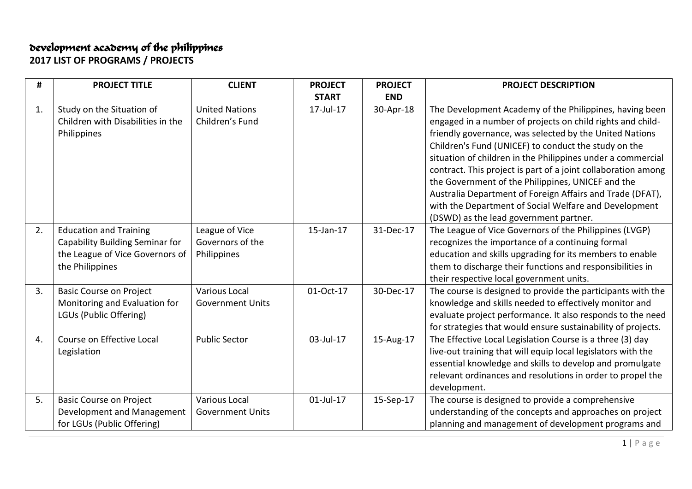## development academy of the philippines

**2017 LIST OF PROGRAMS / PROJECTS**

| #  | <b>PROJECT TITLE</b>                                                                                                   | <b>CLIENT</b>                                     | <b>PROJECT</b> | <b>PROJECT</b> | <b>PROJECT DESCRIPTION</b>                                                                                                                                                                                                                                                                                                                                                                                                                                                                                                                          |
|----|------------------------------------------------------------------------------------------------------------------------|---------------------------------------------------|----------------|----------------|-----------------------------------------------------------------------------------------------------------------------------------------------------------------------------------------------------------------------------------------------------------------------------------------------------------------------------------------------------------------------------------------------------------------------------------------------------------------------------------------------------------------------------------------------------|
|    |                                                                                                                        |                                                   | <b>START</b>   | <b>END</b>     |                                                                                                                                                                                                                                                                                                                                                                                                                                                                                                                                                     |
| 1. | Study on the Situation of<br>Children with Disabilities in the<br>Philippines                                          | <b>United Nations</b><br>Children's Fund          | 17-Jul-17      | 30-Apr-18      | The Development Academy of the Philippines, having been<br>engaged in a number of projects on child rights and child-<br>friendly governance, was selected by the United Nations<br>Children's Fund (UNICEF) to conduct the study on the<br>situation of children in the Philippines under a commercial<br>contract. This project is part of a joint collaboration among<br>the Government of the Philippines, UNICEF and the<br>Australia Department of Foreign Affairs and Trade (DFAT),<br>with the Department of Social Welfare and Development |
|    |                                                                                                                        |                                                   |                |                | (DSWD) as the lead government partner.                                                                                                                                                                                                                                                                                                                                                                                                                                                                                                              |
| 2. | <b>Education and Training</b><br>Capability Building Seminar for<br>the League of Vice Governors of<br>the Philippines | League of Vice<br>Governors of the<br>Philippines | 15-Jan-17      | 31-Dec-17      | The League of Vice Governors of the Philippines (LVGP)<br>recognizes the importance of a continuing formal<br>education and skills upgrading for its members to enable<br>them to discharge their functions and responsibilities in<br>their respective local government units.                                                                                                                                                                                                                                                                     |
| 3. | <b>Basic Course on Project</b><br>Monitoring and Evaluation for<br>LGUs (Public Offering)                              | <b>Various Local</b><br><b>Government Units</b>   | 01-Oct-17      | 30-Dec-17      | The course is designed to provide the participants with the<br>knowledge and skills needed to effectively monitor and<br>evaluate project performance. It also responds to the need<br>for strategies that would ensure sustainability of projects.                                                                                                                                                                                                                                                                                                 |
| 4. | Course on Effective Local<br>Legislation                                                                               | <b>Public Sector</b>                              | 03-Jul-17      | 15-Aug-17      | The Effective Local Legislation Course is a three (3) day<br>live-out training that will equip local legislators with the<br>essential knowledge and skills to develop and promulgate<br>relevant ordinances and resolutions in order to propel the<br>development.                                                                                                                                                                                                                                                                                 |
| 5. | <b>Basic Course on Project</b><br>Development and Management<br>for LGUs (Public Offering)                             | <b>Various Local</b><br><b>Government Units</b>   | $01$ -Jul-17   | 15-Sep-17      | The course is designed to provide a comprehensive<br>understanding of the concepts and approaches on project<br>planning and management of development programs and                                                                                                                                                                                                                                                                                                                                                                                 |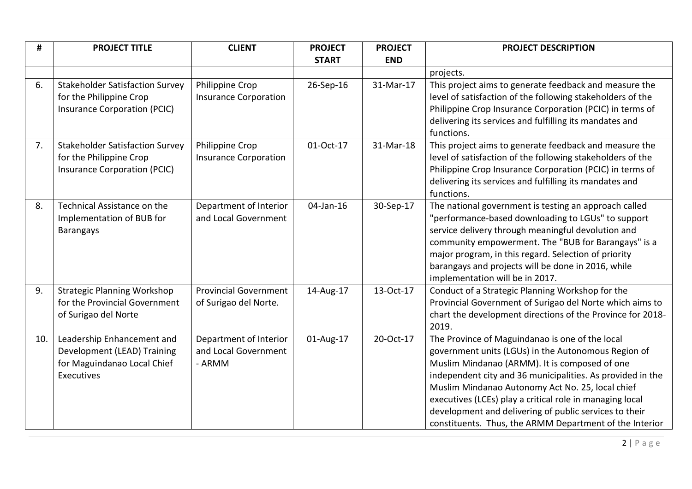| #   | <b>PROJECT TITLE</b>                                                                                     | <b>CLIENT</b>                                            | <b>PROJECT</b> | <b>PROJECT</b> | <b>PROJECT DESCRIPTION</b>                                                                                                                                                                                                                                                                                                                                                                                                                                 |
|-----|----------------------------------------------------------------------------------------------------------|----------------------------------------------------------|----------------|----------------|------------------------------------------------------------------------------------------------------------------------------------------------------------------------------------------------------------------------------------------------------------------------------------------------------------------------------------------------------------------------------------------------------------------------------------------------------------|
|     |                                                                                                          |                                                          | <b>START</b>   | <b>END</b>     |                                                                                                                                                                                                                                                                                                                                                                                                                                                            |
|     |                                                                                                          |                                                          |                |                | projects.                                                                                                                                                                                                                                                                                                                                                                                                                                                  |
| 6.  | <b>Stakeholder Satisfaction Survey</b><br>for the Philippine Crop                                        | Philippine Crop<br><b>Insurance Corporation</b>          | 26-Sep-16      | 31-Mar-17      | This project aims to generate feedback and measure the<br>level of satisfaction of the following stakeholders of the                                                                                                                                                                                                                                                                                                                                       |
|     | Insurance Corporation (PCIC)                                                                             |                                                          |                |                | Philippine Crop Insurance Corporation (PCIC) in terms of<br>delivering its services and fulfilling its mandates and<br>functions.                                                                                                                                                                                                                                                                                                                          |
| 7.  | <b>Stakeholder Satisfaction Survey</b><br>for the Philippine Crop<br><b>Insurance Corporation (PCIC)</b> | Philippine Crop<br><b>Insurance Corporation</b>          | 01-Oct-17      | 31-Mar-18      | This project aims to generate feedback and measure the<br>level of satisfaction of the following stakeholders of the<br>Philippine Crop Insurance Corporation (PCIC) in terms of<br>delivering its services and fulfilling its mandates and<br>functions.                                                                                                                                                                                                  |
| 8.  | Technical Assistance on the<br>Implementation of BUB for<br><b>Barangays</b>                             | Department of Interior<br>and Local Government           | 04-Jan-16      | 30-Sep-17      | The national government is testing an approach called<br>"performance-based downloading to LGUs" to support<br>service delivery through meaningful devolution and<br>community empowerment. The "BUB for Barangays" is a<br>major program, in this regard. Selection of priority<br>barangays and projects will be done in 2016, while<br>implementation will be in 2017.                                                                                  |
| 9.  | <b>Strategic Planning Workshop</b><br>for the Provincial Government<br>of Surigao del Norte              | <b>Provincial Government</b><br>of Surigao del Norte.    | 14-Aug-17      | 13-Oct-17      | Conduct of a Strategic Planning Workshop for the<br>Provincial Government of Surigao del Norte which aims to<br>chart the development directions of the Province for 2018-<br>2019.                                                                                                                                                                                                                                                                        |
| 10. | Leadership Enhancement and<br>Development (LEAD) Training<br>for Maguindanao Local Chief<br>Executives   | Department of Interior<br>and Local Government<br>- ARMM | 01-Aug-17      | 20-Oct-17      | The Province of Maguindanao is one of the local<br>government units (LGUs) in the Autonomous Region of<br>Muslim Mindanao (ARMM). It is composed of one<br>independent city and 36 municipalities. As provided in the<br>Muslim Mindanao Autonomy Act No. 25, local chief<br>executives (LCEs) play a critical role in managing local<br>development and delivering of public services to their<br>constituents. Thus, the ARMM Department of the Interior |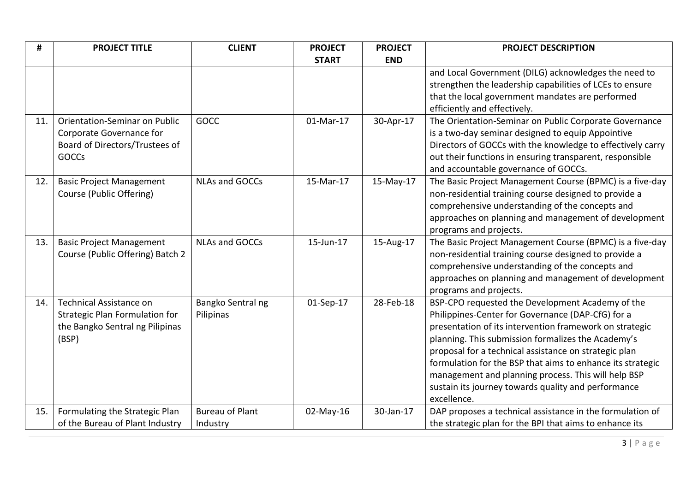| #   | <b>PROJECT TITLE</b>             | <b>CLIENT</b>          | <b>PROJECT</b> | <b>PROJECT</b> | <b>PROJECT DESCRIPTION</b>                                 |
|-----|----------------------------------|------------------------|----------------|----------------|------------------------------------------------------------|
|     |                                  |                        | <b>START</b>   | <b>END</b>     |                                                            |
|     |                                  |                        |                |                | and Local Government (DILG) acknowledges the need to       |
|     |                                  |                        |                |                | strengthen the leadership capabilities of LCEs to ensure   |
|     |                                  |                        |                |                | that the local government mandates are performed           |
|     |                                  |                        |                |                | efficiently and effectively.                               |
| 11. | Orientation-Seminar on Public    | GOCC                   | 01-Mar-17      | 30-Apr-17      | The Orientation-Seminar on Public Corporate Governance     |
|     | Corporate Governance for         |                        |                |                | is a two-day seminar designed to equip Appointive          |
|     | Board of Directors/Trustees of   |                        |                |                | Directors of GOCCs with the knowledge to effectively carry |
|     | <b>GOCCs</b>                     |                        |                |                | out their functions in ensuring transparent, responsible   |
|     |                                  |                        |                |                | and accountable governance of GOCCs.                       |
| 12. | <b>Basic Project Management</b>  | <b>NLAs and GOCCs</b>  | 15-Mar-17      | 15-May-17      | The Basic Project Management Course (BPMC) is a five-day   |
|     | Course (Public Offering)         |                        |                |                | non-residential training course designed to provide a      |
|     |                                  |                        |                |                | comprehensive understanding of the concepts and            |
|     |                                  |                        |                |                | approaches on planning and management of development       |
|     |                                  |                        |                |                | programs and projects.                                     |
| 13. | <b>Basic Project Management</b>  | <b>NLAs and GOCCs</b>  | 15-Jun-17      | 15-Aug-17      | The Basic Project Management Course (BPMC) is a five-day   |
|     | Course (Public Offering) Batch 2 |                        |                |                | non-residential training course designed to provide a      |
|     |                                  |                        |                |                | comprehensive understanding of the concepts and            |
|     |                                  |                        |                |                | approaches on planning and management of development       |
|     |                                  |                        |                |                | programs and projects.                                     |
| 14. | <b>Technical Assistance on</b>   | Bangko Sentral ng      | 01-Sep-17      | 28-Feb-18      | BSP-CPO requested the Development Academy of the           |
|     | Strategic Plan Formulation for   | Pilipinas              |                |                | Philippines-Center for Governance (DAP-CfG) for a          |
|     | the Bangko Sentral ng Pilipinas  |                        |                |                | presentation of its intervention framework on strategic    |
|     | (BSP)                            |                        |                |                | planning. This submission formalizes the Academy's         |
|     |                                  |                        |                |                | proposal for a technical assistance on strategic plan      |
|     |                                  |                        |                |                | formulation for the BSP that aims to enhance its strategic |
|     |                                  |                        |                |                | management and planning process. This will help BSP        |
|     |                                  |                        |                |                | sustain its journey towards quality and performance        |
|     |                                  |                        |                |                | excellence.                                                |
| 15. | Formulating the Strategic Plan   | <b>Bureau of Plant</b> | 02-May-16      | 30-Jan-17      | DAP proposes a technical assistance in the formulation of  |
|     | of the Bureau of Plant Industry  | Industry               |                |                | the strategic plan for the BPI that aims to enhance its    |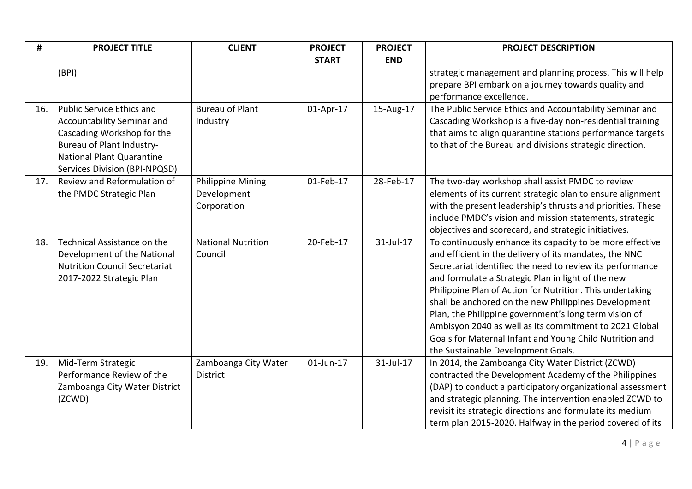| #   | <b>PROJECT TITLE</b>                                                | <b>CLIENT</b>             | <b>PROJECT</b> | <b>PROJECT</b> | <b>PROJECT DESCRIPTION</b>                                                                                          |
|-----|---------------------------------------------------------------------|---------------------------|----------------|----------------|---------------------------------------------------------------------------------------------------------------------|
|     |                                                                     |                           | <b>START</b>   | <b>END</b>     |                                                                                                                     |
|     | (BPI)                                                               |                           |                |                | strategic management and planning process. This will help                                                           |
|     |                                                                     |                           |                |                | prepare BPI embark on a journey towards quality and                                                                 |
|     |                                                                     |                           |                |                | performance excellence.                                                                                             |
| 16. | <b>Public Service Ethics and</b>                                    | <b>Bureau of Plant</b>    | 01-Apr-17      | 15-Aug-17      | The Public Service Ethics and Accountability Seminar and                                                            |
|     | Accountability Seminar and                                          | Industry                  |                |                | Cascading Workshop is a five-day non-residential training                                                           |
|     | Cascading Workshop for the                                          |                           |                |                | that aims to align quarantine stations performance targets                                                          |
|     | Bureau of Plant Industry-                                           |                           |                |                | to that of the Bureau and divisions strategic direction.                                                            |
|     | <b>National Plant Quarantine</b>                                    |                           |                |                |                                                                                                                     |
|     | Services Division (BPI-NPQSD)                                       |                           |                |                |                                                                                                                     |
| 17. | Review and Reformulation of                                         | <b>Philippine Mining</b>  | 01-Feb-17      | 28-Feb-17      | The two-day workshop shall assist PMDC to review                                                                    |
|     | the PMDC Strategic Plan                                             | Development               |                |                | elements of its current strategic plan to ensure alignment                                                          |
|     |                                                                     | Corporation               |                |                | with the present leadership's thrusts and priorities. These                                                         |
|     |                                                                     |                           |                |                | include PMDC's vision and mission statements, strategic                                                             |
|     |                                                                     |                           |                |                | objectives and scorecard, and strategic initiatives.                                                                |
| 18. | Technical Assistance on the                                         | <b>National Nutrition</b> | 20-Feb-17      | 31-Jul-17      | To continuously enhance its capacity to be more effective                                                           |
|     | Development of the National<br><b>Nutrition Council Secretariat</b> | Council                   |                |                | and efficient in the delivery of its mandates, the NNC<br>Secretariat identified the need to review its performance |
|     | 2017-2022 Strategic Plan                                            |                           |                |                | and formulate a Strategic Plan in light of the new                                                                  |
|     |                                                                     |                           |                |                | Philippine Plan of Action for Nutrition. This undertaking                                                           |
|     |                                                                     |                           |                |                | shall be anchored on the new Philippines Development                                                                |
|     |                                                                     |                           |                |                | Plan, the Philippine government's long term vision of                                                               |
|     |                                                                     |                           |                |                | Ambisyon 2040 as well as its commitment to 2021 Global                                                              |
|     |                                                                     |                           |                |                | Goals for Maternal Infant and Young Child Nutrition and                                                             |
|     |                                                                     |                           |                |                | the Sustainable Development Goals.                                                                                  |
| 19. | Mid-Term Strategic                                                  | Zamboanga City Water      | 01-Jun-17      | 31-Jul-17      | In 2014, the Zamboanga City Water District (ZCWD)                                                                   |
|     | Performance Review of the                                           | <b>District</b>           |                |                | contracted the Development Academy of the Philippines                                                               |
|     | Zamboanga City Water District                                       |                           |                |                | (DAP) to conduct a participatory organizational assessment                                                          |
|     | (ZCWD)                                                              |                           |                |                | and strategic planning. The intervention enabled ZCWD to                                                            |
|     |                                                                     |                           |                |                | revisit its strategic directions and formulate its medium                                                           |
|     |                                                                     |                           |                |                | term plan 2015-2020. Halfway in the period covered of its                                                           |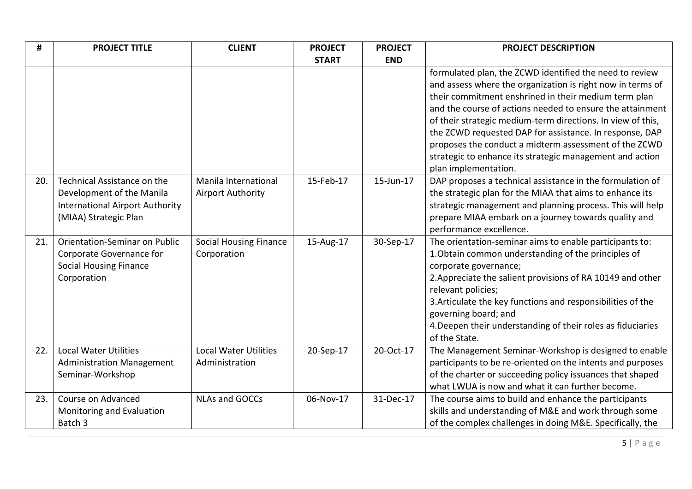| #   | <b>PROJECT TITLE</b>                                                                                                        | <b>CLIENT</b>                                    | <b>PROJECT</b> | <b>PROJECT</b> | <b>PROJECT DESCRIPTION</b>                                                                                                                                                                                                                                                                                                                                                                                                                                                                |
|-----|-----------------------------------------------------------------------------------------------------------------------------|--------------------------------------------------|----------------|----------------|-------------------------------------------------------------------------------------------------------------------------------------------------------------------------------------------------------------------------------------------------------------------------------------------------------------------------------------------------------------------------------------------------------------------------------------------------------------------------------------------|
|     |                                                                                                                             |                                                  | <b>START</b>   | <b>END</b>     |                                                                                                                                                                                                                                                                                                                                                                                                                                                                                           |
|     |                                                                                                                             |                                                  |                |                | formulated plan, the ZCWD identified the need to review<br>and assess where the organization is right now in terms of<br>their commitment enshrined in their medium term plan<br>and the course of actions needed to ensure the attainment<br>of their strategic medium-term directions. In view of this,<br>the ZCWD requested DAP for assistance. In response, DAP<br>proposes the conduct a midterm assessment of the ZCWD<br>strategic to enhance its strategic management and action |
| 20. | Technical Assistance on the<br>Development of the Manila<br><b>International Airport Authority</b><br>(MIAA) Strategic Plan | Manila International<br><b>Airport Authority</b> | 15-Feb-17      | 15-Jun-17      | plan implementation.<br>DAP proposes a technical assistance in the formulation of<br>the strategic plan for the MIAA that aims to enhance its<br>strategic management and planning process. This will help<br>prepare MIAA embark on a journey towards quality and<br>performance excellence.                                                                                                                                                                                             |
| 21. | <b>Orientation-Seminar on Public</b><br>Corporate Governance for<br><b>Social Housing Finance</b><br>Corporation            | <b>Social Housing Finance</b><br>Corporation     | 15-Aug-17      | 30-Sep-17      | The orientation-seminar aims to enable participants to:<br>1. Obtain common understanding of the principles of<br>corporate governance;<br>2. Appreciate the salient provisions of RA 10149 and other<br>relevant policies;<br>3. Articulate the key functions and responsibilities of the<br>governing board; and<br>4. Deepen their understanding of their roles as fiduciaries<br>of the State.                                                                                        |
| 22. | <b>Local Water Utilities</b><br><b>Administration Management</b><br>Seminar-Workshop                                        | <b>Local Water Utilities</b><br>Administration   | 20-Sep-17      | 20-Oct-17      | The Management Seminar-Workshop is designed to enable<br>participants to be re-oriented on the intents and purposes<br>of the charter or succeeding policy issuances that shaped<br>what LWUA is now and what it can further become.                                                                                                                                                                                                                                                      |
| 23. | Course on Advanced<br>Monitoring and Evaluation<br>Batch 3                                                                  | <b>NLAs and GOCCs</b>                            | 06-Nov-17      | 31-Dec-17      | The course aims to build and enhance the participants<br>skills and understanding of M&E and work through some<br>of the complex challenges in doing M&E. Specifically, the                                                                                                                                                                                                                                                                                                               |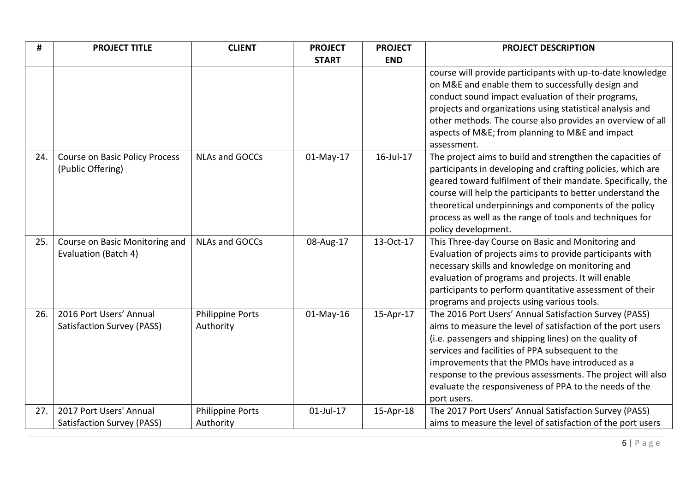| #   | <b>PROJECT TITLE</b>                                         | <b>CLIENT</b>                        | <b>PROJECT</b> | <b>PROJECT</b> | <b>PROJECT DESCRIPTION</b>                                                                                                                                                                                                                                                                                                                                                                                                     |
|-----|--------------------------------------------------------------|--------------------------------------|----------------|----------------|--------------------------------------------------------------------------------------------------------------------------------------------------------------------------------------------------------------------------------------------------------------------------------------------------------------------------------------------------------------------------------------------------------------------------------|
|     |                                                              |                                      | <b>START</b>   | <b>END</b>     |                                                                                                                                                                                                                                                                                                                                                                                                                                |
|     |                                                              |                                      |                |                | course will provide participants with up-to-date knowledge<br>on M&E and enable them to successfully design and<br>conduct sound impact evaluation of their programs,<br>projects and organizations using statistical analysis and<br>other methods. The course also provides an overview of all<br>aspects of M&E from planning to M&E and impact<br>assessment.                                                              |
| 24. | <b>Course on Basic Policy Process</b><br>(Public Offering)   | <b>NLAs and GOCCs</b>                | 01-May-17      | 16-Jul-17      | The project aims to build and strengthen the capacities of<br>participants in developing and crafting policies, which are<br>geared toward fulfilment of their mandate. Specifically, the<br>course will help the participants to better understand the<br>theoretical underpinnings and components of the policy<br>process as well as the range of tools and techniques for<br>policy development.                           |
| 25. | Course on Basic Monitoring and<br>Evaluation (Batch 4)       | <b>NLAs and GOCCs</b>                | 08-Aug-17      | 13-Oct-17      | This Three-day Course on Basic and Monitoring and<br>Evaluation of projects aims to provide participants with<br>necessary skills and knowledge on monitoring and<br>evaluation of programs and projects. It will enable<br>participants to perform quantitative assessment of their<br>programs and projects using various tools.                                                                                             |
| 26. | 2016 Port Users' Annual<br><b>Satisfaction Survey (PASS)</b> | <b>Philippine Ports</b><br>Authority | $01$ -May-16   | 15-Apr-17      | The 2016 Port Users' Annual Satisfaction Survey (PASS)<br>aims to measure the level of satisfaction of the port users<br>(i.e. passengers and shipping lines) on the quality of<br>services and facilities of PPA subsequent to the<br>improvements that the PMOs have introduced as a<br>response to the previous assessments. The project will also<br>evaluate the responsiveness of PPA to the needs of the<br>port users. |
| 27. | 2017 Port Users' Annual<br>Satisfaction Survey (PASS)        | <b>Philippine Ports</b><br>Authority | $01$ -Jul-17   | 15-Apr-18      | The 2017 Port Users' Annual Satisfaction Survey (PASS)<br>aims to measure the level of satisfaction of the port users                                                                                                                                                                                                                                                                                                          |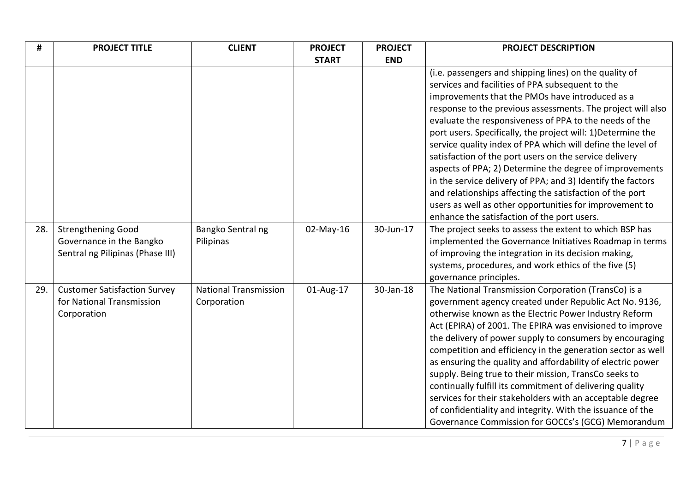| #   | <b>PROJECT TITLE</b>                                                                      | <b>CLIENT</b>                               | <b>PROJECT</b> | <b>PROJECT</b> | <b>PROJECT DESCRIPTION</b>                                                                                                                                                                                                                                                                                                                                                                                                                                                                                                                                                                                                                                                                                                                                                      |
|-----|-------------------------------------------------------------------------------------------|---------------------------------------------|----------------|----------------|---------------------------------------------------------------------------------------------------------------------------------------------------------------------------------------------------------------------------------------------------------------------------------------------------------------------------------------------------------------------------------------------------------------------------------------------------------------------------------------------------------------------------------------------------------------------------------------------------------------------------------------------------------------------------------------------------------------------------------------------------------------------------------|
|     |                                                                                           |                                             | <b>START</b>   | <b>END</b>     |                                                                                                                                                                                                                                                                                                                                                                                                                                                                                                                                                                                                                                                                                                                                                                                 |
|     |                                                                                           |                                             |                |                | (i.e. passengers and shipping lines) on the quality of<br>services and facilities of PPA subsequent to the<br>improvements that the PMOs have introduced as a<br>response to the previous assessments. The project will also<br>evaluate the responsiveness of PPA to the needs of the<br>port users. Specifically, the project will: 1) Determine the<br>service quality index of PPA which will define the level of<br>satisfaction of the port users on the service delivery<br>aspects of PPA; 2) Determine the degree of improvements<br>in the service delivery of PPA; and 3) Identify the factors<br>and relationships affecting the satisfaction of the port<br>users as well as other opportunities for improvement to<br>enhance the satisfaction of the port users. |
| 28. | <b>Strengthening Good</b><br>Governance in the Bangko<br>Sentral ng Pilipinas (Phase III) | Bangko Sentral ng<br>Pilipinas              | $02$ -May-16   | 30-Jun-17      | The project seeks to assess the extent to which BSP has<br>implemented the Governance Initiatives Roadmap in terms<br>of improving the integration in its decision making,<br>systems, procedures, and work ethics of the five (5)<br>governance principles.                                                                                                                                                                                                                                                                                                                                                                                                                                                                                                                    |
| 29. | <b>Customer Satisfaction Survey</b><br>for National Transmission<br>Corporation           | <b>National Transmission</b><br>Corporation | 01-Aug-17      | 30-Jan-18      | The National Transmission Corporation (TransCo) is a<br>government agency created under Republic Act No. 9136,<br>otherwise known as the Electric Power Industry Reform<br>Act (EPIRA) of 2001. The EPIRA was envisioned to improve<br>the delivery of power supply to consumers by encouraging<br>competition and efficiency in the generation sector as well<br>as ensuring the quality and affordability of electric power<br>supply. Being true to their mission, TransCo seeks to<br>continually fulfill its commitment of delivering quality<br>services for their stakeholders with an acceptable degree<br>of confidentiality and integrity. With the issuance of the<br>Governance Commission for GOCCs's (GCG) Memorandum                                             |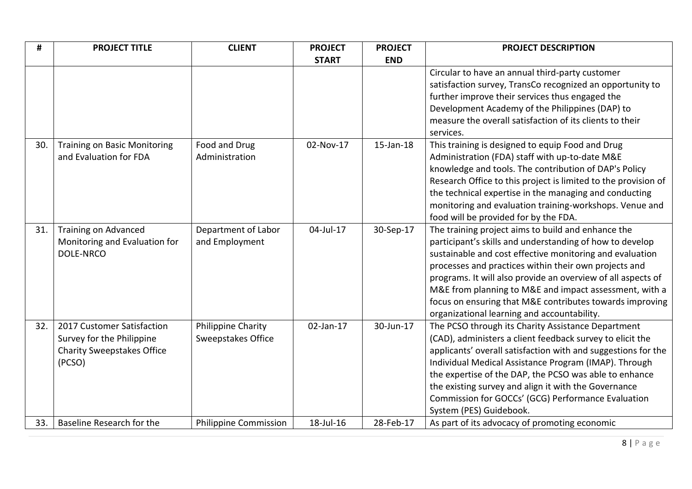| #   | <b>PROJECT TITLE</b>                | <b>CLIENT</b>             | <b>PROJECT</b> | <b>PROJECT</b> | <b>PROJECT DESCRIPTION</b>                                     |
|-----|-------------------------------------|---------------------------|----------------|----------------|----------------------------------------------------------------|
|     |                                     |                           | <b>START</b>   | <b>END</b>     |                                                                |
|     |                                     |                           |                |                | Circular to have an annual third-party customer                |
|     |                                     |                           |                |                | satisfaction survey, TransCo recognized an opportunity to      |
|     |                                     |                           |                |                | further improve their services thus engaged the                |
|     |                                     |                           |                |                | Development Academy of the Philippines (DAP) to                |
|     |                                     |                           |                |                | measure the overall satisfaction of its clients to their       |
|     |                                     |                           |                |                | services.                                                      |
| 30. | <b>Training on Basic Monitoring</b> | Food and Drug             | 02-Nov-17      | 15-Jan-18      | This training is designed to equip Food and Drug               |
|     | and Evaluation for FDA              | Administration            |                |                | Administration (FDA) staff with up-to-date M&E                 |
|     |                                     |                           |                |                | knowledge and tools. The contribution of DAP's Policy          |
|     |                                     |                           |                |                | Research Office to this project is limited to the provision of |
|     |                                     |                           |                |                | the technical expertise in the managing and conducting         |
|     |                                     |                           |                |                | monitoring and evaluation training-workshops. Venue and        |
|     |                                     |                           |                |                | food will be provided for by the FDA.                          |
| 31. | <b>Training on Advanced</b>         | Department of Labor       | 04-Jul-17      | 30-Sep-17      | The training project aims to build and enhance the             |
|     | Monitoring and Evaluation for       | and Employment            |                |                | participant's skills and understanding of how to develop       |
|     | <b>DOLE-NRCO</b>                    |                           |                |                | sustainable and cost effective monitoring and evaluation       |
|     |                                     |                           |                |                | processes and practices within their own projects and          |
|     |                                     |                           |                |                | programs. It will also provide an overview of all aspects of   |
|     |                                     |                           |                |                | M&E from planning to M&E and impact assessment, with a         |
|     |                                     |                           |                |                | focus on ensuring that M&E contributes towards improving       |
|     |                                     |                           |                |                | organizational learning and accountability.                    |
| 32. | 2017 Customer Satisfaction          | Philippine Charity        | 02-Jan-17      | 30-Jun-17      | The PCSO through its Charity Assistance Department             |
|     | Survey for the Philippine           | <b>Sweepstakes Office</b> |                |                | (CAD), administers a client feedback survey to elicit the      |
|     | <b>Charity Sweepstakes Office</b>   |                           |                |                | applicants' overall satisfaction with and suggestions for the  |
|     | (PCSO)                              |                           |                |                | Individual Medical Assistance Program (IMAP). Through          |
|     |                                     |                           |                |                | the expertise of the DAP, the PCSO was able to enhance         |
|     |                                     |                           |                |                | the existing survey and align it with the Governance           |
|     |                                     |                           |                |                | Commission for GOCCs' (GCG) Performance Evaluation             |
|     |                                     |                           |                |                | System (PES) Guidebook.                                        |
| 33. | Baseline Research for the           | Philippine Commission     | 18-Jul-16      | 28-Feb-17      | As part of its advocacy of promoting economic                  |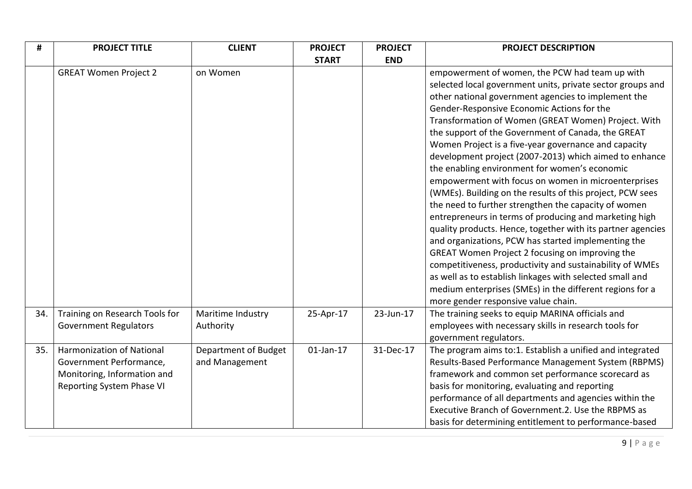| #   | <b>PROJECT TITLE</b>                                                                                             | <b>CLIENT</b>                          | <b>PROJECT</b> | <b>PROJECT</b> | <b>PROJECT DESCRIPTION</b>                                                                                                                                                                                                                                                                                                                                                                                                                                                                                                                                                                                                                                                                                                                                                                                                                                                                                                                                                                                                                                                                           |
|-----|------------------------------------------------------------------------------------------------------------------|----------------------------------------|----------------|----------------|------------------------------------------------------------------------------------------------------------------------------------------------------------------------------------------------------------------------------------------------------------------------------------------------------------------------------------------------------------------------------------------------------------------------------------------------------------------------------------------------------------------------------------------------------------------------------------------------------------------------------------------------------------------------------------------------------------------------------------------------------------------------------------------------------------------------------------------------------------------------------------------------------------------------------------------------------------------------------------------------------------------------------------------------------------------------------------------------------|
|     |                                                                                                                  |                                        | <b>START</b>   | <b>END</b>     |                                                                                                                                                                                                                                                                                                                                                                                                                                                                                                                                                                                                                                                                                                                                                                                                                                                                                                                                                                                                                                                                                                      |
|     | <b>GREAT Women Project 2</b>                                                                                     | on Women                               |                |                | empowerment of women, the PCW had team up with<br>selected local government units, private sector groups and<br>other national government agencies to implement the<br>Gender-Responsive Economic Actions for the<br>Transformation of Women (GREAT Women) Project. With<br>the support of the Government of Canada, the GREAT<br>Women Project is a five-year governance and capacity<br>development project (2007-2013) which aimed to enhance<br>the enabling environment for women's economic<br>empowerment with focus on women in microenterprises<br>(WMEs). Building on the results of this project, PCW sees<br>the need to further strengthen the capacity of women<br>entrepreneurs in terms of producing and marketing high<br>quality products. Hence, together with its partner agencies<br>and organizations, PCW has started implementing the<br>GREAT Women Project 2 focusing on improving the<br>competitiveness, productivity and sustainability of WMEs<br>as well as to establish linkages with selected small and<br>medium enterprises (SMEs) in the different regions for a |
| 34. | Training on Research Tools for<br><b>Government Regulators</b>                                                   | Maritime Industry<br>Authority         | 25-Apr-17      | 23-Jun-17      | more gender responsive value chain.<br>The training seeks to equip MARINA officials and<br>employees with necessary skills in research tools for<br>government regulators.                                                                                                                                                                                                                                                                                                                                                                                                                                                                                                                                                                                                                                                                                                                                                                                                                                                                                                                           |
| 35. | Harmonization of National<br>Government Performance,<br>Monitoring, Information and<br>Reporting System Phase VI | Department of Budget<br>and Management | $01$ -Jan-17   | 31-Dec-17      | The program aims to:1. Establish a unified and integrated<br>Results-Based Performance Management System (RBPMS)<br>framework and common set performance scorecard as<br>basis for monitoring, evaluating and reporting<br>performance of all departments and agencies within the<br>Executive Branch of Government.2. Use the RBPMS as<br>basis for determining entitlement to performance-based                                                                                                                                                                                                                                                                                                                                                                                                                                                                                                                                                                                                                                                                                                    |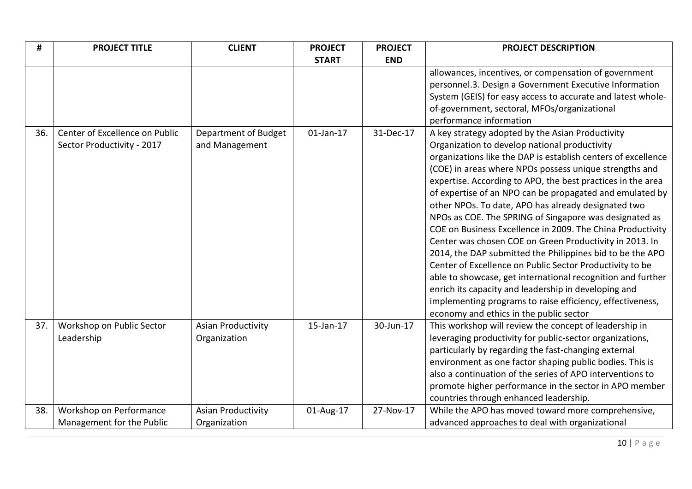| #   | <b>PROJECT TITLE</b>           | <b>CLIENT</b>             | <b>PROJECT</b> | <b>PROJECT</b> | <b>PROJECT DESCRIPTION</b>                                    |
|-----|--------------------------------|---------------------------|----------------|----------------|---------------------------------------------------------------|
|     |                                |                           | <b>START</b>   | <b>END</b>     |                                                               |
|     |                                |                           |                |                | allowances, incentives, or compensation of government         |
|     |                                |                           |                |                | personnel.3. Design a Government Executive Information        |
|     |                                |                           |                |                | System (GEIS) for easy access to accurate and latest whole-   |
|     |                                |                           |                |                | of-government, sectoral, MFOs/organizational                  |
|     |                                |                           |                |                | performance information                                       |
| 36. | Center of Excellence on Public | Department of Budget      | $01$ -Jan-17   | 31-Dec-17      | A key strategy adopted by the Asian Productivity              |
|     | Sector Productivity - 2017     | and Management            |                |                | Organization to develop national productivity                 |
|     |                                |                           |                |                | organizations like the DAP is establish centers of excellence |
|     |                                |                           |                |                | (COE) in areas where NPOs possess unique strengths and        |
|     |                                |                           |                |                | expertise. According to APO, the best practices in the area   |
|     |                                |                           |                |                | of expertise of an NPO can be propagated and emulated by      |
|     |                                |                           |                |                | other NPOs. To date, APO has already designated two           |
|     |                                |                           |                |                | NPOs as COE. The SPRING of Singapore was designated as        |
|     |                                |                           |                |                | COE on Business Excellence in 2009. The China Productivity    |
|     |                                |                           |                |                | Center was chosen COE on Green Productivity in 2013. In       |
|     |                                |                           |                |                | 2014, the DAP submitted the Philippines bid to be the APO     |
|     |                                |                           |                |                | Center of Excellence on Public Sector Productivity to be      |
|     |                                |                           |                |                | able to showcase, get international recognition and further   |
|     |                                |                           |                |                | enrich its capacity and leadership in developing and          |
|     |                                |                           |                |                | implementing programs to raise efficiency, effectiveness,     |
|     |                                |                           |                |                | economy and ethics in the public sector                       |
| 37. | Workshop on Public Sector      | <b>Asian Productivity</b> | 15-Jan-17      | 30-Jun-17      | This workshop will review the concept of leadership in        |
|     | Leadership                     | Organization              |                |                | leveraging productivity for public-sector organizations,      |
|     |                                |                           |                |                | particularly by regarding the fast-changing external          |
|     |                                |                           |                |                | environment as one factor shaping public bodies. This is      |
|     |                                |                           |                |                | also a continuation of the series of APO interventions to     |
|     |                                |                           |                |                | promote higher performance in the sector in APO member        |
|     |                                |                           |                |                | countries through enhanced leadership.                        |
| 38. | Workshop on Performance        | <b>Asian Productivity</b> | 01-Aug-17      | 27-Nov-17      | While the APO has moved toward more comprehensive,            |
|     | Management for the Public      | Organization              |                |                | advanced approaches to deal with organizational               |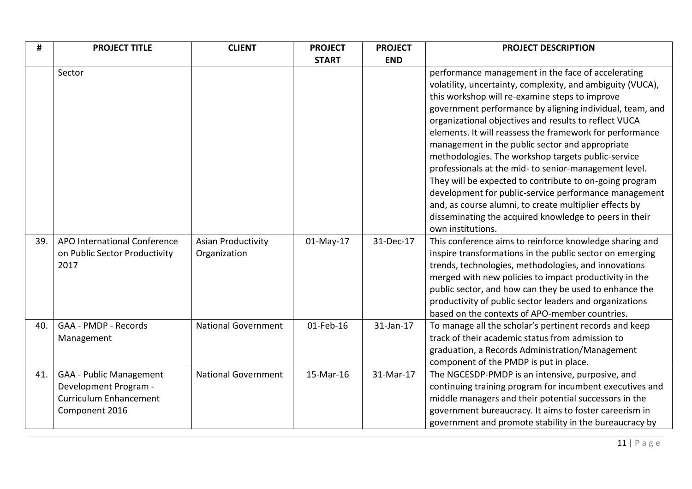| #   | <b>PROJECT TITLE</b>                                                                                       | <b>CLIENT</b>                             | <b>PROJECT</b> | <b>PROJECT</b> | <b>PROJECT DESCRIPTION</b>                                                                                                                                                                                                                                                                                                                                                                                                                                                                                                                                                                                                                                                                                                                                                         |
|-----|------------------------------------------------------------------------------------------------------------|-------------------------------------------|----------------|----------------|------------------------------------------------------------------------------------------------------------------------------------------------------------------------------------------------------------------------------------------------------------------------------------------------------------------------------------------------------------------------------------------------------------------------------------------------------------------------------------------------------------------------------------------------------------------------------------------------------------------------------------------------------------------------------------------------------------------------------------------------------------------------------------|
|     |                                                                                                            |                                           | <b>START</b>   | <b>END</b>     |                                                                                                                                                                                                                                                                                                                                                                                                                                                                                                                                                                                                                                                                                                                                                                                    |
|     | Sector                                                                                                     |                                           |                |                | performance management in the face of accelerating<br>volatility, uncertainty, complexity, and ambiguity (VUCA),<br>this workshop will re-examine steps to improve<br>government performance by aligning individual, team, and<br>organizational objectives and results to reflect VUCA<br>elements. It will reassess the framework for performance<br>management in the public sector and appropriate<br>methodologies. The workshop targets public-service<br>professionals at the mid- to senior-management level.<br>They will be expected to contribute to on-going program<br>development for public-service performance management<br>and, as course alumni, to create multiplier effects by<br>disseminating the acquired knowledge to peers in their<br>own institutions. |
| 39. | APO International Conference<br>on Public Sector Productivity<br>2017                                      | <b>Asian Productivity</b><br>Organization | 01-May-17      | 31-Dec-17      | This conference aims to reinforce knowledge sharing and<br>inspire transformations in the public sector on emerging<br>trends, technologies, methodologies, and innovations<br>merged with new policies to impact productivity in the<br>public sector, and how can they be used to enhance the<br>productivity of public sector leaders and organizations<br>based on the contexts of APO-member countries.                                                                                                                                                                                                                                                                                                                                                                       |
| 40. | GAA - PMDP - Records<br>Management                                                                         | <b>National Government</b>                | 01-Feb-16      | 31-Jan-17      | To manage all the scholar's pertinent records and keep<br>track of their academic status from admission to<br>graduation, a Records Administration/Management<br>component of the PMDP is put in place.                                                                                                                                                                                                                                                                                                                                                                                                                                                                                                                                                                            |
| 41. | <b>GAA - Public Management</b><br>Development Program -<br><b>Curriculum Enhancement</b><br>Component 2016 | <b>National Government</b>                | 15-Mar-16      | 31-Mar-17      | The NGCESDP-PMDP is an intensive, purposive, and<br>continuing training program for incumbent executives and<br>middle managers and their potential successors in the<br>government bureaucracy. It aims to foster careerism in<br>government and promote stability in the bureaucracy by                                                                                                                                                                                                                                                                                                                                                                                                                                                                                          |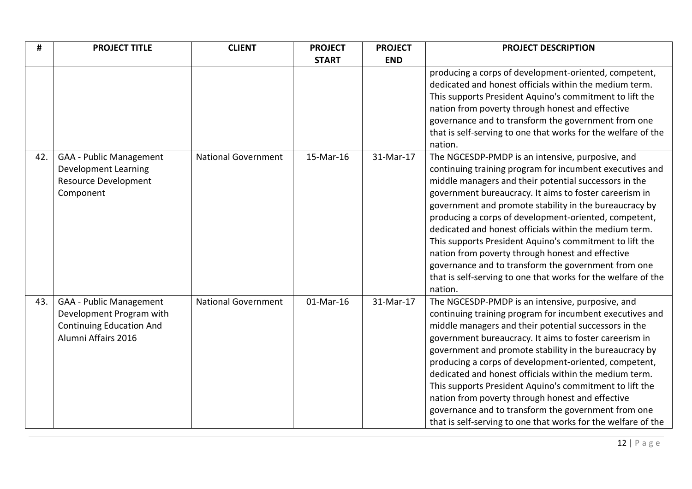| #   | <b>PROJECT TITLE</b>                                                                                                 | <b>CLIENT</b>              | <b>PROJECT</b> | <b>PROJECT</b> | <b>PROJECT DESCRIPTION</b>                                                                                                                                                                                                                                                                                                                                                                                                                                                                                                                                                                                                                                     |
|-----|----------------------------------------------------------------------------------------------------------------------|----------------------------|----------------|----------------|----------------------------------------------------------------------------------------------------------------------------------------------------------------------------------------------------------------------------------------------------------------------------------------------------------------------------------------------------------------------------------------------------------------------------------------------------------------------------------------------------------------------------------------------------------------------------------------------------------------------------------------------------------------|
|     |                                                                                                                      |                            | <b>START</b>   | <b>END</b>     |                                                                                                                                                                                                                                                                                                                                                                                                                                                                                                                                                                                                                                                                |
|     |                                                                                                                      |                            |                |                | producing a corps of development-oriented, competent,<br>dedicated and honest officials within the medium term.<br>This supports President Aquino's commitment to lift the<br>nation from poverty through honest and effective<br>governance and to transform the government from one<br>that is self-serving to one that works for the welfare of the<br>nation.                                                                                                                                                                                                                                                                                              |
| 42. | <b>GAA - Public Management</b><br><b>Development Learning</b><br>Resource Development<br>Component                   | <b>National Government</b> | 15-Mar-16      | 31-Mar-17      | The NGCESDP-PMDP is an intensive, purposive, and<br>continuing training program for incumbent executives and<br>middle managers and their potential successors in the<br>government bureaucracy. It aims to foster careerism in<br>government and promote stability in the bureaucracy by<br>producing a corps of development-oriented, competent,<br>dedicated and honest officials within the medium term.<br>This supports President Aquino's commitment to lift the<br>nation from poverty through honest and effective<br>governance and to transform the government from one<br>that is self-serving to one that works for the welfare of the<br>nation. |
| 43. | <b>GAA - Public Management</b><br>Development Program with<br><b>Continuing Education And</b><br>Alumni Affairs 2016 | <b>National Government</b> | 01-Mar-16      | 31-Mar-17      | The NGCESDP-PMDP is an intensive, purposive, and<br>continuing training program for incumbent executives and<br>middle managers and their potential successors in the<br>government bureaucracy. It aims to foster careerism in<br>government and promote stability in the bureaucracy by<br>producing a corps of development-oriented, competent,<br>dedicated and honest officials within the medium term.<br>This supports President Aquino's commitment to lift the<br>nation from poverty through honest and effective<br>governance and to transform the government from one<br>that is self-serving to one that works for the welfare of the            |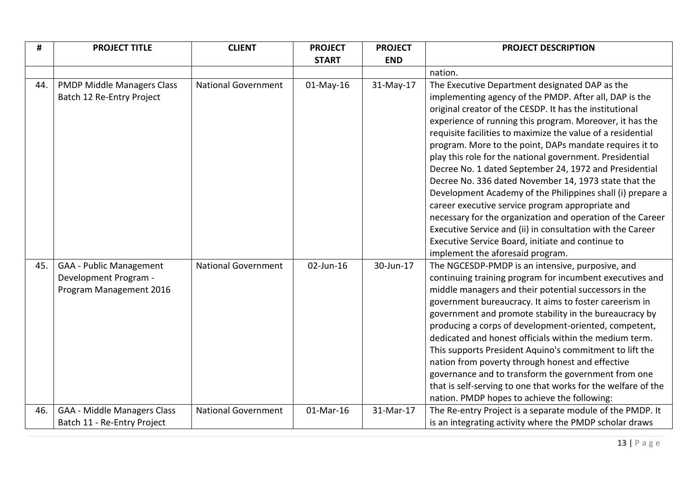| #   | <b>PROJECT TITLE</b>               | <b>CLIENT</b>              | <b>PROJECT</b> | <b>PROJECT</b> | <b>PROJECT DESCRIPTION</b>                                    |
|-----|------------------------------------|----------------------------|----------------|----------------|---------------------------------------------------------------|
|     |                                    |                            | <b>START</b>   | <b>END</b>     |                                                               |
|     |                                    |                            |                |                | nation.                                                       |
| 44. | <b>PMDP Middle Managers Class</b>  | <b>National Government</b> | $01$ -May-16   | 31-May-17      | The Executive Department designated DAP as the                |
|     | Batch 12 Re-Entry Project          |                            |                |                | implementing agency of the PMDP. After all, DAP is the        |
|     |                                    |                            |                |                | original creator of the CESDP. It has the institutional       |
|     |                                    |                            |                |                | experience of running this program. Moreover, it has the      |
|     |                                    |                            |                |                | requisite facilities to maximize the value of a residential   |
|     |                                    |                            |                |                | program. More to the point, DAPs mandate requires it to       |
|     |                                    |                            |                |                | play this role for the national government. Presidential      |
|     |                                    |                            |                |                | Decree No. 1 dated September 24, 1972 and Presidential        |
|     |                                    |                            |                |                | Decree No. 336 dated November 14, 1973 state that the         |
|     |                                    |                            |                |                | Development Academy of the Philippines shall (i) prepare a    |
|     |                                    |                            |                |                | career executive service program appropriate and              |
|     |                                    |                            |                |                | necessary for the organization and operation of the Career    |
|     |                                    |                            |                |                | Executive Service and (ii) in consultation with the Career    |
|     |                                    |                            |                |                | Executive Service Board, initiate and continue to             |
|     |                                    |                            |                |                | implement the aforesaid program.                              |
| 45. | <b>GAA - Public Management</b>     | <b>National Government</b> | 02-Jun-16      | 30-Jun-17      | The NGCESDP-PMDP is an intensive, purposive, and              |
|     | Development Program -              |                            |                |                | continuing training program for incumbent executives and      |
|     | Program Management 2016            |                            |                |                | middle managers and their potential successors in the         |
|     |                                    |                            |                |                | government bureaucracy. It aims to foster careerism in        |
|     |                                    |                            |                |                | government and promote stability in the bureaucracy by        |
|     |                                    |                            |                |                | producing a corps of development-oriented, competent,         |
|     |                                    |                            |                |                | dedicated and honest officials within the medium term.        |
|     |                                    |                            |                |                | This supports President Aquino's commitment to lift the       |
|     |                                    |                            |                |                | nation from poverty through honest and effective              |
|     |                                    |                            |                |                | governance and to transform the government from one           |
|     |                                    |                            |                |                | that is self-serving to one that works for the welfare of the |
| 46. |                                    |                            | 01-Mar-16      |                | nation. PMDP hopes to achieve the following:                  |
|     | <b>GAA - Middle Managers Class</b> | <b>National Government</b> |                | 31-Mar-17      | The Re-entry Project is a separate module of the PMDP. It     |
|     | Batch 11 - Re-Entry Project        |                            |                |                | is an integrating activity where the PMDP scholar draws       |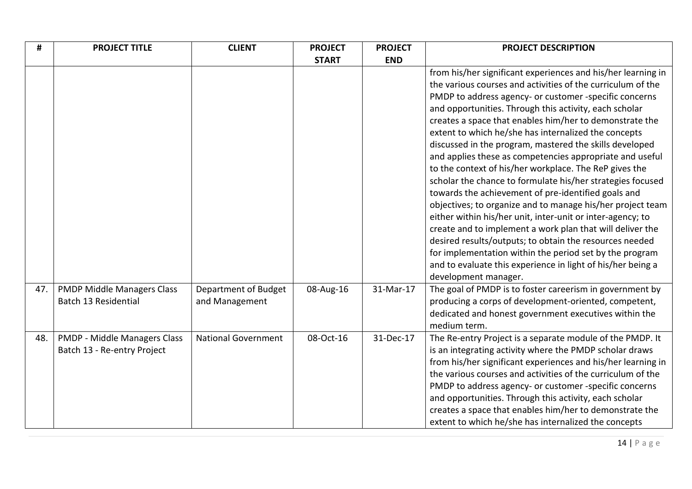| #   | <b>PROJECT TITLE</b>                                        | <b>CLIENT</b>                          | <b>PROJECT</b> | <b>PROJECT</b> | <b>PROJECT DESCRIPTION</b>                                                                                                                                                                                                                                                                                                                                                                                                                                                                                                                                                                                                                                                                                                                                                                                                                                                                                                                                                                                                                                                     |
|-----|-------------------------------------------------------------|----------------------------------------|----------------|----------------|--------------------------------------------------------------------------------------------------------------------------------------------------------------------------------------------------------------------------------------------------------------------------------------------------------------------------------------------------------------------------------------------------------------------------------------------------------------------------------------------------------------------------------------------------------------------------------------------------------------------------------------------------------------------------------------------------------------------------------------------------------------------------------------------------------------------------------------------------------------------------------------------------------------------------------------------------------------------------------------------------------------------------------------------------------------------------------|
|     |                                                             |                                        | <b>START</b>   | <b>END</b>     |                                                                                                                                                                                                                                                                                                                                                                                                                                                                                                                                                                                                                                                                                                                                                                                                                                                                                                                                                                                                                                                                                |
|     |                                                             |                                        |                |                | from his/her significant experiences and his/her learning in<br>the various courses and activities of the curriculum of the<br>PMDP to address agency- or customer -specific concerns<br>and opportunities. Through this activity, each scholar<br>creates a space that enables him/her to demonstrate the<br>extent to which he/she has internalized the concepts<br>discussed in the program, mastered the skills developed<br>and applies these as competencies appropriate and useful<br>to the context of his/her workplace. The ReP gives the<br>scholar the chance to formulate his/her strategies focused<br>towards the achievement of pre-identified goals and<br>objectives; to organize and to manage his/her project team<br>either within his/her unit, inter-unit or inter-agency; to<br>create and to implement a work plan that will deliver the<br>desired results/outputs; to obtain the resources needed<br>for implementation within the period set by the program<br>and to evaluate this experience in light of his/her being a<br>development manager. |
| 47. | <b>PMDP Middle Managers Class</b><br>Batch 13 Residential   | Department of Budget<br>and Management | 08-Aug-16      | 31-Mar-17      | The goal of PMDP is to foster careerism in government by<br>producing a corps of development-oriented, competent,<br>dedicated and honest government executives within the<br>medium term.                                                                                                                                                                                                                                                                                                                                                                                                                                                                                                                                                                                                                                                                                                                                                                                                                                                                                     |
| 48. | PMDP - Middle Managers Class<br>Batch 13 - Re-entry Project | <b>National Government</b>             | 08-Oct-16      | 31-Dec-17      | The Re-entry Project is a separate module of the PMDP. It<br>is an integrating activity where the PMDP scholar draws<br>from his/her significant experiences and his/her learning in<br>the various courses and activities of the curriculum of the<br>PMDP to address agency- or customer -specific concerns<br>and opportunities. Through this activity, each scholar<br>creates a space that enables him/her to demonstrate the<br>extent to which he/she has internalized the concepts                                                                                                                                                                                                                                                                                                                                                                                                                                                                                                                                                                                     |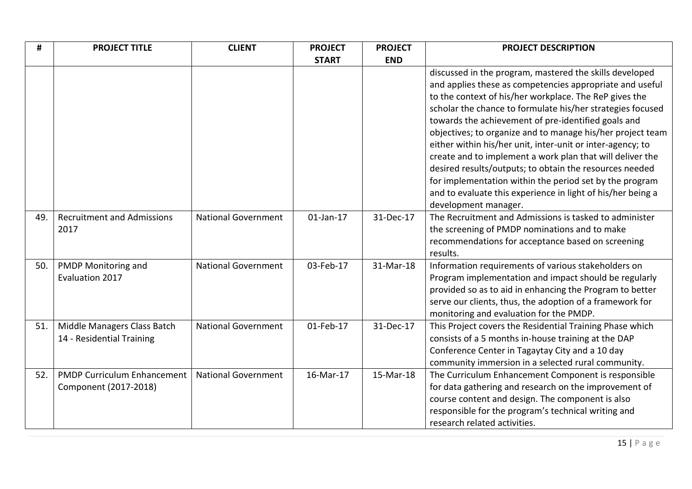| #   | <b>PROJECT TITLE</b>               | <b>CLIENT</b>              | <b>PROJECT</b> | <b>PROJECT</b> | <b>PROJECT DESCRIPTION</b>                                  |
|-----|------------------------------------|----------------------------|----------------|----------------|-------------------------------------------------------------|
|     |                                    |                            | <b>START</b>   | <b>END</b>     |                                                             |
|     |                                    |                            |                |                | discussed in the program, mastered the skills developed     |
|     |                                    |                            |                |                | and applies these as competencies appropriate and useful    |
|     |                                    |                            |                |                | to the context of his/her workplace. The ReP gives the      |
|     |                                    |                            |                |                | scholar the chance to formulate his/her strategies focused  |
|     |                                    |                            |                |                | towards the achievement of pre-identified goals and         |
|     |                                    |                            |                |                | objectives; to organize and to manage his/her project team  |
|     |                                    |                            |                |                | either within his/her unit, inter-unit or inter-agency; to  |
|     |                                    |                            |                |                | create and to implement a work plan that will deliver the   |
|     |                                    |                            |                |                | desired results/outputs; to obtain the resources needed     |
|     |                                    |                            |                |                | for implementation within the period set by the program     |
|     |                                    |                            |                |                | and to evaluate this experience in light of his/her being a |
|     |                                    |                            |                |                | development manager.                                        |
| 49. | <b>Recruitment and Admissions</b>  | <b>National Government</b> | $01$ -Jan-17   | 31-Dec-17      | The Recruitment and Admissions is tasked to administer      |
|     | 2017                               |                            |                |                | the screening of PMDP nominations and to make               |
|     |                                    |                            |                |                | recommendations for acceptance based on screening           |
|     |                                    |                            |                |                | results.                                                    |
| 50. | PMDP Monitoring and                | <b>National Government</b> | 03-Feb-17      | 31-Mar-18      | Information requirements of various stakeholders on         |
|     | Evaluation 2017                    |                            |                |                | Program implementation and impact should be regularly       |
|     |                                    |                            |                |                | provided so as to aid in enhancing the Program to better    |
|     |                                    |                            |                |                | serve our clients, thus, the adoption of a framework for    |
|     |                                    |                            |                |                | monitoring and evaluation for the PMDP.                     |
| 51. | Middle Managers Class Batch        | <b>National Government</b> | 01-Feb-17      | 31-Dec-17      | This Project covers the Residential Training Phase which    |
|     | 14 - Residential Training          |                            |                |                | consists of a 5 months in-house training at the DAP         |
|     |                                    |                            |                |                | Conference Center in Tagaytay City and a 10 day             |
|     |                                    |                            |                |                | community immersion in a selected rural community.          |
| 52. | <b>PMDP Curriculum Enhancement</b> | <b>National Government</b> | 16-Mar-17      | 15-Mar-18      | The Curriculum Enhancement Component is responsible         |
|     | Component (2017-2018)              |                            |                |                | for data gathering and research on the improvement of       |
|     |                                    |                            |                |                | course content and design. The component is also            |
|     |                                    |                            |                |                | responsible for the program's technical writing and         |
|     |                                    |                            |                |                | research related activities.                                |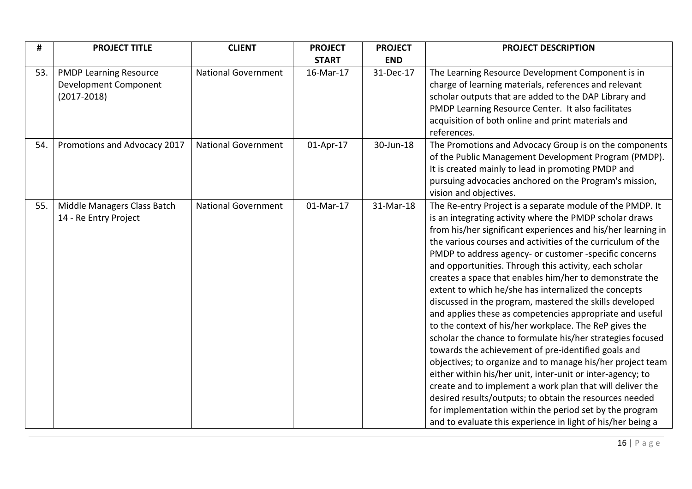| #   | <b>PROJECT TITLE</b>                                                      | <b>CLIENT</b>              | <b>PROJECT</b> | <b>PROJECT</b> | <b>PROJECT DESCRIPTION</b>                                                                                                                                                                                                                                                                                                                                                                                                                                                                                                                                                                                                                                                                                                                                                                                                                                                                                                                                                                                                                                                                                                                                                     |
|-----|---------------------------------------------------------------------------|----------------------------|----------------|----------------|--------------------------------------------------------------------------------------------------------------------------------------------------------------------------------------------------------------------------------------------------------------------------------------------------------------------------------------------------------------------------------------------------------------------------------------------------------------------------------------------------------------------------------------------------------------------------------------------------------------------------------------------------------------------------------------------------------------------------------------------------------------------------------------------------------------------------------------------------------------------------------------------------------------------------------------------------------------------------------------------------------------------------------------------------------------------------------------------------------------------------------------------------------------------------------|
|     |                                                                           |                            | <b>START</b>   | <b>END</b>     |                                                                                                                                                                                                                                                                                                                                                                                                                                                                                                                                                                                                                                                                                                                                                                                                                                                                                                                                                                                                                                                                                                                                                                                |
| 53. | <b>PMDP Learning Resource</b><br>Development Component<br>$(2017 - 2018)$ | <b>National Government</b> | 16-Mar-17      | 31-Dec-17      | The Learning Resource Development Component is in<br>charge of learning materials, references and relevant<br>scholar outputs that are added to the DAP Library and<br>PMDP Learning Resource Center. It also facilitates<br>acquisition of both online and print materials and<br>references.                                                                                                                                                                                                                                                                                                                                                                                                                                                                                                                                                                                                                                                                                                                                                                                                                                                                                 |
| 54. | Promotions and Advocacy 2017                                              | <b>National Government</b> | 01-Apr-17      | 30-Jun-18      | The Promotions and Advocacy Group is on the components<br>of the Public Management Development Program (PMDP).<br>It is created mainly to lead in promoting PMDP and<br>pursuing advocacies anchored on the Program's mission,<br>vision and objectives.                                                                                                                                                                                                                                                                                                                                                                                                                                                                                                                                                                                                                                                                                                                                                                                                                                                                                                                       |
| 55. | Middle Managers Class Batch<br>14 - Re Entry Project                      | <b>National Government</b> | 01-Mar-17      | 31-Mar-18      | The Re-entry Project is a separate module of the PMDP. It<br>is an integrating activity where the PMDP scholar draws<br>from his/her significant experiences and his/her learning in<br>the various courses and activities of the curriculum of the<br>PMDP to address agency- or customer -specific concerns<br>and opportunities. Through this activity, each scholar<br>creates a space that enables him/her to demonstrate the<br>extent to which he/she has internalized the concepts<br>discussed in the program, mastered the skills developed<br>and applies these as competencies appropriate and useful<br>to the context of his/her workplace. The ReP gives the<br>scholar the chance to formulate his/her strategies focused<br>towards the achievement of pre-identified goals and<br>objectives; to organize and to manage his/her project team<br>either within his/her unit, inter-unit or inter-agency; to<br>create and to implement a work plan that will deliver the<br>desired results/outputs; to obtain the resources needed<br>for implementation within the period set by the program<br>and to evaluate this experience in light of his/her being a |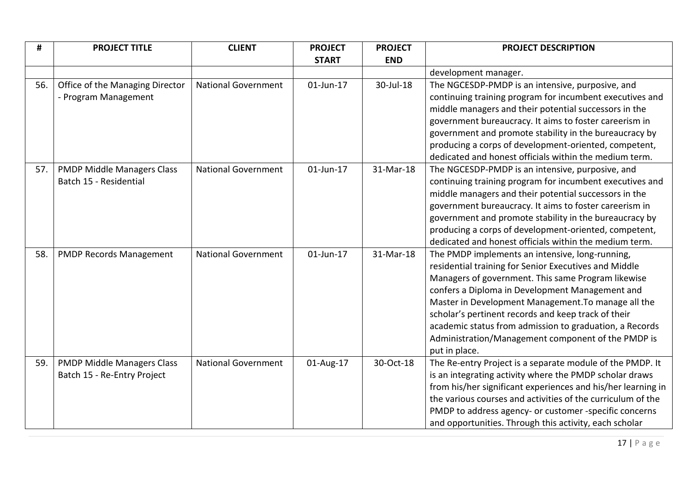| #   | <b>PROJECT TITLE</b>              | <b>CLIENT</b>              | <b>PROJECT</b> | <b>PROJECT</b> | <b>PROJECT DESCRIPTION</b>                                   |
|-----|-----------------------------------|----------------------------|----------------|----------------|--------------------------------------------------------------|
|     |                                   |                            | <b>START</b>   | <b>END</b>     |                                                              |
|     |                                   |                            |                |                | development manager.                                         |
| 56. | Office of the Managing Director   | <b>National Government</b> | 01-Jun-17      | 30-Jul-18      | The NGCESDP-PMDP is an intensive, purposive, and             |
|     | - Program Management              |                            |                |                | continuing training program for incumbent executives and     |
|     |                                   |                            |                |                | middle managers and their potential successors in the        |
|     |                                   |                            |                |                | government bureaucracy. It aims to foster careerism in       |
|     |                                   |                            |                |                | government and promote stability in the bureaucracy by       |
|     |                                   |                            |                |                | producing a corps of development-oriented, competent,        |
|     |                                   |                            |                |                | dedicated and honest officials within the medium term.       |
| 57. | <b>PMDP Middle Managers Class</b> | <b>National Government</b> | 01-Jun-17      | 31-Mar-18      | The NGCESDP-PMDP is an intensive, purposive, and             |
|     | Batch 15 - Residential            |                            |                |                | continuing training program for incumbent executives and     |
|     |                                   |                            |                |                | middle managers and their potential successors in the        |
|     |                                   |                            |                |                | government bureaucracy. It aims to foster careerism in       |
|     |                                   |                            |                |                | government and promote stability in the bureaucracy by       |
|     |                                   |                            |                |                | producing a corps of development-oriented, competent,        |
|     |                                   |                            |                |                | dedicated and honest officials within the medium term.       |
| 58. | <b>PMDP Records Management</b>    | <b>National Government</b> | 01-Jun-17      | 31-Mar-18      | The PMDP implements an intensive, long-running,              |
|     |                                   |                            |                |                | residential training for Senior Executives and Middle        |
|     |                                   |                            |                |                | Managers of government. This same Program likewise           |
|     |                                   |                            |                |                | confers a Diploma in Development Management and              |
|     |                                   |                            |                |                | Master in Development Management. To manage all the          |
|     |                                   |                            |                |                | scholar's pertinent records and keep track of their          |
|     |                                   |                            |                |                | academic status from admission to graduation, a Records      |
|     |                                   |                            |                |                | Administration/Management component of the PMDP is           |
|     |                                   |                            |                |                | put in place.                                                |
| 59. | <b>PMDP Middle Managers Class</b> | <b>National Government</b> | 01-Aug-17      | 30-Oct-18      | The Re-entry Project is a separate module of the PMDP. It    |
|     | Batch 15 - Re-Entry Project       |                            |                |                | is an integrating activity where the PMDP scholar draws      |
|     |                                   |                            |                |                | from his/her significant experiences and his/her learning in |
|     |                                   |                            |                |                | the various courses and activities of the curriculum of the  |
|     |                                   |                            |                |                | PMDP to address agency- or customer -specific concerns       |
|     |                                   |                            |                |                | and opportunities. Through this activity, each scholar       |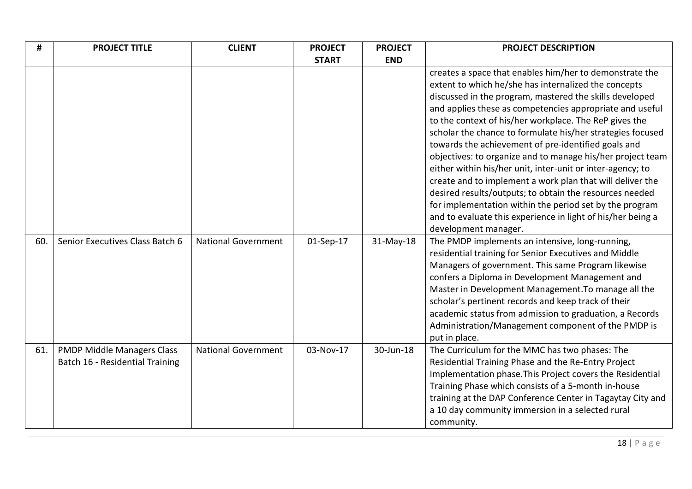| #   | <b>PROJECT TITLE</b>                                                 | <b>CLIENT</b>              | <b>PROJECT</b> | <b>PROJECT</b> | <b>PROJECT DESCRIPTION</b>                                                                                                                                                                                                                                                                                                                                                                                                                                                                                                                                                                                                                                                                                                                                                                          |
|-----|----------------------------------------------------------------------|----------------------------|----------------|----------------|-----------------------------------------------------------------------------------------------------------------------------------------------------------------------------------------------------------------------------------------------------------------------------------------------------------------------------------------------------------------------------------------------------------------------------------------------------------------------------------------------------------------------------------------------------------------------------------------------------------------------------------------------------------------------------------------------------------------------------------------------------------------------------------------------------|
|     |                                                                      |                            | <b>START</b>   | <b>END</b>     |                                                                                                                                                                                                                                                                                                                                                                                                                                                                                                                                                                                                                                                                                                                                                                                                     |
|     |                                                                      |                            |                |                | creates a space that enables him/her to demonstrate the<br>extent to which he/she has internalized the concepts<br>discussed in the program, mastered the skills developed<br>and applies these as competencies appropriate and useful<br>to the context of his/her workplace. The ReP gives the<br>scholar the chance to formulate his/her strategies focused<br>towards the achievement of pre-identified goals and<br>objectives: to organize and to manage his/her project team<br>either within his/her unit, inter-unit or inter-agency; to<br>create and to implement a work plan that will deliver the<br>desired results/outputs; to obtain the resources needed<br>for implementation within the period set by the program<br>and to evaluate this experience in light of his/her being a |
| 60. | Senior Executives Class Batch 6                                      | <b>National Government</b> | 01-Sep-17      | 31-May-18      | development manager.<br>The PMDP implements an intensive, long-running,<br>residential training for Senior Executives and Middle<br>Managers of government. This same Program likewise<br>confers a Diploma in Development Management and<br>Master in Development Management. To manage all the<br>scholar's pertinent records and keep track of their<br>academic status from admission to graduation, a Records<br>Administration/Management component of the PMDP is<br>put in place.                                                                                                                                                                                                                                                                                                           |
| 61. | <b>PMDP Middle Managers Class</b><br>Batch 16 - Residential Training | <b>National Government</b> | 03-Nov-17      | 30-Jun-18      | The Curriculum for the MMC has two phases: The<br>Residential Training Phase and the Re-Entry Project<br>Implementation phase. This Project covers the Residential<br>Training Phase which consists of a 5-month in-house<br>training at the DAP Conference Center in Tagaytay City and<br>a 10 day community immersion in a selected rural<br>community.                                                                                                                                                                                                                                                                                                                                                                                                                                           |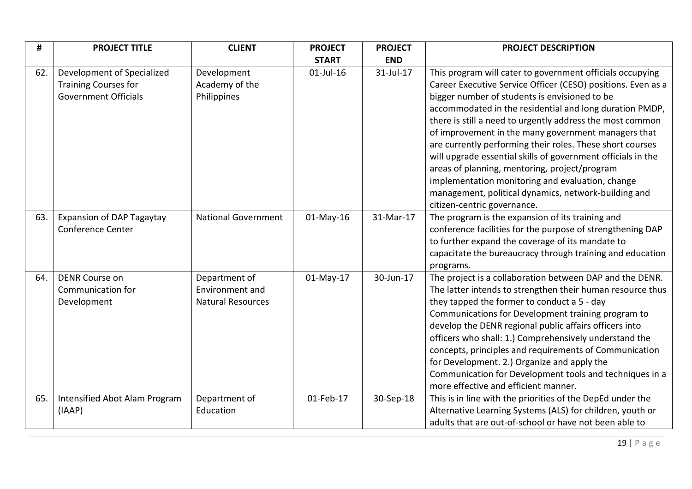| #   | <b>PROJECT TITLE</b>                                                                     | <b>CLIENT</b>                                                | <b>PROJECT</b> | <b>PROJECT</b> | <b>PROJECT DESCRIPTION</b>                                                                                                                                                                                                                                                                                                                                                                                                                                                                                                                                                                                                                                                         |
|-----|------------------------------------------------------------------------------------------|--------------------------------------------------------------|----------------|----------------|------------------------------------------------------------------------------------------------------------------------------------------------------------------------------------------------------------------------------------------------------------------------------------------------------------------------------------------------------------------------------------------------------------------------------------------------------------------------------------------------------------------------------------------------------------------------------------------------------------------------------------------------------------------------------------|
|     |                                                                                          |                                                              | <b>START</b>   | <b>END</b>     |                                                                                                                                                                                                                                                                                                                                                                                                                                                                                                                                                                                                                                                                                    |
| 62. | Development of Specialized<br><b>Training Courses for</b><br><b>Government Officials</b> | Development<br>Academy of the<br>Philippines                 | $01$ -Jul-16   | 31-Jul-17      | This program will cater to government officials occupying<br>Career Executive Service Officer (CESO) positions. Even as a<br>bigger number of students is envisioned to be<br>accommodated in the residential and long duration PMDP,<br>there is still a need to urgently address the most common<br>of improvement in the many government managers that<br>are currently performing their roles. These short courses<br>will upgrade essential skills of government officials in the<br>areas of planning, mentoring, project/program<br>implementation monitoring and evaluation, change<br>management, political dynamics, network-building and<br>citizen-centric governance. |
| 63. | <b>Expansion of DAP Tagaytay</b><br><b>Conference Center</b>                             | <b>National Government</b>                                   | 01-May-16      | 31-Mar-17      | The program is the expansion of its training and<br>conference facilities for the purpose of strengthening DAP<br>to further expand the coverage of its mandate to<br>capacitate the bureaucracy through training and education<br>programs.                                                                                                                                                                                                                                                                                                                                                                                                                                       |
| 64. | <b>DENR Course on</b><br>Communication for<br>Development                                | Department of<br>Environment and<br><b>Natural Resources</b> | 01-May-17      | 30-Jun-17      | The project is a collaboration between DAP and the DENR.<br>The latter intends to strengthen their human resource thus<br>they tapped the former to conduct a 5 - day<br>Communications for Development training program to<br>develop the DENR regional public affairs officers into<br>officers who shall: 1.) Comprehensively understand the<br>concepts, principles and requirements of Communication<br>for Development. 2.) Organize and apply the<br>Communication for Development tools and techniques in a<br>more effective and efficient manner.                                                                                                                        |
| 65. | Intensified Abot Alam Program<br>(IAAP)                                                  | Department of<br>Education                                   | 01-Feb-17      | 30-Sep-18      | This is in line with the priorities of the DepEd under the<br>Alternative Learning Systems (ALS) for children, youth or<br>adults that are out-of-school or have not been able to                                                                                                                                                                                                                                                                                                                                                                                                                                                                                                  |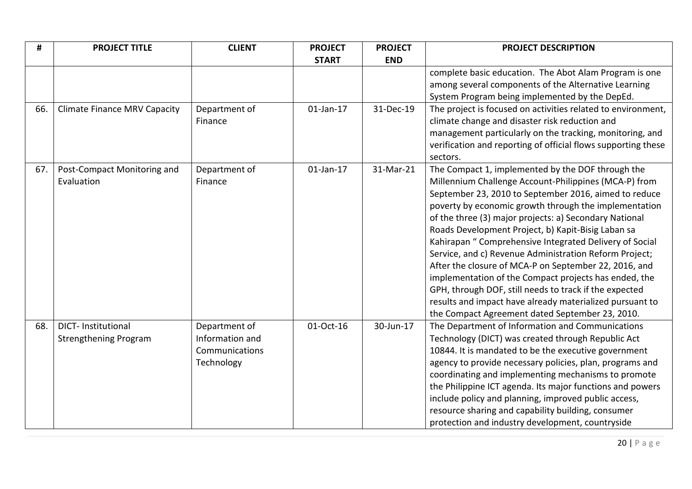| #   | <b>PROJECT TITLE</b>                | <b>CLIENT</b>   | <b>PROJECT</b> | <b>PROJECT</b> | <b>PROJECT DESCRIPTION</b>                                    |
|-----|-------------------------------------|-----------------|----------------|----------------|---------------------------------------------------------------|
|     |                                     |                 | <b>START</b>   | <b>END</b>     |                                                               |
|     |                                     |                 |                |                | complete basic education. The Abot Alam Program is one        |
|     |                                     |                 |                |                | among several components of the Alternative Learning          |
|     |                                     |                 |                |                | System Program being implemented by the DepEd.                |
| 66. | <b>Climate Finance MRV Capacity</b> | Department of   | $01$ -Jan-17   | 31-Dec-19      | The project is focused on activities related to environment,  |
|     |                                     | Finance         |                |                | climate change and disaster risk reduction and                |
|     |                                     |                 |                |                | management particularly on the tracking, monitoring, and      |
|     |                                     |                 |                |                | verification and reporting of official flows supporting these |
|     |                                     |                 |                |                | sectors.                                                      |
| 67. | Post-Compact Monitoring and         | Department of   | $01$ -Jan-17   | 31-Mar-21      | The Compact 1, implemented by the DOF through the             |
|     | Evaluation                          | Finance         |                |                | Millennium Challenge Account-Philippines (MCA-P) from         |
|     |                                     |                 |                |                | September 23, 2010 to September 2016, aimed to reduce         |
|     |                                     |                 |                |                | poverty by economic growth through the implementation         |
|     |                                     |                 |                |                | of the three (3) major projects: a) Secondary National        |
|     |                                     |                 |                |                | Roads Development Project, b) Kapit-Bisig Laban sa            |
|     |                                     |                 |                |                | Kahirapan " Comprehensive Integrated Delivery of Social       |
|     |                                     |                 |                |                | Service, and c) Revenue Administration Reform Project;        |
|     |                                     |                 |                |                | After the closure of MCA-P on September 22, 2016, and         |
|     |                                     |                 |                |                | implementation of the Compact projects has ended, the         |
|     |                                     |                 |                |                | GPH, through DOF, still needs to track if the expected        |
|     |                                     |                 |                |                | results and impact have already materialized pursuant to      |
|     |                                     |                 |                |                | the Compact Agreement dated September 23, 2010.               |
| 68. | <b>DICT-Institutional</b>           | Department of   | 01-Oct-16      | 30-Jun-17      | The Department of Information and Communications              |
|     | <b>Strengthening Program</b>        | Information and |                |                | Technology (DICT) was created through Republic Act            |
|     |                                     | Communications  |                |                | 10844. It is mandated to be the executive government          |
|     |                                     | Technology      |                |                | agency to provide necessary policies, plan, programs and      |
|     |                                     |                 |                |                | coordinating and implementing mechanisms to promote           |
|     |                                     |                 |                |                | the Philippine ICT agenda. Its major functions and powers     |
|     |                                     |                 |                |                | include policy and planning, improved public access,          |
|     |                                     |                 |                |                | resource sharing and capability building, consumer            |
|     |                                     |                 |                |                | protection and industry development, countryside              |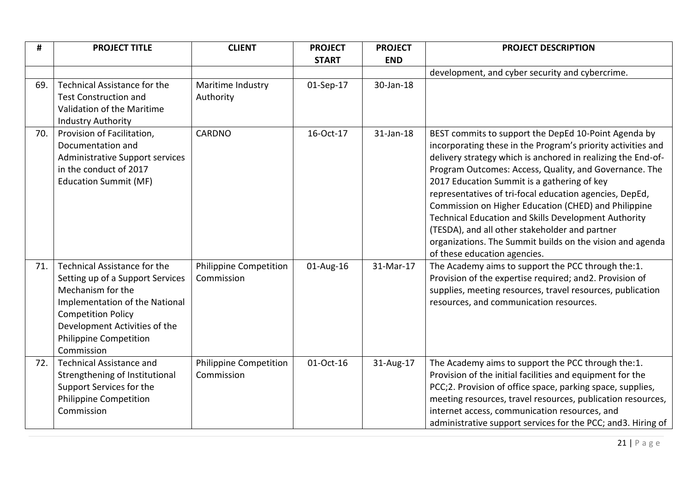| #   | <b>PROJECT TITLE</b>                   | <b>CLIENT</b>                 | <b>PROJECT</b> | <b>PROJECT</b> | <b>PROJECT DESCRIPTION</b>                                                                                   |
|-----|----------------------------------------|-------------------------------|----------------|----------------|--------------------------------------------------------------------------------------------------------------|
|     |                                        |                               | <b>START</b>   | <b>END</b>     |                                                                                                              |
|     |                                        |                               |                |                | development, and cyber security and cybercrime.                                                              |
| 69. | Technical Assistance for the           | Maritime Industry             | 01-Sep-17      | 30-Jan-18      |                                                                                                              |
|     | <b>Test Construction and</b>           | Authority                     |                |                |                                                                                                              |
|     | Validation of the Maritime             |                               |                |                |                                                                                                              |
|     | <b>Industry Authority</b>              |                               |                |                |                                                                                                              |
| 70. | Provision of Facilitation,             | <b>CARDNO</b>                 | 16-Oct-17      | 31-Jan-18      | BEST commits to support the DepEd 10-Point Agenda by                                                         |
|     | Documentation and                      |                               |                |                | incorporating these in the Program's priority activities and                                                 |
|     | <b>Administrative Support services</b> |                               |                |                | delivery strategy which is anchored in realizing the End-of-                                                 |
|     | in the conduct of 2017                 |                               |                |                | Program Outcomes: Access, Quality, and Governance. The                                                       |
|     | <b>Education Summit (MF)</b>           |                               |                |                | 2017 Education Summit is a gathering of key                                                                  |
|     |                                        |                               |                |                | representatives of tri-focal education agencies, DepEd,                                                      |
|     |                                        |                               |                |                | Commission on Higher Education (CHED) and Philippine<br>Technical Education and Skills Development Authority |
|     |                                        |                               |                |                | (TESDA), and all other stakeholder and partner                                                               |
|     |                                        |                               |                |                | organizations. The Summit builds on the vision and agenda                                                    |
|     |                                        |                               |                |                | of these education agencies.                                                                                 |
| 71. | Technical Assistance for the           | <b>Philippine Competition</b> | 01-Aug-16      | 31-Mar-17      | The Academy aims to support the PCC through the:1.                                                           |
|     | Setting up of a Support Services       | Commission                    |                |                | Provision of the expertise required; and 2. Provision of                                                     |
|     | Mechanism for the                      |                               |                |                | supplies, meeting resources, travel resources, publication                                                   |
|     | Implementation of the National         |                               |                |                | resources, and communication resources.                                                                      |
|     | <b>Competition Policy</b>              |                               |                |                |                                                                                                              |
|     | Development Activities of the          |                               |                |                |                                                                                                              |
|     | <b>Philippine Competition</b>          |                               |                |                |                                                                                                              |
|     | Commission                             |                               |                |                |                                                                                                              |
| 72. | <b>Technical Assistance and</b>        | <b>Philippine Competition</b> | 01-Oct-16      | 31-Aug-17      | The Academy aims to support the PCC through the:1.                                                           |
|     | Strengthening of Institutional         | Commission                    |                |                | Provision of the initial facilities and equipment for the                                                    |
|     | Support Services for the               |                               |                |                | PCC;2. Provision of office space, parking space, supplies,                                                   |
|     | <b>Philippine Competition</b>          |                               |                |                | meeting resources, travel resources, publication resources,                                                  |
|     | Commission                             |                               |                |                | internet access, communication resources, and                                                                |
|     |                                        |                               |                |                | administrative support services for the PCC; and 3. Hiring of                                                |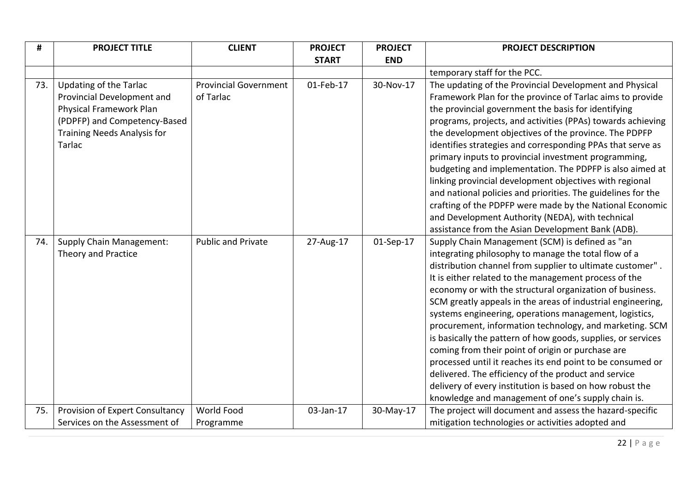| #   | <b>PROJECT TITLE</b>               | <b>CLIENT</b>                | <b>PROJECT</b> | <b>PROJECT</b> | <b>PROJECT DESCRIPTION</b>                                   |
|-----|------------------------------------|------------------------------|----------------|----------------|--------------------------------------------------------------|
|     |                                    |                              | <b>START</b>   | <b>END</b>     |                                                              |
|     |                                    |                              |                |                | temporary staff for the PCC.                                 |
| 73. | <b>Updating of the Tarlac</b>      | <b>Provincial Government</b> | 01-Feb-17      | 30-Nov-17      | The updating of the Provincial Development and Physical      |
|     | Provincial Development and         | of Tarlac                    |                |                | Framework Plan for the province of Tarlac aims to provide    |
|     | Physical Framework Plan            |                              |                |                | the provincial government the basis for identifying          |
|     | (PDPFP) and Competency-Based       |                              |                |                | programs, projects, and activities (PPAs) towards achieving  |
|     | <b>Training Needs Analysis for</b> |                              |                |                | the development objectives of the province. The PDPFP        |
|     | Tarlac                             |                              |                |                | identifies strategies and corresponding PPAs that serve as   |
|     |                                    |                              |                |                | primary inputs to provincial investment programming,         |
|     |                                    |                              |                |                | budgeting and implementation. The PDPFP is also aimed at     |
|     |                                    |                              |                |                | linking provincial development objectives with regional      |
|     |                                    |                              |                |                | and national policies and priorities. The guidelines for the |
|     |                                    |                              |                |                | crafting of the PDPFP were made by the National Economic     |
|     |                                    |                              |                |                | and Development Authority (NEDA), with technical             |
|     |                                    |                              |                |                | assistance from the Asian Development Bank (ADB).            |
| 74. | <b>Supply Chain Management:</b>    | <b>Public and Private</b>    | 27-Aug-17      | 01-Sep-17      | Supply Chain Management (SCM) is defined as "an              |
|     | Theory and Practice                |                              |                |                | integrating philosophy to manage the total flow of a         |
|     |                                    |                              |                |                | distribution channel from supplier to ultimate customer".    |
|     |                                    |                              |                |                | It is either related to the management process of the        |
|     |                                    |                              |                |                | economy or with the structural organization of business.     |
|     |                                    |                              |                |                | SCM greatly appeals in the areas of industrial engineering,  |
|     |                                    |                              |                |                | systems engineering, operations management, logistics,       |
|     |                                    |                              |                |                | procurement, information technology, and marketing. SCM      |
|     |                                    |                              |                |                | is basically the pattern of how goods, supplies, or services |
|     |                                    |                              |                |                | coming from their point of origin or purchase are            |
|     |                                    |                              |                |                | processed until it reaches its end point to be consumed or   |
|     |                                    |                              |                |                | delivered. The efficiency of the product and service         |
|     |                                    |                              |                |                | delivery of every institution is based on how robust the     |
|     |                                    |                              |                |                | knowledge and management of one's supply chain is.           |
| 75. | Provision of Expert Consultancy    | World Food                   | 03-Jan-17      | 30-May-17      | The project will document and assess the hazard-specific     |
|     | Services on the Assessment of      | Programme                    |                |                | mitigation technologies or activities adopted and            |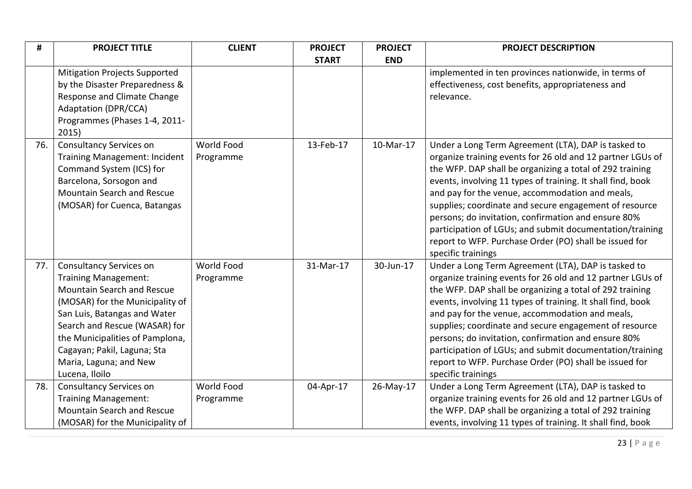| #   | <b>PROJECT TITLE</b>                 | <b>CLIENT</b> | <b>PROJECT</b> | <b>PROJECT</b> | <b>PROJECT DESCRIPTION</b>                                                                                         |
|-----|--------------------------------------|---------------|----------------|----------------|--------------------------------------------------------------------------------------------------------------------|
|     |                                      |               | <b>START</b>   | <b>END</b>     |                                                                                                                    |
|     | <b>Mitigation Projects Supported</b> |               |                |                | implemented in ten provinces nationwide, in terms of                                                               |
|     | by the Disaster Preparedness &       |               |                |                | effectiveness, cost benefits, appropriateness and                                                                  |
|     | Response and Climate Change          |               |                |                | relevance.                                                                                                         |
|     | <b>Adaptation (DPR/CCA)</b>          |               |                |                |                                                                                                                    |
|     | Programmes (Phases 1-4, 2011-        |               |                |                |                                                                                                                    |
|     | 2015)                                |               |                |                |                                                                                                                    |
| 76. | Consultancy Services on              | World Food    | 13-Feb-17      | 10-Mar-17      | Under a Long Term Agreement (LTA), DAP is tasked to                                                                |
|     | <b>Training Management: Incident</b> | Programme     |                |                | organize training events for 26 old and 12 partner LGUs of                                                         |
|     | Command System (ICS) for             |               |                |                | the WFP. DAP shall be organizing a total of 292 training                                                           |
|     | Barcelona, Sorsogon and              |               |                |                | events, involving 11 types of training. It shall find, book                                                        |
|     | Mountain Search and Rescue           |               |                |                | and pay for the venue, accommodation and meals,                                                                    |
|     | (MOSAR) for Cuenca, Batangas         |               |                |                | supplies; coordinate and secure engagement of resource                                                             |
|     |                                      |               |                |                | persons; do invitation, confirmation and ensure 80%                                                                |
|     |                                      |               |                |                | participation of LGUs; and submit documentation/training<br>report to WFP. Purchase Order (PO) shall be issued for |
|     |                                      |               |                |                | specific trainings                                                                                                 |
| 77. | Consultancy Services on              | World Food    | 31-Mar-17      | 30-Jun-17      | Under a Long Term Agreement (LTA), DAP is tasked to                                                                |
|     | Training Management:                 | Programme     |                |                | organize training events for 26 old and 12 partner LGUs of                                                         |
|     | Mountain Search and Rescue           |               |                |                | the WFP. DAP shall be organizing a total of 292 training                                                           |
|     | (MOSAR) for the Municipality of      |               |                |                | events, involving 11 types of training. It shall find, book                                                        |
|     | San Luis, Batangas and Water         |               |                |                | and pay for the venue, accommodation and meals,                                                                    |
|     | Search and Rescue (WASAR) for        |               |                |                | supplies; coordinate and secure engagement of resource                                                             |
|     | the Municipalities of Pamplona,      |               |                |                | persons; do invitation, confirmation and ensure 80%                                                                |
|     | Cagayan; Pakil, Laguna; Sta          |               |                |                | participation of LGUs; and submit documentation/training                                                           |
|     | Maria, Laguna; and New               |               |                |                | report to WFP. Purchase Order (PO) shall be issued for                                                             |
|     | Lucena, Iloilo                       |               |                |                | specific trainings                                                                                                 |
| 78. | <b>Consultancy Services on</b>       | World Food    | 04-Apr-17      | 26-May-17      | Under a Long Term Agreement (LTA), DAP is tasked to                                                                |
|     | Training Management:                 | Programme     |                |                | organize training events for 26 old and 12 partner LGUs of                                                         |
|     | Mountain Search and Rescue           |               |                |                | the WFP. DAP shall be organizing a total of 292 training                                                           |
|     | (MOSAR) for the Municipality of      |               |                |                | events, involving 11 types of training. It shall find, book                                                        |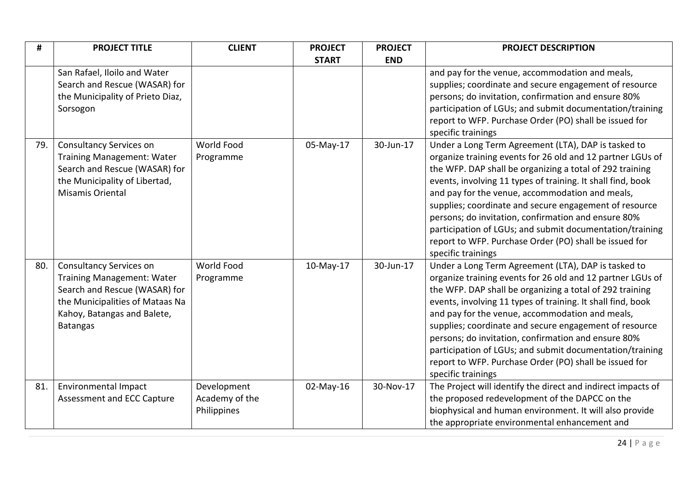| #   | <b>PROJECT TITLE</b>                                                                                                                                                                      | <b>CLIENT</b>                                | <b>PROJECT</b> | <b>PROJECT</b> | <b>PROJECT DESCRIPTION</b>                                                                                                                                                                                                                                                                                                                                                                                                                                                                                                                                   |
|-----|-------------------------------------------------------------------------------------------------------------------------------------------------------------------------------------------|----------------------------------------------|----------------|----------------|--------------------------------------------------------------------------------------------------------------------------------------------------------------------------------------------------------------------------------------------------------------------------------------------------------------------------------------------------------------------------------------------------------------------------------------------------------------------------------------------------------------------------------------------------------------|
|     |                                                                                                                                                                                           |                                              | <b>START</b>   | <b>END</b>     |                                                                                                                                                                                                                                                                                                                                                                                                                                                                                                                                                              |
|     | San Rafael, Iloilo and Water<br>Search and Rescue (WASAR) for<br>the Municipality of Prieto Diaz,<br>Sorsogon                                                                             |                                              |                |                | and pay for the venue, accommodation and meals,<br>supplies; coordinate and secure engagement of resource<br>persons; do invitation, confirmation and ensure 80%<br>participation of LGUs; and submit documentation/training<br>report to WFP. Purchase Order (PO) shall be issued for<br>specific trainings                                                                                                                                                                                                                                                 |
| 79. | <b>Consultancy Services on</b><br><b>Training Management: Water</b><br>Search and Rescue (WASAR) for<br>the Municipality of Libertad,<br>Misamis Oriental                                 | World Food<br>Programme                      | 05-May-17      | 30-Jun-17      | Under a Long Term Agreement (LTA), DAP is tasked to<br>organize training events for 26 old and 12 partner LGUs of<br>the WFP. DAP shall be organizing a total of 292 training<br>events, involving 11 types of training. It shall find, book<br>and pay for the venue, accommodation and meals,<br>supplies; coordinate and secure engagement of resource<br>persons; do invitation, confirmation and ensure 80%<br>participation of LGUs; and submit documentation/training<br>report to WFP. Purchase Order (PO) shall be issued for<br>specific trainings |
| 80. | <b>Consultancy Services on</b><br><b>Training Management: Water</b><br>Search and Rescue (WASAR) for<br>the Municipalities of Mataas Na<br>Kahoy, Batangas and Balete,<br><b>Batangas</b> | World Food<br>Programme                      | 10-May-17      | 30-Jun-17      | Under a Long Term Agreement (LTA), DAP is tasked to<br>organize training events for 26 old and 12 partner LGUs of<br>the WFP. DAP shall be organizing a total of 292 training<br>events, involving 11 types of training. It shall find, book<br>and pay for the venue, accommodation and meals,<br>supplies; coordinate and secure engagement of resource<br>persons; do invitation, confirmation and ensure 80%<br>participation of LGUs; and submit documentation/training<br>report to WFP. Purchase Order (PO) shall be issued for<br>specific trainings |
| 81. | Environmental Impact<br>Assessment and ECC Capture                                                                                                                                        | Development<br>Academy of the<br>Philippines | 02-May-16      | 30-Nov-17      | The Project will identify the direct and indirect impacts of<br>the proposed redevelopment of the DAPCC on the<br>biophysical and human environment. It will also provide<br>the appropriate environmental enhancement and                                                                                                                                                                                                                                                                                                                                   |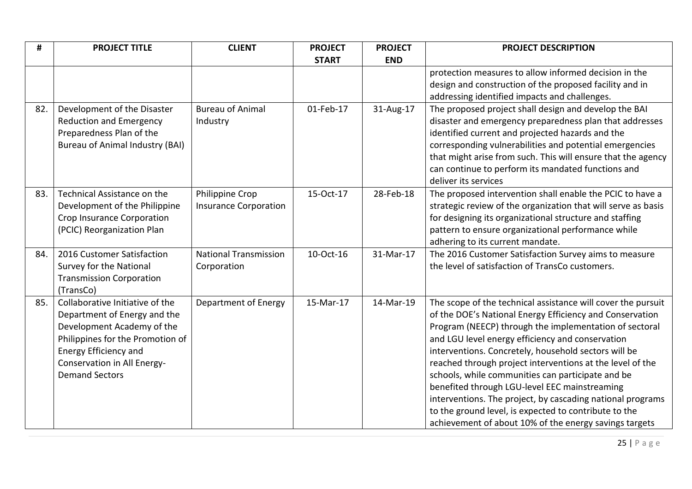| #   | <b>PROJECT TITLE</b>                   | <b>CLIENT</b>                | <b>PROJECT</b> | <b>PROJECT</b> | <b>PROJECT DESCRIPTION</b>                                    |
|-----|----------------------------------------|------------------------------|----------------|----------------|---------------------------------------------------------------|
|     |                                        |                              | <b>START</b>   | <b>END</b>     |                                                               |
|     |                                        |                              |                |                | protection measures to allow informed decision in the         |
|     |                                        |                              |                |                | design and construction of the proposed facility and in       |
|     |                                        |                              |                |                | addressing identified impacts and challenges.                 |
| 82. | Development of the Disaster            | <b>Bureau of Animal</b>      | 01-Feb-17      | 31-Aug-17      | The proposed project shall design and develop the BAI         |
|     | <b>Reduction and Emergency</b>         | Industry                     |                |                | disaster and emergency preparedness plan that addresses       |
|     | Preparedness Plan of the               |                              |                |                | identified current and projected hazards and the              |
|     | <b>Bureau of Animal Industry (BAI)</b> |                              |                |                | corresponding vulnerabilities and potential emergencies       |
|     |                                        |                              |                |                | that might arise from such. This will ensure that the agency  |
|     |                                        |                              |                |                | can continue to perform its mandated functions and            |
|     |                                        |                              |                |                | deliver its services                                          |
| 83. | Technical Assistance on the            | Philippine Crop              | 15-Oct-17      | 28-Feb-18      | The proposed intervention shall enable the PCIC to have a     |
|     | Development of the Philippine          | <b>Insurance Corporation</b> |                |                | strategic review of the organization that will serve as basis |
|     | Crop Insurance Corporation             |                              |                |                | for designing its organizational structure and staffing       |
|     | (PCIC) Reorganization Plan             |                              |                |                | pattern to ensure organizational performance while            |
|     |                                        |                              |                |                | adhering to its current mandate.                              |
| 84. | 2016 Customer Satisfaction             | <b>National Transmission</b> | 10-Oct-16      | 31-Mar-17      | The 2016 Customer Satisfaction Survey aims to measure         |
|     | Survey for the National                | Corporation                  |                |                | the level of satisfaction of TransCo customers.               |
|     | <b>Transmission Corporation</b>        |                              |                |                |                                                               |
|     | (TransCo)                              |                              |                |                |                                                               |
| 85. | Collaborative Initiative of the        | Department of Energy         | 15-Mar-17      | 14-Mar-19      | The scope of the technical assistance will cover the pursuit  |
|     | Department of Energy and the           |                              |                |                | of the DOE's National Energy Efficiency and Conservation      |
|     | Development Academy of the             |                              |                |                | Program (NEECP) through the implementation of sectoral        |
|     | Philippines for the Promotion of       |                              |                |                | and LGU level energy efficiency and conservation              |
|     | Energy Efficiency and                  |                              |                |                | interventions. Concretely, household sectors will be          |
|     | Conservation in All Energy-            |                              |                |                | reached through project interventions at the level of the     |
|     | <b>Demand Sectors</b>                  |                              |                |                | schools, while communities can participate and be             |
|     |                                        |                              |                |                | benefited through LGU-level EEC mainstreaming                 |
|     |                                        |                              |                |                | interventions. The project, by cascading national programs    |
|     |                                        |                              |                |                | to the ground level, is expected to contribute to the         |
|     |                                        |                              |                |                | achievement of about 10% of the energy savings targets        |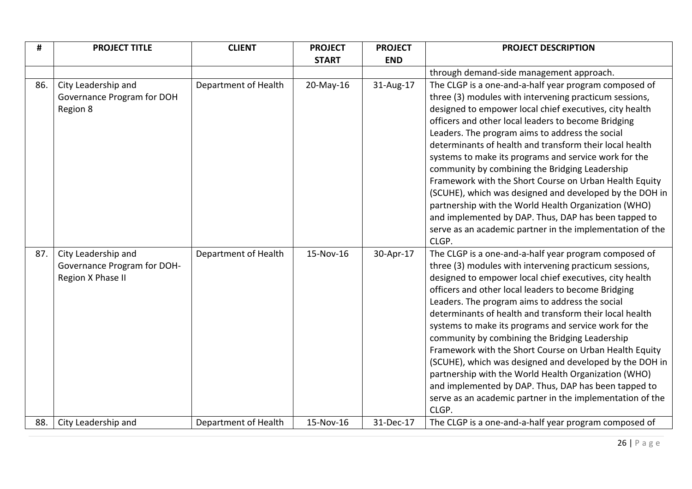| #   | <b>PROJECT TITLE</b>        | <b>CLIENT</b>        | <b>PROJECT</b> | <b>PROJECT</b> | <b>PROJECT DESCRIPTION</b>                                |
|-----|-----------------------------|----------------------|----------------|----------------|-----------------------------------------------------------|
|     |                             |                      | <b>START</b>   | <b>END</b>     |                                                           |
|     |                             |                      |                |                | through demand-side management approach.                  |
| 86. | City Leadership and         | Department of Health | 20-May-16      | 31-Aug-17      | The CLGP is a one-and-a-half year program composed of     |
|     | Governance Program for DOH  |                      |                |                | three (3) modules with intervening practicum sessions,    |
|     | Region 8                    |                      |                |                | designed to empower local chief executives, city health   |
|     |                             |                      |                |                | officers and other local leaders to become Bridging       |
|     |                             |                      |                |                | Leaders. The program aims to address the social           |
|     |                             |                      |                |                | determinants of health and transform their local health   |
|     |                             |                      |                |                | systems to make its programs and service work for the     |
|     |                             |                      |                |                | community by combining the Bridging Leadership            |
|     |                             |                      |                |                | Framework with the Short Course on Urban Health Equity    |
|     |                             |                      |                |                | (SCUHE), which was designed and developed by the DOH in   |
|     |                             |                      |                |                | partnership with the World Health Organization (WHO)      |
|     |                             |                      |                |                | and implemented by DAP. Thus, DAP has been tapped to      |
|     |                             |                      |                |                | serve as an academic partner in the implementation of the |
|     |                             |                      |                |                | CLGP.                                                     |
| 87. | City Leadership and         | Department of Health | 15-Nov-16      | 30-Apr-17      | The CLGP is a one-and-a-half year program composed of     |
|     | Governance Program for DOH- |                      |                |                | three (3) modules with intervening practicum sessions,    |
|     | Region X Phase II           |                      |                |                | designed to empower local chief executives, city health   |
|     |                             |                      |                |                | officers and other local leaders to become Bridging       |
|     |                             |                      |                |                | Leaders. The program aims to address the social           |
|     |                             |                      |                |                | determinants of health and transform their local health   |
|     |                             |                      |                |                | systems to make its programs and service work for the     |
|     |                             |                      |                |                | community by combining the Bridging Leadership            |
|     |                             |                      |                |                | Framework with the Short Course on Urban Health Equity    |
|     |                             |                      |                |                | (SCUHE), which was designed and developed by the DOH in   |
|     |                             |                      |                |                | partnership with the World Health Organization (WHO)      |
|     |                             |                      |                |                | and implemented by DAP. Thus, DAP has been tapped to      |
|     |                             |                      |                |                | serve as an academic partner in the implementation of the |
|     |                             |                      |                |                | CLGP.                                                     |
| 88. | City Leadership and         | Department of Health | 15-Nov-16      | 31-Dec-17      | The CLGP is a one-and-a-half year program composed of     |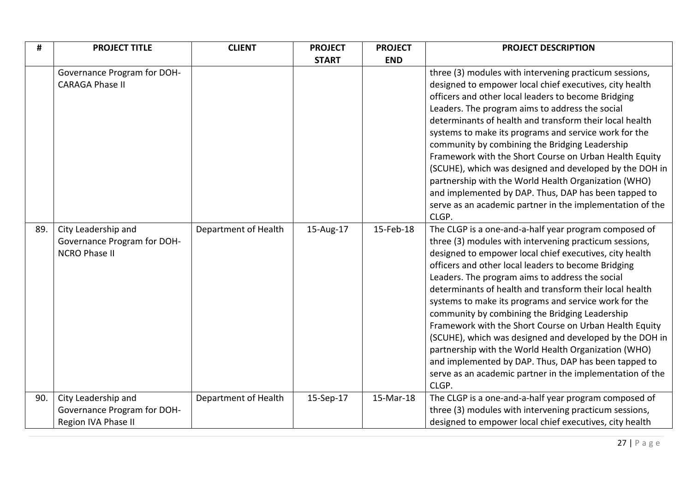| #   | <b>PROJECT TITLE</b>        | <b>CLIENT</b>        | <b>PROJECT</b> | <b>PROJECT</b> | <b>PROJECT DESCRIPTION</b>                                |
|-----|-----------------------------|----------------------|----------------|----------------|-----------------------------------------------------------|
|     |                             |                      | <b>START</b>   | <b>END</b>     |                                                           |
|     | Governance Program for DOH- |                      |                |                | three (3) modules with intervening practicum sessions,    |
|     | <b>CARAGA Phase II</b>      |                      |                |                | designed to empower local chief executives, city health   |
|     |                             |                      |                |                | officers and other local leaders to become Bridging       |
|     |                             |                      |                |                | Leaders. The program aims to address the social           |
|     |                             |                      |                |                | determinants of health and transform their local health   |
|     |                             |                      |                |                | systems to make its programs and service work for the     |
|     |                             |                      |                |                | community by combining the Bridging Leadership            |
|     |                             |                      |                |                | Framework with the Short Course on Urban Health Equity    |
|     |                             |                      |                |                | (SCUHE), which was designed and developed by the DOH in   |
|     |                             |                      |                |                | partnership with the World Health Organization (WHO)      |
|     |                             |                      |                |                | and implemented by DAP. Thus, DAP has been tapped to      |
|     |                             |                      |                |                | serve as an academic partner in the implementation of the |
|     |                             |                      |                |                | CLGP.                                                     |
| 89. | City Leadership and         | Department of Health | 15-Aug-17      | 15-Feb-18      | The CLGP is a one-and-a-half year program composed of     |
|     | Governance Program for DOH- |                      |                |                | three (3) modules with intervening practicum sessions,    |
|     | <b>NCRO Phase II</b>        |                      |                |                | designed to empower local chief executives, city health   |
|     |                             |                      |                |                | officers and other local leaders to become Bridging       |
|     |                             |                      |                |                | Leaders. The program aims to address the social           |
|     |                             |                      |                |                | determinants of health and transform their local health   |
|     |                             |                      |                |                | systems to make its programs and service work for the     |
|     |                             |                      |                |                | community by combining the Bridging Leadership            |
|     |                             |                      |                |                | Framework with the Short Course on Urban Health Equity    |
|     |                             |                      |                |                | (SCUHE), which was designed and developed by the DOH in   |
|     |                             |                      |                |                | partnership with the World Health Organization (WHO)      |
|     |                             |                      |                |                | and implemented by DAP. Thus, DAP has been tapped to      |
|     |                             |                      |                |                | serve as an academic partner in the implementation of the |
|     |                             |                      |                |                | CLGP.                                                     |
| 90. | City Leadership and         | Department of Health | 15-Sep-17      | 15-Mar-18      | The CLGP is a one-and-a-half year program composed of     |
|     | Governance Program for DOH- |                      |                |                | three (3) modules with intervening practicum sessions,    |
|     | Region IVA Phase II         |                      |                |                | designed to empower local chief executives, city health   |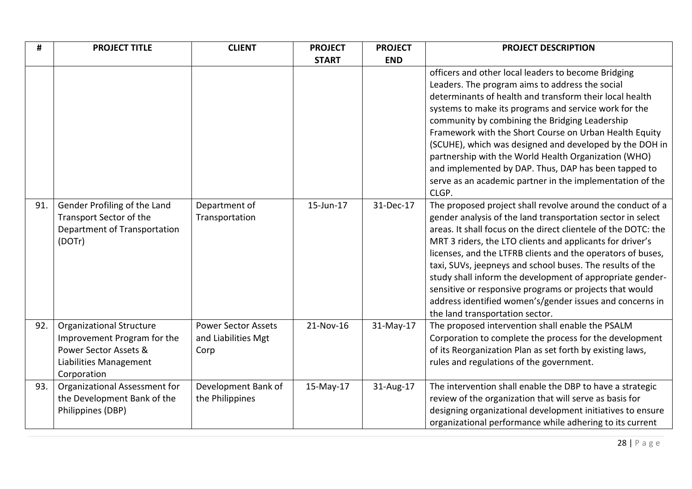| #   | <b>PROJECT TITLE</b>                                                                                                             | <b>CLIENT</b>                                             | <b>PROJECT</b> | <b>PROJECT</b> | <b>PROJECT DESCRIPTION</b>                                                                                                                                                                                                                                                                                                                                                                                                                                                                                                                                                                                  |
|-----|----------------------------------------------------------------------------------------------------------------------------------|-----------------------------------------------------------|----------------|----------------|-------------------------------------------------------------------------------------------------------------------------------------------------------------------------------------------------------------------------------------------------------------------------------------------------------------------------------------------------------------------------------------------------------------------------------------------------------------------------------------------------------------------------------------------------------------------------------------------------------------|
|     |                                                                                                                                  |                                                           | <b>START</b>   | <b>END</b>     |                                                                                                                                                                                                                                                                                                                                                                                                                                                                                                                                                                                                             |
|     |                                                                                                                                  |                                                           |                |                | officers and other local leaders to become Bridging<br>Leaders. The program aims to address the social<br>determinants of health and transform their local health<br>systems to make its programs and service work for the<br>community by combining the Bridging Leadership<br>Framework with the Short Course on Urban Health Equity<br>(SCUHE), which was designed and developed by the DOH in<br>partnership with the World Health Organization (WHO)<br>and implemented by DAP. Thus, DAP has been tapped to<br>serve as an academic partner in the implementation of the<br>CLGP.                     |
| 91. | Gender Profiling of the Land<br>Transport Sector of the<br>Department of Transportation<br>(DOTr)                                | Department of<br>Transportation                           | 15-Jun-17      | 31-Dec-17      | The proposed project shall revolve around the conduct of a<br>gender analysis of the land transportation sector in select<br>areas. It shall focus on the direct clientele of the DOTC: the<br>MRT 3 riders, the LTO clients and applicants for driver's<br>licenses, and the LTFRB clients and the operators of buses,<br>taxi, SUVs, jeepneys and school buses. The results of the<br>study shall inform the development of appropriate gender-<br>sensitive or responsive programs or projects that would<br>address identified women's/gender issues and concerns in<br>the land transportation sector. |
| 92. | <b>Organizational Structure</b><br>Improvement Program for the<br>Power Sector Assets &<br>Liabilities Management<br>Corporation | <b>Power Sector Assets</b><br>and Liabilities Mgt<br>Corp | 21-Nov-16      | 31-May-17      | The proposed intervention shall enable the PSALM<br>Corporation to complete the process for the development<br>of its Reorganization Plan as set forth by existing laws,<br>rules and regulations of the government.                                                                                                                                                                                                                                                                                                                                                                                        |
| 93. | Organizational Assessment for<br>the Development Bank of the<br>Philippines (DBP)                                                | Development Bank of<br>the Philippines                    | 15-May-17      | 31-Aug-17      | The intervention shall enable the DBP to have a strategic<br>review of the organization that will serve as basis for<br>designing organizational development initiatives to ensure<br>organizational performance while adhering to its current                                                                                                                                                                                                                                                                                                                                                              |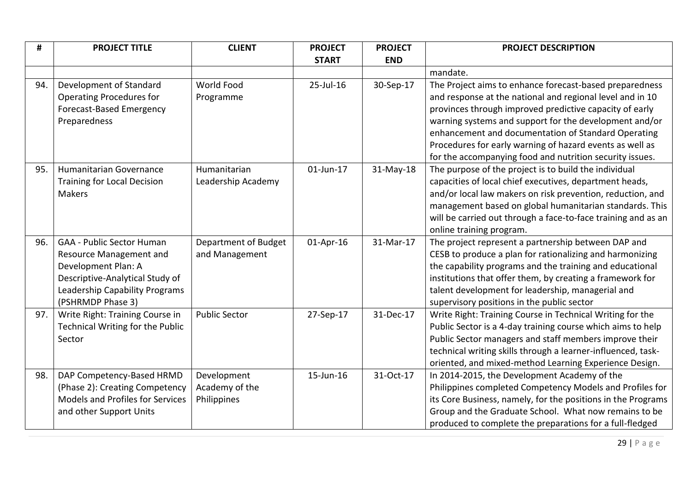| #   | <b>PROJECT TITLE</b>               | <b>CLIENT</b>        | <b>PROJECT</b> | <b>PROJECT</b> | <b>PROJECT DESCRIPTION</b>                                    |
|-----|------------------------------------|----------------------|----------------|----------------|---------------------------------------------------------------|
|     |                                    |                      | <b>START</b>   | <b>END</b>     |                                                               |
|     |                                    |                      |                |                | mandate.                                                      |
| 94. | Development of Standard            | World Food           | 25-Jul-16      | 30-Sep-17      | The Project aims to enhance forecast-based preparedness       |
|     | <b>Operating Procedures for</b>    | Programme            |                |                | and response at the national and regional level and in 10     |
|     | Forecast-Based Emergency           |                      |                |                | provinces through improved predictive capacity of early       |
|     | Preparedness                       |                      |                |                | warning systems and support for the development and/or        |
|     |                                    |                      |                |                | enhancement and documentation of Standard Operating           |
|     |                                    |                      |                |                | Procedures for early warning of hazard events as well as      |
|     |                                    |                      |                |                | for the accompanying food and nutrition security issues.      |
| 95. | Humanitarian Governance            | Humanitarian         | $01$ -Jun-17   | 31-May-18      | The purpose of the project is to build the individual         |
|     | <b>Training for Local Decision</b> | Leadership Academy   |                |                | capacities of local chief executives, department heads,       |
|     | <b>Makers</b>                      |                      |                |                | and/or local law makers on risk prevention, reduction, and    |
|     |                                    |                      |                |                | management based on global humanitarian standards. This       |
|     |                                    |                      |                |                | will be carried out through a face-to-face training and as an |
|     |                                    |                      |                |                | online training program.                                      |
| 96. | <b>GAA - Public Sector Human</b>   | Department of Budget | 01-Apr-16      | 31-Mar-17      | The project represent a partnership between DAP and           |
|     | Resource Management and            | and Management       |                |                | CESB to produce a plan for rationalizing and harmonizing      |
|     | Development Plan: A                |                      |                |                | the capability programs and the training and educational      |
|     | Descriptive-Analytical Study of    |                      |                |                | institutions that offer them, by creating a framework for     |
|     | Leadership Capability Programs     |                      |                |                | talent development for leadership, managerial and             |
|     | (PSHRMDP Phase 3)                  |                      |                |                | supervisory positions in the public sector                    |
| 97. | Write Right: Training Course in    | <b>Public Sector</b> | 27-Sep-17      | 31-Dec-17      | Write Right: Training Course in Technical Writing for the     |
|     | Technical Writing for the Public   |                      |                |                | Public Sector is a 4-day training course which aims to help   |
|     | Sector                             |                      |                |                | Public Sector managers and staff members improve their        |
|     |                                    |                      |                |                | technical writing skills through a learner-influenced, task-  |
|     |                                    |                      |                |                | oriented, and mixed-method Learning Experience Design.        |
| 98. | DAP Competency-Based HRMD          | Development          | 15-Jun-16      | 31-Oct-17      | In 2014-2015, the Development Academy of the                  |
|     | (Phase 2): Creating Competency     | Academy of the       |                |                | Philippines completed Competency Models and Profiles for      |
|     | Models and Profiles for Services   | Philippines          |                |                | its Core Business, namely, for the positions in the Programs  |
|     | and other Support Units            |                      |                |                | Group and the Graduate School. What now remains to be         |
|     |                                    |                      |                |                | produced to complete the preparations for a full-fledged      |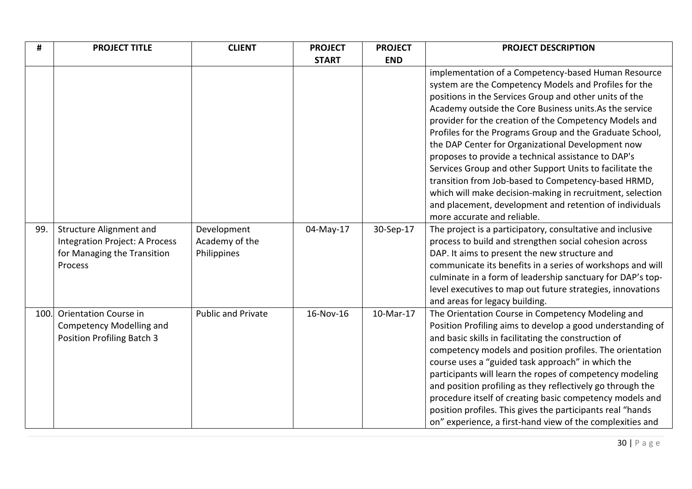| #    | <b>PROJECT TITLE</b>                                                                                       | <b>CLIENT</b>                                | <b>PROJECT</b> | <b>PROJECT</b> | <b>PROJECT DESCRIPTION</b>                                                                                                                                                                                                                                                                                                                                                                                                                                                                                                                                                                                                                                                                                                                    |
|------|------------------------------------------------------------------------------------------------------------|----------------------------------------------|----------------|----------------|-----------------------------------------------------------------------------------------------------------------------------------------------------------------------------------------------------------------------------------------------------------------------------------------------------------------------------------------------------------------------------------------------------------------------------------------------------------------------------------------------------------------------------------------------------------------------------------------------------------------------------------------------------------------------------------------------------------------------------------------------|
|      |                                                                                                            |                                              | <b>START</b>   | <b>END</b>     |                                                                                                                                                                                                                                                                                                                                                                                                                                                                                                                                                                                                                                                                                                                                               |
|      |                                                                                                            |                                              |                |                | implementation of a Competency-based Human Resource<br>system are the Competency Models and Profiles for the<br>positions in the Services Group and other units of the<br>Academy outside the Core Business units. As the service<br>provider for the creation of the Competency Models and<br>Profiles for the Programs Group and the Graduate School,<br>the DAP Center for Organizational Development now<br>proposes to provide a technical assistance to DAP's<br>Services Group and other Support Units to facilitate the<br>transition from Job-based to Competency-based HRMD,<br>which will make decision-making in recruitment, selection<br>and placement, development and retention of individuals<br>more accurate and reliable. |
| 99.  | <b>Structure Alignment and</b><br>Integration Project: A Process<br>for Managing the Transition<br>Process | Development<br>Academy of the<br>Philippines | 04-May-17      | 30-Sep-17      | The project is a participatory, consultative and inclusive<br>process to build and strengthen social cohesion across<br>DAP. It aims to present the new structure and<br>communicate its benefits in a series of workshops and will<br>culminate in a form of leadership sanctuary for DAP's top-<br>level executives to map out future strategies, innovations<br>and areas for legacy building.                                                                                                                                                                                                                                                                                                                                             |
| 100. | <b>Orientation Course in</b><br><b>Competency Modelling and</b><br><b>Position Profiling Batch 3</b>       | <b>Public and Private</b>                    | 16-Nov-16      | 10-Mar-17      | The Orientation Course in Competency Modeling and<br>Position Profiling aims to develop a good understanding of<br>and basic skills in facilitating the construction of<br>competency models and position profiles. The orientation<br>course uses a "guided task approach" in which the<br>participants will learn the ropes of competency modeling<br>and position profiling as they reflectively go through the<br>procedure itself of creating basic competency models and<br>position profiles. This gives the participants real "hands<br>on" experience, a first-hand view of the complexities and                                                                                                                                     |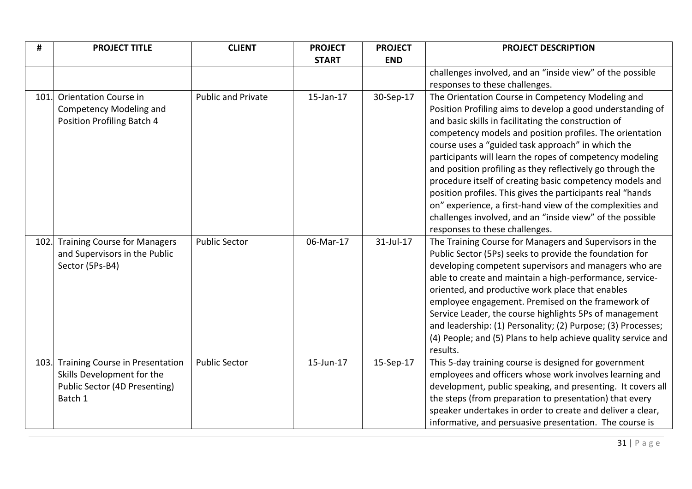| #    | <b>PROJECT TITLE</b>                                                 | <b>CLIENT</b>             | <b>PROJECT</b> | <b>PROJECT</b> | <b>PROJECT DESCRIPTION</b>                                                                                         |
|------|----------------------------------------------------------------------|---------------------------|----------------|----------------|--------------------------------------------------------------------------------------------------------------------|
|      |                                                                      |                           | <b>START</b>   | <b>END</b>     |                                                                                                                    |
|      |                                                                      |                           |                |                | challenges involved, and an "inside view" of the possible                                                          |
|      |                                                                      |                           |                |                | responses to these challenges.                                                                                     |
| 101. | <b>Orientation Course in</b>                                         | <b>Public and Private</b> | 15-Jan-17      | 30-Sep-17      | The Orientation Course in Competency Modeling and                                                                  |
|      | <b>Competency Modeling and</b>                                       |                           |                |                | Position Profiling aims to develop a good understanding of                                                         |
|      | Position Profiling Batch 4                                           |                           |                |                | and basic skills in facilitating the construction of                                                               |
|      |                                                                      |                           |                |                | competency models and position profiles. The orientation                                                           |
|      |                                                                      |                           |                |                | course uses a "guided task approach" in which the                                                                  |
|      |                                                                      |                           |                |                | participants will learn the ropes of competency modeling                                                           |
|      |                                                                      |                           |                |                | and position profiling as they reflectively go through the                                                         |
|      |                                                                      |                           |                |                | procedure itself of creating basic competency models and                                                           |
|      |                                                                      |                           |                |                | position profiles. This gives the participants real "hands                                                         |
|      |                                                                      |                           |                |                | on" experience, a first-hand view of the complexities and                                                          |
|      |                                                                      |                           |                |                | challenges involved, and an "inside view" of the possible                                                          |
|      |                                                                      |                           |                |                | responses to these challenges.                                                                                     |
| 102. | <b>Training Course for Managers</b><br>and Supervisors in the Public | <b>Public Sector</b>      | 06-Mar-17      | 31-Jul-17      | The Training Course for Managers and Supervisors in the<br>Public Sector (5Ps) seeks to provide the foundation for |
|      | Sector (5Ps-B4)                                                      |                           |                |                | developing competent supervisors and managers who are                                                              |
|      |                                                                      |                           |                |                | able to create and maintain a high-performance, service-                                                           |
|      |                                                                      |                           |                |                | oriented, and productive work place that enables                                                                   |
|      |                                                                      |                           |                |                | employee engagement. Premised on the framework of                                                                  |
|      |                                                                      |                           |                |                | Service Leader, the course highlights 5Ps of management                                                            |
|      |                                                                      |                           |                |                | and leadership: (1) Personality; (2) Purpose; (3) Processes;                                                       |
|      |                                                                      |                           |                |                | (4) People; and (5) Plans to help achieve quality service and                                                      |
|      |                                                                      |                           |                |                | results.                                                                                                           |
| 103. | <b>Training Course in Presentation</b>                               | <b>Public Sector</b>      | 15-Jun-17      | 15-Sep-17      | This 5-day training course is designed for government                                                              |
|      | Skills Development for the                                           |                           |                |                | employees and officers whose work involves learning and                                                            |
|      | Public Sector (4D Presenting)                                        |                           |                |                | development, public speaking, and presenting. It covers all                                                        |
|      | Batch 1                                                              |                           |                |                | the steps (from preparation to presentation) that every                                                            |
|      |                                                                      |                           |                |                | speaker undertakes in order to create and deliver a clear,                                                         |
|      |                                                                      |                           |                |                | informative, and persuasive presentation. The course is                                                            |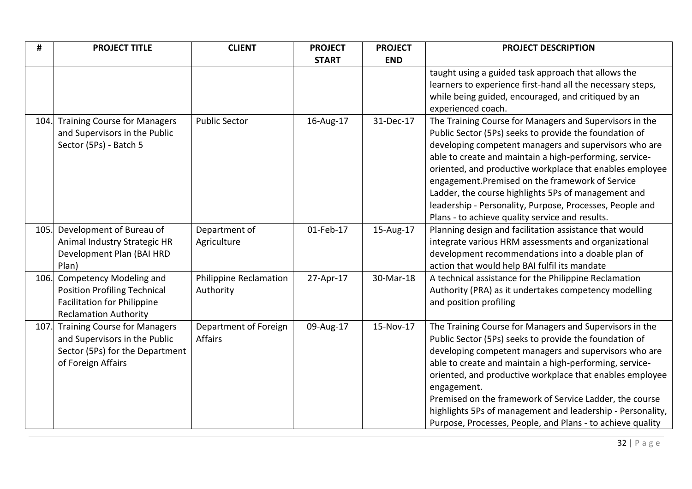| #    | <b>PROJECT TITLE</b>                                               | <b>CLIENT</b>          | <b>PROJECT</b> | <b>PROJECT</b> | <b>PROJECT DESCRIPTION</b>                                                |
|------|--------------------------------------------------------------------|------------------------|----------------|----------------|---------------------------------------------------------------------------|
|      |                                                                    |                        | <b>START</b>   | <b>END</b>     |                                                                           |
|      |                                                                    |                        |                |                | taught using a guided task approach that allows the                       |
|      |                                                                    |                        |                |                | learners to experience first-hand all the necessary steps,                |
|      |                                                                    |                        |                |                | while being guided, encouraged, and critiqued by an<br>experienced coach. |
| 104. | <b>Training Course for Managers</b>                                | <b>Public Sector</b>   | 16-Aug-17      | 31-Dec-17      | The Training Course for Managers and Supervisors in the                   |
|      | and Supervisors in the Public                                      |                        |                |                | Public Sector (5Ps) seeks to provide the foundation of                    |
|      | Sector (5Ps) - Batch 5                                             |                        |                |                | developing competent managers and supervisors who are                     |
|      |                                                                    |                        |                |                | able to create and maintain a high-performing, service-                   |
|      |                                                                    |                        |                |                | oriented, and productive workplace that enables employee                  |
|      |                                                                    |                        |                |                | engagement. Premised on the framework of Service                          |
|      |                                                                    |                        |                |                | Ladder, the course highlights 5Ps of management and                       |
|      |                                                                    |                        |                |                | leadership - Personality, Purpose, Processes, People and                  |
|      |                                                                    |                        |                |                | Plans - to achieve quality service and results.                           |
| 105. | Development of Bureau of                                           | Department of          | 01-Feb-17      | 15-Aug-17      | Planning design and facilitation assistance that would                    |
|      | Animal Industry Strategic HR                                       | Agriculture            |                |                | integrate various HRM assessments and organizational                      |
|      | Development Plan (BAI HRD                                          |                        |                |                | development recommendations into a doable plan of                         |
|      | Plan)                                                              |                        |                |                | action that would help BAI fulfil its mandate                             |
| 106. | <b>Competency Modeling and</b>                                     | Philippine Reclamation | 27-Apr-17      | 30-Mar-18      | A technical assistance for the Philippine Reclamation                     |
|      | <b>Position Profiling Technical</b>                                | Authority              |                |                | Authority (PRA) as it undertakes competency modelling                     |
|      | <b>Facilitation for Philippine</b><br><b>Reclamation Authority</b> |                        |                |                | and position profiling                                                    |
| 107. | <b>Training Course for Managers</b>                                | Department of Foreign  | 09-Aug-17      | 15-Nov-17      | The Training Course for Managers and Supervisors in the                   |
|      | and Supervisors in the Public                                      | <b>Affairs</b>         |                |                | Public Sector (5Ps) seeks to provide the foundation of                    |
|      | Sector (5Ps) for the Department                                    |                        |                |                | developing competent managers and supervisors who are                     |
|      | of Foreign Affairs                                                 |                        |                |                | able to create and maintain a high-performing, service-                   |
|      |                                                                    |                        |                |                | oriented, and productive workplace that enables employee                  |
|      |                                                                    |                        |                |                | engagement.                                                               |
|      |                                                                    |                        |                |                | Premised on the framework of Service Ladder, the course                   |
|      |                                                                    |                        |                |                | highlights 5Ps of management and leadership - Personality,                |
|      |                                                                    |                        |                |                | Purpose, Processes, People, and Plans - to achieve quality                |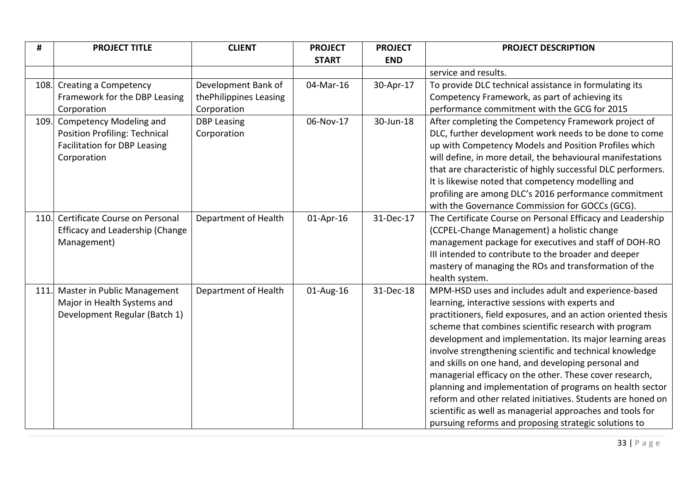| #    | <b>PROJECT TITLE</b>                 | <b>CLIENT</b>          | <b>PROJECT</b> | <b>PROJECT</b> | <b>PROJECT DESCRIPTION</b>                                    |
|------|--------------------------------------|------------------------|----------------|----------------|---------------------------------------------------------------|
|      |                                      |                        | <b>START</b>   | <b>END</b>     |                                                               |
|      |                                      |                        |                |                | service and results.                                          |
|      | 108. Creating a Competency           | Development Bank of    | 04-Mar-16      | 30-Apr-17      | To provide DLC technical assistance in formulating its        |
|      | Framework for the DBP Leasing        | thePhilippines Leasing |                |                | Competency Framework, as part of achieving its                |
|      | Corporation                          | Corporation            |                |                | performance commitment with the GCG for 2015                  |
| 109. | Competency Modeling and              | <b>DBP Leasing</b>     | 06-Nov-17      | 30-Jun-18      | After completing the Competency Framework project of          |
|      | <b>Position Profiling: Technical</b> | Corporation            |                |                | DLC, further development work needs to be done to come        |
|      | <b>Facilitation for DBP Leasing</b>  |                        |                |                | up with Competency Models and Position Profiles which         |
|      | Corporation                          |                        |                |                | will define, in more detail, the behavioural manifestations   |
|      |                                      |                        |                |                | that are characteristic of highly successful DLC performers.  |
|      |                                      |                        |                |                | It is likewise noted that competency modelling and            |
|      |                                      |                        |                |                | profiling are among DLC's 2016 performance commitment         |
|      |                                      |                        |                |                | with the Governance Commission for GOCCs (GCG).               |
|      | 110. Certificate Course on Personal  | Department of Health   | 01-Apr-16      | 31-Dec-17      | The Certificate Course on Personal Efficacy and Leadership    |
|      | Efficacy and Leadership (Change      |                        |                |                | (CCPEL-Change Management) a holistic change                   |
|      | Management)                          |                        |                |                | management package for executives and staff of DOH-RO         |
|      |                                      |                        |                |                | III intended to contribute to the broader and deeper          |
|      |                                      |                        |                |                | mastery of managing the ROs and transformation of the         |
|      |                                      |                        |                |                | health system.                                                |
|      | 111. Master in Public Management     | Department of Health   | 01-Aug-16      | 31-Dec-18      | MPM-HSD uses and includes adult and experience-based          |
|      | Major in Health Systems and          |                        |                |                | learning, interactive sessions with experts and               |
|      | Development Regular (Batch 1)        |                        |                |                | practitioners, field exposures, and an action oriented thesis |
|      |                                      |                        |                |                | scheme that combines scientific research with program         |
|      |                                      |                        |                |                | development and implementation. Its major learning areas      |
|      |                                      |                        |                |                | involve strengthening scientific and technical knowledge      |
|      |                                      |                        |                |                | and skills on one hand, and developing personal and           |
|      |                                      |                        |                |                | managerial efficacy on the other. These cover research,       |
|      |                                      |                        |                |                | planning and implementation of programs on health sector      |
|      |                                      |                        |                |                | reform and other related initiatives. Students are honed on   |
|      |                                      |                        |                |                | scientific as well as managerial approaches and tools for     |
|      |                                      |                        |                |                | pursuing reforms and proposing strategic solutions to         |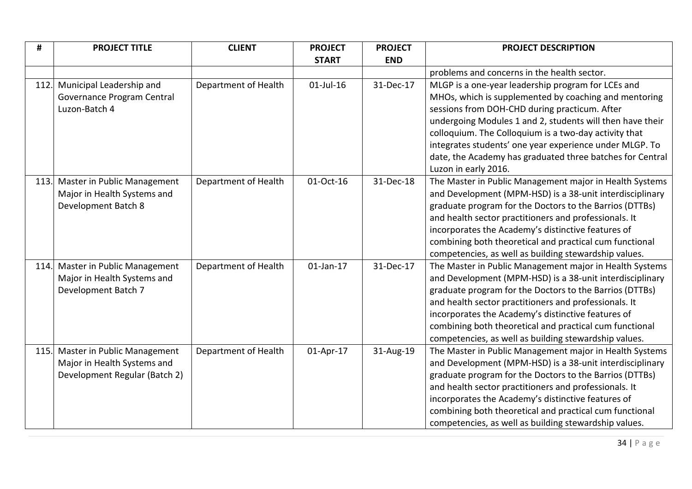| #    | <b>PROJECT TITLE</b>          | <b>CLIENT</b>        | <b>PROJECT</b> | <b>PROJECT</b> | <b>PROJECT DESCRIPTION</b>                                |
|------|-------------------------------|----------------------|----------------|----------------|-----------------------------------------------------------|
|      |                               |                      | <b>START</b>   | <b>END</b>     |                                                           |
|      |                               |                      |                |                | problems and concerns in the health sector.               |
| 112. | Municipal Leadership and      | Department of Health | $01$ -Jul-16   | 31-Dec-17      | MLGP is a one-year leadership program for LCEs and        |
|      | Governance Program Central    |                      |                |                | MHOs, which is supplemented by coaching and mentoring     |
|      | Luzon-Batch 4                 |                      |                |                | sessions from DOH-CHD during practicum. After             |
|      |                               |                      |                |                | undergoing Modules 1 and 2, students will then have their |
|      |                               |                      |                |                | colloquium. The Colloquium is a two-day activity that     |
|      |                               |                      |                |                | integrates students' one year experience under MLGP. To   |
|      |                               |                      |                |                | date, the Academy has graduated three batches for Central |
|      |                               |                      |                |                | Luzon in early 2016.                                      |
| 113. | Master in Public Management   | Department of Health | 01-Oct-16      | 31-Dec-18      | The Master in Public Management major in Health Systems   |
|      | Major in Health Systems and   |                      |                |                | and Development (MPM-HSD) is a 38-unit interdisciplinary  |
|      | Development Batch 8           |                      |                |                | graduate program for the Doctors to the Barrios (DTTBs)   |
|      |                               |                      |                |                | and health sector practitioners and professionals. It     |
|      |                               |                      |                |                | incorporates the Academy's distinctive features of        |
|      |                               |                      |                |                | combining both theoretical and practical cum functional   |
|      |                               |                      |                |                | competencies, as well as building stewardship values.     |
| 114. | Master in Public Management   | Department of Health | $01$ -Jan-17   | 31-Dec-17      | The Master in Public Management major in Health Systems   |
|      | Major in Health Systems and   |                      |                |                | and Development (MPM-HSD) is a 38-unit interdisciplinary  |
|      | Development Batch 7           |                      |                |                | graduate program for the Doctors to the Barrios (DTTBs)   |
|      |                               |                      |                |                | and health sector practitioners and professionals. It     |
|      |                               |                      |                |                | incorporates the Academy's distinctive features of        |
|      |                               |                      |                |                | combining both theoretical and practical cum functional   |
|      |                               |                      |                |                | competencies, as well as building stewardship values.     |
| 115. | Master in Public Management   | Department of Health | 01-Apr-17      | 31-Aug-19      | The Master in Public Management major in Health Systems   |
|      | Major in Health Systems and   |                      |                |                | and Development (MPM-HSD) is a 38-unit interdisciplinary  |
|      | Development Regular (Batch 2) |                      |                |                | graduate program for the Doctors to the Barrios (DTTBs)   |
|      |                               |                      |                |                | and health sector practitioners and professionals. It     |
|      |                               |                      |                |                | incorporates the Academy's distinctive features of        |
|      |                               |                      |                |                | combining both theoretical and practical cum functional   |
|      |                               |                      |                |                | competencies, as well as building stewardship values.     |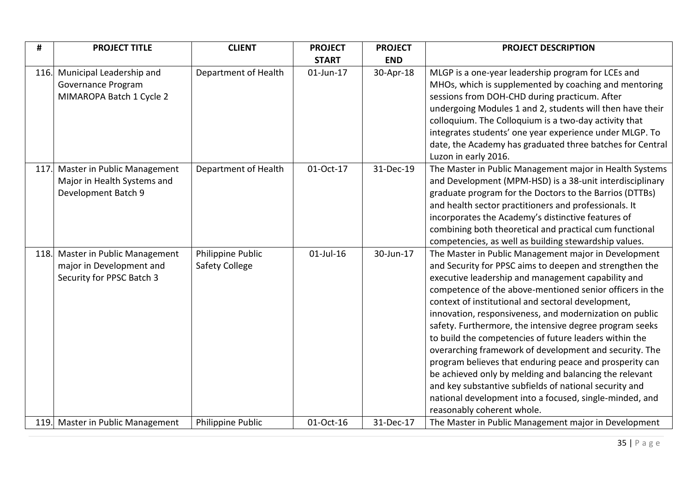| #    | <b>PROJECT TITLE</b>                                                                 | <b>CLIENT</b>                              | <b>PROJECT</b> | <b>PROJECT</b> | <b>PROJECT DESCRIPTION</b>                                                                                                                                                                                                                                                                                                                                                                                                                                                                                                                                                                                                                                                                                                                                                                                |
|------|--------------------------------------------------------------------------------------|--------------------------------------------|----------------|----------------|-----------------------------------------------------------------------------------------------------------------------------------------------------------------------------------------------------------------------------------------------------------------------------------------------------------------------------------------------------------------------------------------------------------------------------------------------------------------------------------------------------------------------------------------------------------------------------------------------------------------------------------------------------------------------------------------------------------------------------------------------------------------------------------------------------------|
|      |                                                                                      |                                            | <b>START</b>   | <b>END</b>     |                                                                                                                                                                                                                                                                                                                                                                                                                                                                                                                                                                                                                                                                                                                                                                                                           |
| 116. | Municipal Leadership and<br>Governance Program<br>MIMAROPA Batch 1 Cycle 2           | Department of Health                       | $01$ -Jun-17   | 30-Apr-18      | MLGP is a one-year leadership program for LCEs and<br>MHOs, which is supplemented by coaching and mentoring<br>sessions from DOH-CHD during practicum. After<br>undergoing Modules 1 and 2, students will then have their<br>colloquium. The Colloquium is a two-day activity that<br>integrates students' one year experience under MLGP. To<br>date, the Academy has graduated three batches for Central<br>Luzon in early 2016.                                                                                                                                                                                                                                                                                                                                                                        |
| 117. | Master in Public Management<br>Major in Health Systems and<br>Development Batch 9    | Department of Health                       | 01-Oct-17      | 31-Dec-19      | The Master in Public Management major in Health Systems<br>and Development (MPM-HSD) is a 38-unit interdisciplinary<br>graduate program for the Doctors to the Barrios (DTTBs)<br>and health sector practitioners and professionals. It<br>incorporates the Academy's distinctive features of<br>combining both theoretical and practical cum functional<br>competencies, as well as building stewardship values.                                                                                                                                                                                                                                                                                                                                                                                         |
| 118. | Master in Public Management<br>major in Development and<br>Security for PPSC Batch 3 | Philippine Public<br><b>Safety College</b> | $01$ -Jul-16   | 30-Jun-17      | The Master in Public Management major in Development<br>and Security for PPSC aims to deepen and strengthen the<br>executive leadership and management capability and<br>competence of the above-mentioned senior officers in the<br>context of institutional and sectoral development,<br>innovation, responsiveness, and modernization on public<br>safety. Furthermore, the intensive degree program seeks<br>to build the competencies of future leaders within the<br>overarching framework of development and security. The<br>program believes that enduring peace and prosperity can<br>be achieved only by melding and balancing the relevant<br>and key substantive subfields of national security and<br>national development into a focused, single-minded, and<br>reasonably coherent whole. |
|      | 119. Master in Public Management                                                     | Philippine Public                          | 01-Oct-16      | 31-Dec-17      | The Master in Public Management major in Development                                                                                                                                                                                                                                                                                                                                                                                                                                                                                                                                                                                                                                                                                                                                                      |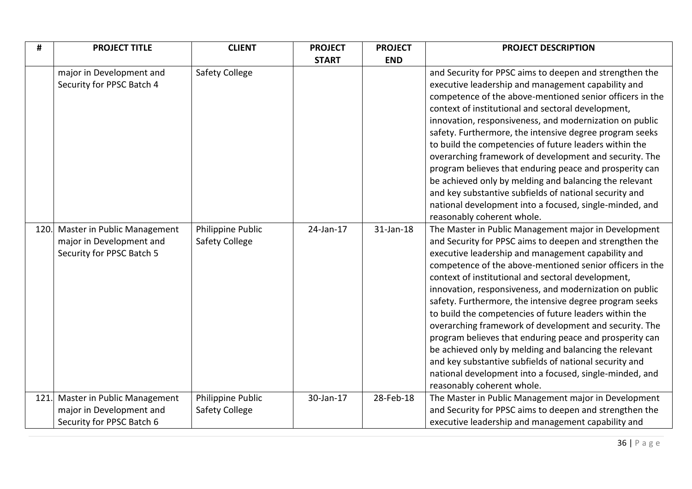| #    | <b>PROJECT TITLE</b>                                                                      | <b>CLIENT</b>                              | <b>PROJECT</b> | <b>PROJECT</b> | <b>PROJECT DESCRIPTION</b>                                                                                                                                                                                                                                                                                                                                                                                                                                                                                                                                                                                                                                                                                                                                                                                |
|------|-------------------------------------------------------------------------------------------|--------------------------------------------|----------------|----------------|-----------------------------------------------------------------------------------------------------------------------------------------------------------------------------------------------------------------------------------------------------------------------------------------------------------------------------------------------------------------------------------------------------------------------------------------------------------------------------------------------------------------------------------------------------------------------------------------------------------------------------------------------------------------------------------------------------------------------------------------------------------------------------------------------------------|
|      |                                                                                           |                                            | <b>START</b>   | <b>END</b>     |                                                                                                                                                                                                                                                                                                                                                                                                                                                                                                                                                                                                                                                                                                                                                                                                           |
|      | major in Development and<br>Security for PPSC Batch 4                                     | <b>Safety College</b>                      |                |                | and Security for PPSC aims to deepen and strengthen the<br>executive leadership and management capability and<br>competence of the above-mentioned senior officers in the<br>context of institutional and sectoral development,<br>innovation, responsiveness, and modernization on public<br>safety. Furthermore, the intensive degree program seeks<br>to build the competencies of future leaders within the<br>overarching framework of development and security. The<br>program believes that enduring peace and prosperity can<br>be achieved only by melding and balancing the relevant<br>and key substantive subfields of national security and<br>national development into a focused, single-minded, and<br>reasonably coherent whole.                                                         |
|      | 120. Master in Public Management<br>major in Development and<br>Security for PPSC Batch 5 | Philippine Public<br><b>Safety College</b> | 24-Jan-17      | 31-Jan-18      | The Master in Public Management major in Development<br>and Security for PPSC aims to deepen and strengthen the<br>executive leadership and management capability and<br>competence of the above-mentioned senior officers in the<br>context of institutional and sectoral development,<br>innovation, responsiveness, and modernization on public<br>safety. Furthermore, the intensive degree program seeks<br>to build the competencies of future leaders within the<br>overarching framework of development and security. The<br>program believes that enduring peace and prosperity can<br>be achieved only by melding and balancing the relevant<br>and key substantive subfields of national security and<br>national development into a focused, single-minded, and<br>reasonably coherent whole. |
| 121. | Master in Public Management<br>major in Development and<br>Security for PPSC Batch 6      | Philippine Public<br><b>Safety College</b> | 30-Jan-17      | 28-Feb-18      | The Master in Public Management major in Development<br>and Security for PPSC aims to deepen and strengthen the<br>executive leadership and management capability and                                                                                                                                                                                                                                                                                                                                                                                                                                                                                                                                                                                                                                     |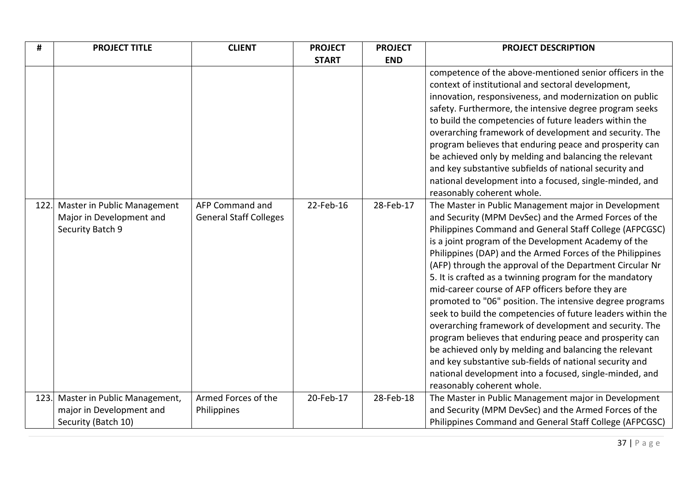| #    | <b>PROJECT TITLE</b>                                                        | <b>CLIENT</b>                                    | <b>PROJECT</b> | <b>PROJECT</b> | <b>PROJECT DESCRIPTION</b>                                                                                                                                                                                                                                                                                                                                                                                                                                                                                                                                                                                                                                                                                                                                                                                                                                                                                                               |
|------|-----------------------------------------------------------------------------|--------------------------------------------------|----------------|----------------|------------------------------------------------------------------------------------------------------------------------------------------------------------------------------------------------------------------------------------------------------------------------------------------------------------------------------------------------------------------------------------------------------------------------------------------------------------------------------------------------------------------------------------------------------------------------------------------------------------------------------------------------------------------------------------------------------------------------------------------------------------------------------------------------------------------------------------------------------------------------------------------------------------------------------------------|
|      |                                                                             |                                                  | <b>START</b>   | <b>END</b>     |                                                                                                                                                                                                                                                                                                                                                                                                                                                                                                                                                                                                                                                                                                                                                                                                                                                                                                                                          |
|      |                                                                             |                                                  |                |                | competence of the above-mentioned senior officers in the<br>context of institutional and sectoral development,<br>innovation, responsiveness, and modernization on public<br>safety. Furthermore, the intensive degree program seeks<br>to build the competencies of future leaders within the<br>overarching framework of development and security. The<br>program believes that enduring peace and prosperity can<br>be achieved only by melding and balancing the relevant<br>and key substantive subfields of national security and<br>national development into a focused, single-minded, and<br>reasonably coherent whole.                                                                                                                                                                                                                                                                                                         |
| 122. | Master in Public Management<br>Major in Development and<br>Security Batch 9 | AFP Command and<br><b>General Staff Colleges</b> | 22-Feb-16      | 28-Feb-17      | The Master in Public Management major in Development<br>and Security (MPM DevSec) and the Armed Forces of the<br>Philippines Command and General Staff College (AFPCGSC)<br>is a joint program of the Development Academy of the<br>Philippines (DAP) and the Armed Forces of the Philippines<br>(AFP) through the approval of the Department Circular Nr<br>5. It is crafted as a twinning program for the mandatory<br>mid-career course of AFP officers before they are<br>promoted to "06" position. The intensive degree programs<br>seek to build the competencies of future leaders within the<br>overarching framework of development and security. The<br>program believes that enduring peace and prosperity can<br>be achieved only by melding and balancing the relevant<br>and key substantive sub-fields of national security and<br>national development into a focused, single-minded, and<br>reasonably coherent whole. |
| 123. | Master in Public Management,<br>major in Development and                    | Armed Forces of the<br>Philippines               | 20-Feb-17      | 28-Feb-18      | The Master in Public Management major in Development<br>and Security (MPM DevSec) and the Armed Forces of the                                                                                                                                                                                                                                                                                                                                                                                                                                                                                                                                                                                                                                                                                                                                                                                                                            |
|      | Security (Batch 10)                                                         |                                                  |                |                | Philippines Command and General Staff College (AFPCGSC)                                                                                                                                                                                                                                                                                                                                                                                                                                                                                                                                                                                                                                                                                                                                                                                                                                                                                  |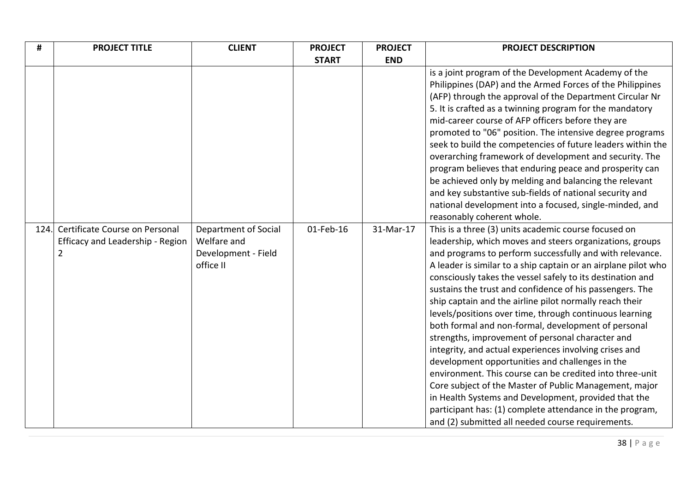| #    | <b>PROJECT TITLE</b>                                                                 | <b>CLIENT</b>                                                           | <b>PROJECT</b> | <b>PROJECT</b> | <b>PROJECT DESCRIPTION</b>                                                                                                                                                                                                                                                                                                                                                                                                                                                                                                                                                                                                                                                                                                                                                                                                                                                                                                                                                                                            |
|------|--------------------------------------------------------------------------------------|-------------------------------------------------------------------------|----------------|----------------|-----------------------------------------------------------------------------------------------------------------------------------------------------------------------------------------------------------------------------------------------------------------------------------------------------------------------------------------------------------------------------------------------------------------------------------------------------------------------------------------------------------------------------------------------------------------------------------------------------------------------------------------------------------------------------------------------------------------------------------------------------------------------------------------------------------------------------------------------------------------------------------------------------------------------------------------------------------------------------------------------------------------------|
|      |                                                                                      |                                                                         | <b>START</b>   | <b>END</b>     |                                                                                                                                                                                                                                                                                                                                                                                                                                                                                                                                                                                                                                                                                                                                                                                                                                                                                                                                                                                                                       |
|      |                                                                                      |                                                                         |                |                | is a joint program of the Development Academy of the<br>Philippines (DAP) and the Armed Forces of the Philippines<br>(AFP) through the approval of the Department Circular Nr<br>5. It is crafted as a twinning program for the mandatory<br>mid-career course of AFP officers before they are<br>promoted to "06" position. The intensive degree programs<br>seek to build the competencies of future leaders within the<br>overarching framework of development and security. The<br>program believes that enduring peace and prosperity can<br>be achieved only by melding and balancing the relevant<br>and key substantive sub-fields of national security and<br>national development into a focused, single-minded, and<br>reasonably coherent whole.                                                                                                                                                                                                                                                          |
| 124. | Certificate Course on Personal<br>Efficacy and Leadership - Region<br>$\overline{2}$ | Department of Social<br>Welfare and<br>Development - Field<br>office II | 01-Feb-16      | 31-Mar-17      | This is a three (3) units academic course focused on<br>leadership, which moves and steers organizations, groups<br>and programs to perform successfully and with relevance.<br>A leader is similar to a ship captain or an airplane pilot who<br>consciously takes the vessel safely to its destination and<br>sustains the trust and confidence of his passengers. The<br>ship captain and the airline pilot normally reach their<br>levels/positions over time, through continuous learning<br>both formal and non-formal, development of personal<br>strengths, improvement of personal character and<br>integrity, and actual experiences involving crises and<br>development opportunities and challenges in the<br>environment. This course can be credited into three-unit<br>Core subject of the Master of Public Management, major<br>in Health Systems and Development, provided that the<br>participant has: (1) complete attendance in the program,<br>and (2) submitted all needed course requirements. |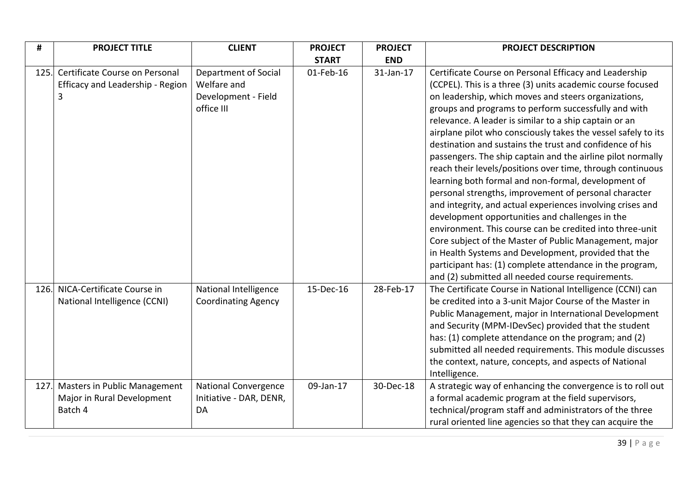| #    | <b>PROJECT TITLE</b>                                                               | <b>CLIENT</b>                                                            | <b>PROJECT</b> | <b>PROJECT</b> | <b>PROJECT DESCRIPTION</b>                                                                                                                                                                                                                                                                                                                                                                                                                                                                                                                                                                                                                                                                                                                                                                                                                                                                                                                                                                                                                                                               |
|------|------------------------------------------------------------------------------------|--------------------------------------------------------------------------|----------------|----------------|------------------------------------------------------------------------------------------------------------------------------------------------------------------------------------------------------------------------------------------------------------------------------------------------------------------------------------------------------------------------------------------------------------------------------------------------------------------------------------------------------------------------------------------------------------------------------------------------------------------------------------------------------------------------------------------------------------------------------------------------------------------------------------------------------------------------------------------------------------------------------------------------------------------------------------------------------------------------------------------------------------------------------------------------------------------------------------------|
|      |                                                                                    |                                                                          | <b>START</b>   | <b>END</b>     |                                                                                                                                                                                                                                                                                                                                                                                                                                                                                                                                                                                                                                                                                                                                                                                                                                                                                                                                                                                                                                                                                          |
| 125. | Certificate Course on Personal<br>Efficacy and Leadership - Region<br>$\mathbf{3}$ | Department of Social<br>Welfare and<br>Development - Field<br>office III | 01-Feb-16      | 31-Jan-17      | Certificate Course on Personal Efficacy and Leadership<br>(CCPEL). This is a three (3) units academic course focused<br>on leadership, which moves and steers organizations,<br>groups and programs to perform successfully and with<br>relevance. A leader is similar to a ship captain or an<br>airplane pilot who consciously takes the vessel safely to its<br>destination and sustains the trust and confidence of his<br>passengers. The ship captain and the airline pilot normally<br>reach their levels/positions over time, through continuous<br>learning both formal and non-formal, development of<br>personal strengths, improvement of personal character<br>and integrity, and actual experiences involving crises and<br>development opportunities and challenges in the<br>environment. This course can be credited into three-unit<br>Core subject of the Master of Public Management, major<br>in Health Systems and Development, provided that the<br>participant has: (1) complete attendance in the program,<br>and (2) submitted all needed course requirements. |
|      | 126. NICA-Certificate Course in<br>National Intelligence (CCNI)                    | National Intelligence<br><b>Coordinating Agency</b>                      | 15-Dec-16      | 28-Feb-17      | The Certificate Course in National Intelligence (CCNI) can<br>be credited into a 3-unit Major Course of the Master in<br>Public Management, major in International Development<br>and Security (MPM-IDevSec) provided that the student<br>has: (1) complete attendance on the program; and (2)<br>submitted all needed requirements. This module discusses<br>the context, nature, concepts, and aspects of National<br>Intelligence.                                                                                                                                                                                                                                                                                                                                                                                                                                                                                                                                                                                                                                                    |
| 127. | Masters in Public Management<br>Major in Rural Development<br>Batch 4              | <b>National Convergence</b><br>Initiative - DAR, DENR,<br>DA             | 09-Jan-17      | 30-Dec-18      | A strategic way of enhancing the convergence is to roll out<br>a formal academic program at the field supervisors,<br>technical/program staff and administrators of the three<br>rural oriented line agencies so that they can acquire the                                                                                                                                                                                                                                                                                                                                                                                                                                                                                                                                                                                                                                                                                                                                                                                                                                               |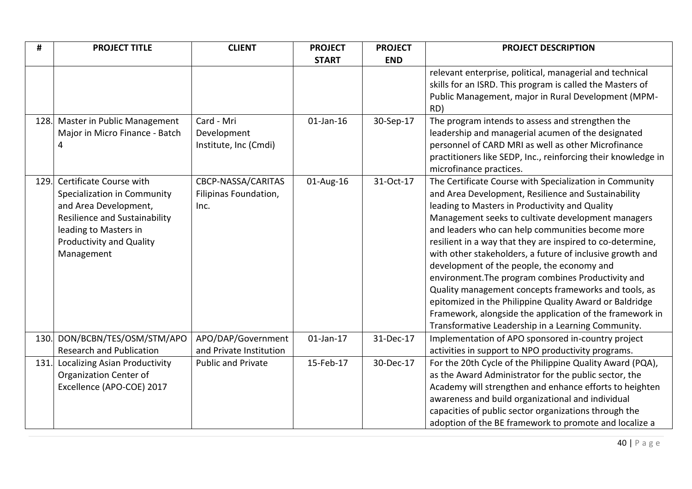| #    | <b>PROJECT TITLE</b>                 | <b>CLIENT</b>             | <b>PROJECT</b> | <b>PROJECT</b> | <b>PROJECT DESCRIPTION</b>                                    |
|------|--------------------------------------|---------------------------|----------------|----------------|---------------------------------------------------------------|
|      |                                      |                           | <b>START</b>   | <b>END</b>     |                                                               |
|      |                                      |                           |                |                | relevant enterprise, political, managerial and technical      |
|      |                                      |                           |                |                | skills for an ISRD. This program is called the Masters of     |
|      |                                      |                           |                |                | Public Management, major in Rural Development (MPM-           |
|      |                                      |                           |                |                | RD)                                                           |
| 128. | Master in Public Management          | Card - Mri                | $01$ -Jan-16   | 30-Sep-17      | The program intends to assess and strengthen the              |
|      | Major in Micro Finance - Batch       | Development               |                |                | leadership and managerial acumen of the designated            |
|      | 4                                    | Institute, Inc (Cmdi)     |                |                | personnel of CARD MRI as well as other Microfinance           |
|      |                                      |                           |                |                | practitioners like SEDP, Inc., reinforcing their knowledge in |
|      |                                      |                           |                |                | microfinance practices.                                       |
| 129. | Certificate Course with              | CBCP-NASSA/CARITAS        | 01-Aug-16      | 31-Oct-17      | The Certificate Course with Specialization in Community       |
|      | Specialization in Community          | Filipinas Foundation,     |                |                | and Area Development, Resilience and Sustainability           |
|      | and Area Development,                | Inc.                      |                |                | leading to Masters in Productivity and Quality                |
|      | <b>Resilience and Sustainability</b> |                           |                |                | Management seeks to cultivate development managers            |
|      | leading to Masters in                |                           |                |                | and leaders who can help communities become more              |
|      | <b>Productivity and Quality</b>      |                           |                |                | resilient in a way that they are inspired to co-determine,    |
|      | Management                           |                           |                |                | with other stakeholders, a future of inclusive growth and     |
|      |                                      |                           |                |                | development of the people, the economy and                    |
|      |                                      |                           |                |                | environment. The program combines Productivity and            |
|      |                                      |                           |                |                | Quality management concepts frameworks and tools, as          |
|      |                                      |                           |                |                | epitomized in the Philippine Quality Award or Baldridge       |
|      |                                      |                           |                |                | Framework, alongside the application of the framework in      |
|      |                                      |                           |                |                | Transformative Leadership in a Learning Community.            |
| 130. | DON/BCBN/TES/OSM/STM/APO             | APO/DAP/Government        | $01$ -Jan-17   | 31-Dec-17      | Implementation of APO sponsored in-country project            |
|      | <b>Research and Publication</b>      | and Private Institution   |                |                | activities in support to NPO productivity programs.           |
| 131. | <b>Localizing Asian Productivity</b> | <b>Public and Private</b> | 15-Feb-17      | 30-Dec-17      | For the 20th Cycle of the Philippine Quality Award (PQA),     |
|      | Organization Center of               |                           |                |                | as the Award Administrator for the public sector, the         |
|      | Excellence (APO-COE) 2017            |                           |                |                | Academy will strengthen and enhance efforts to heighten       |
|      |                                      |                           |                |                | awareness and build organizational and individual             |
|      |                                      |                           |                |                | capacities of public sector organizations through the         |
|      |                                      |                           |                |                | adoption of the BE framework to promote and localize a        |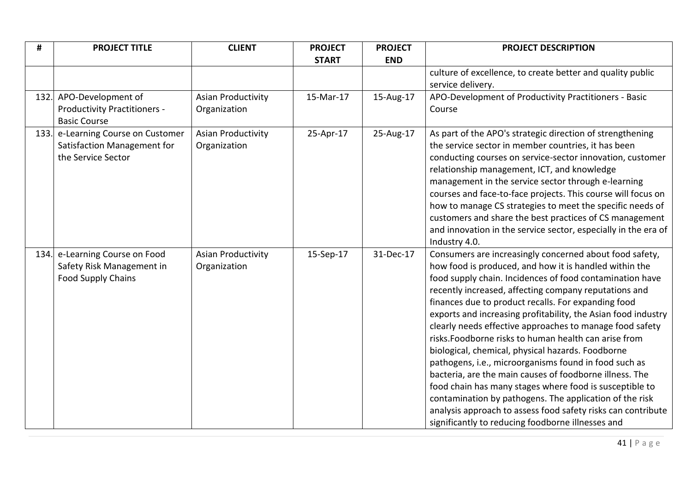| #    | <b>PROJECT TITLE</b>                                                                     | <b>CLIENT</b>                             | <b>PROJECT</b> | <b>PROJECT</b> | <b>PROJECT DESCRIPTION</b>                                                                                                                                                                                                                                                                                                                                                                                                                                                                                                                                                                                                                                                                                                                                                                                                                                                                              |
|------|------------------------------------------------------------------------------------------|-------------------------------------------|----------------|----------------|---------------------------------------------------------------------------------------------------------------------------------------------------------------------------------------------------------------------------------------------------------------------------------------------------------------------------------------------------------------------------------------------------------------------------------------------------------------------------------------------------------------------------------------------------------------------------------------------------------------------------------------------------------------------------------------------------------------------------------------------------------------------------------------------------------------------------------------------------------------------------------------------------------|
|      |                                                                                          |                                           | <b>START</b>   | <b>END</b>     |                                                                                                                                                                                                                                                                                                                                                                                                                                                                                                                                                                                                                                                                                                                                                                                                                                                                                                         |
|      |                                                                                          |                                           |                |                | culture of excellence, to create better and quality public<br>service delivery.                                                                                                                                                                                                                                                                                                                                                                                                                                                                                                                                                                                                                                                                                                                                                                                                                         |
| 132. | APO-Development of<br><b>Productivity Practitioners -</b><br><b>Basic Course</b>         | <b>Asian Productivity</b><br>Organization | 15-Mar-17      | 15-Aug-17      | APO-Development of Productivity Practitioners - Basic<br>Course                                                                                                                                                                                                                                                                                                                                                                                                                                                                                                                                                                                                                                                                                                                                                                                                                                         |
| 133. | e-Learning Course on Customer<br>Satisfaction Management for<br>the Service Sector       | <b>Asian Productivity</b><br>Organization | 25-Apr-17      | 25-Aug-17      | As part of the APO's strategic direction of strengthening<br>the service sector in member countries, it has been<br>conducting courses on service-sector innovation, customer<br>relationship management, ICT, and knowledge<br>management in the service sector through e-learning<br>courses and face-to-face projects. This course will focus on<br>how to manage CS strategies to meet the specific needs of<br>customers and share the best practices of CS management<br>and innovation in the service sector, especially in the era of<br>Industry 4.0.                                                                                                                                                                                                                                                                                                                                          |
|      | 134. e-Learning Course on Food<br>Safety Risk Management in<br><b>Food Supply Chains</b> | <b>Asian Productivity</b><br>Organization | 15-Sep-17      | 31-Dec-17      | Consumers are increasingly concerned about food safety,<br>how food is produced, and how it is handled within the<br>food supply chain. Incidences of food contamination have<br>recently increased, affecting company reputations and<br>finances due to product recalls. For expanding food<br>exports and increasing profitability, the Asian food industry<br>clearly needs effective approaches to manage food safety<br>risks. Foodborne risks to human health can arise from<br>biological, chemical, physical hazards. Foodborne<br>pathogens, i.e., microorganisms found in food such as<br>bacteria, are the main causes of foodborne illness. The<br>food chain has many stages where food is susceptible to<br>contamination by pathogens. The application of the risk<br>analysis approach to assess food safety risks can contribute<br>significantly to reducing foodborne illnesses and |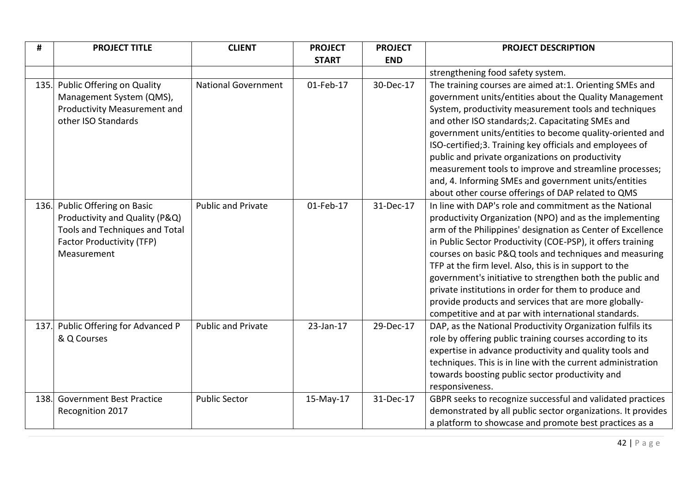| #    | <b>PROJECT TITLE</b>                                                                                                                                 | <b>CLIENT</b>              | <b>PROJECT</b> | <b>PROJECT</b> | <b>PROJECT DESCRIPTION</b>                                                                                                                                                                                                                                                                                                                                                                                                                                                                                                                                                                                  |
|------|------------------------------------------------------------------------------------------------------------------------------------------------------|----------------------------|----------------|----------------|-------------------------------------------------------------------------------------------------------------------------------------------------------------------------------------------------------------------------------------------------------------------------------------------------------------------------------------------------------------------------------------------------------------------------------------------------------------------------------------------------------------------------------------------------------------------------------------------------------------|
|      |                                                                                                                                                      |                            | <b>START</b>   | <b>END</b>     |                                                                                                                                                                                                                                                                                                                                                                                                                                                                                                                                                                                                             |
|      |                                                                                                                                                      |                            |                |                | strengthening food safety system.                                                                                                                                                                                                                                                                                                                                                                                                                                                                                                                                                                           |
| 135. | Public Offering on Quality<br>Management System (QMS),<br>Productivity Measurement and<br>other ISO Standards                                        | <b>National Government</b> | 01-Feb-17      | 30-Dec-17      | The training courses are aimed at:1. Orienting SMEs and<br>government units/entities about the Quality Management<br>System, productivity measurement tools and techniques<br>and other ISO standards; 2. Capacitating SMEs and<br>government units/entities to become quality-oriented and<br>ISO-certified;3. Training key officials and employees of<br>public and private organizations on productivity<br>measurement tools to improve and streamline processes;<br>and, 4. Informing SMEs and government units/entities<br>about other course offerings of DAP related to QMS                         |
|      | 136. Public Offering on Basic<br>Productivity and Quality (P&Q)<br>Tools and Techniques and Total<br><b>Factor Productivity (TFP)</b><br>Measurement | <b>Public and Private</b>  | 01-Feb-17      | 31-Dec-17      | In line with DAP's role and commitment as the National<br>productivity Organization (NPO) and as the implementing<br>arm of the Philippines' designation as Center of Excellence<br>in Public Sector Productivity (COE-PSP), it offers training<br>courses on basic P&Q tools and techniques and measuring<br>TFP at the firm level. Also, this is in support to the<br>government's initiative to strengthen both the public and<br>private institutions in order for them to produce and<br>provide products and services that are more globally-<br>competitive and at par with international standards. |
|      | 137. Public Offering for Advanced P<br>& Q Courses                                                                                                   | <b>Public and Private</b>  | 23-Jan-17      | 29-Dec-17      | DAP, as the National Productivity Organization fulfils its<br>role by offering public training courses according to its<br>expertise in advance productivity and quality tools and<br>techniques. This is in line with the current administration<br>towards boosting public sector productivity and<br>responsiveness.                                                                                                                                                                                                                                                                                     |
| 138. | <b>Government Best Practice</b><br>Recognition 2017                                                                                                  | <b>Public Sector</b>       | 15-May-17      | 31-Dec-17      | GBPR seeks to recognize successful and validated practices<br>demonstrated by all public sector organizations. It provides<br>a platform to showcase and promote best practices as a                                                                                                                                                                                                                                                                                                                                                                                                                        |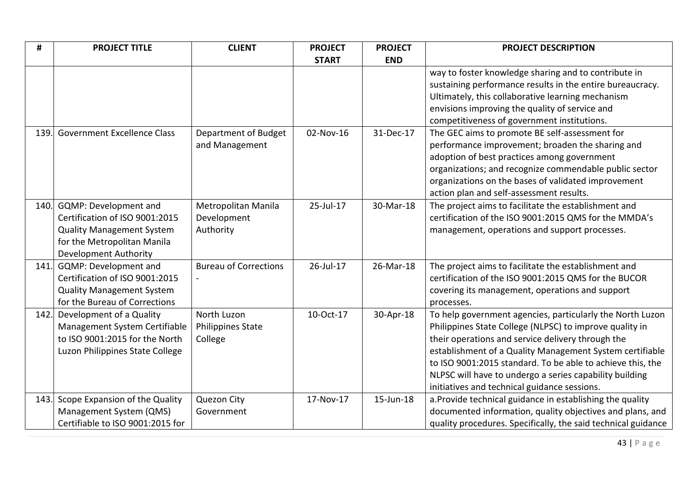| #    | <b>PROJECT TITLE</b>               | <b>CLIENT</b>                | <b>PROJECT</b> | <b>PROJECT</b> | <b>PROJECT DESCRIPTION</b>                                    |
|------|------------------------------------|------------------------------|----------------|----------------|---------------------------------------------------------------|
|      |                                    |                              | <b>START</b>   | <b>END</b>     |                                                               |
|      |                                    |                              |                |                | way to foster knowledge sharing and to contribute in          |
|      |                                    |                              |                |                | sustaining performance results in the entire bureaucracy.     |
|      |                                    |                              |                |                | Ultimately, this collaborative learning mechanism             |
|      |                                    |                              |                |                | envisions improving the quality of service and                |
|      |                                    |                              |                |                | competitiveness of government institutions.                   |
| 139. | <b>Government Excellence Class</b> | Department of Budget         | 02-Nov-16      | 31-Dec-17      | The GEC aims to promote BE self-assessment for                |
|      |                                    | and Management               |                |                | performance improvement; broaden the sharing and              |
|      |                                    |                              |                |                | adoption of best practices among government                   |
|      |                                    |                              |                |                | organizations; and recognize commendable public sector        |
|      |                                    |                              |                |                | organizations on the bases of validated improvement           |
|      |                                    |                              |                |                | action plan and self-assessment results.                      |
| 140. | <b>GQMP: Development and</b>       | Metropolitan Manila          | 25-Jul-17      | 30-Mar-18      | The project aims to facilitate the establishment and          |
|      | Certification of ISO 9001:2015     | Development                  |                |                | certification of the ISO 9001:2015 QMS for the MMDA's         |
|      | <b>Quality Management System</b>   | Authority                    |                |                | management, operations and support processes.                 |
|      | for the Metropolitan Manila        |                              |                |                |                                                               |
|      | Development Authority              |                              |                |                |                                                               |
| 141. | GQMP: Development and              | <b>Bureau of Corrections</b> | 26-Jul-17      | 26-Mar-18      | The project aims to facilitate the establishment and          |
|      | Certification of ISO 9001:2015     |                              |                |                | certification of the ISO 9001:2015 QMS for the BUCOR          |
|      | <b>Quality Management System</b>   |                              |                |                | covering its management, operations and support               |
|      | for the Bureau of Corrections      |                              |                |                | processes.                                                    |
| 142. | Development of a Quality           | North Luzon                  | 10-Oct-17      | 30-Apr-18      | To help government agencies, particularly the North Luzon     |
|      | Management System Certifiable      | <b>Philippines State</b>     |                |                | Philippines State College (NLPSC) to improve quality in       |
|      | to ISO 9001:2015 for the North     | College                      |                |                | their operations and service delivery through the             |
|      | Luzon Philippines State College    |                              |                |                | establishment of a Quality Management System certifiable      |
|      |                                    |                              |                |                | to ISO 9001:2015 standard. To be able to achieve this, the    |
|      |                                    |                              |                |                | NLPSC will have to undergo a series capability building       |
|      |                                    |                              |                |                | initiatives and technical guidance sessions.                  |
| 143. | Scope Expansion of the Quality     | Quezon City                  | 17-Nov-17      | 15-Jun-18      | a. Provide technical guidance in establishing the quality     |
|      | Management System (QMS)            | Government                   |                |                | documented information, quality objectives and plans, and     |
|      | Certifiable to ISO 9001:2015 for   |                              |                |                | quality procedures. Specifically, the said technical guidance |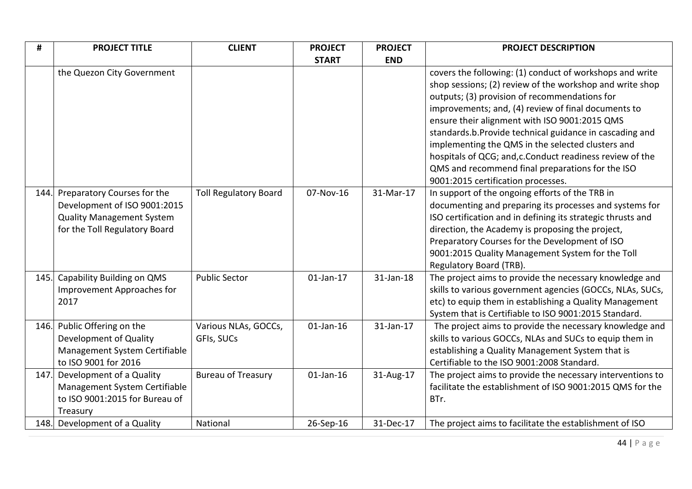| #    | <b>PROJECT TITLE</b>             | <b>CLIENT</b>                | <b>PROJECT</b> | <b>PROJECT</b> | <b>PROJECT DESCRIPTION</b>                                  |
|------|----------------------------------|------------------------------|----------------|----------------|-------------------------------------------------------------|
|      |                                  |                              | <b>START</b>   | <b>END</b>     |                                                             |
|      | the Quezon City Government       |                              |                |                | covers the following: (1) conduct of workshops and write    |
|      |                                  |                              |                |                | shop sessions; (2) review of the workshop and write shop    |
|      |                                  |                              |                |                | outputs; (3) provision of recommendations for               |
|      |                                  |                              |                |                | improvements; and, (4) review of final documents to         |
|      |                                  |                              |                |                | ensure their alignment with ISO 9001:2015 QMS               |
|      |                                  |                              |                |                | standards.b.Provide technical guidance in cascading and     |
|      |                                  |                              |                |                | implementing the QMS in the selected clusters and           |
|      |                                  |                              |                |                | hospitals of QCG; and, c. Conduct readiness review of the   |
|      |                                  |                              |                |                | QMS and recommend final preparations for the ISO            |
|      |                                  |                              |                |                | 9001:2015 certification processes.                          |
| 144. | Preparatory Courses for the      | <b>Toll Regulatory Board</b> | 07-Nov-16      | 31-Mar-17      | In support of the ongoing efforts of the TRB in             |
|      | Development of ISO 9001:2015     |                              |                |                | documenting and preparing its processes and systems for     |
|      | <b>Quality Management System</b> |                              |                |                | ISO certification and in defining its strategic thrusts and |
|      | for the Toll Regulatory Board    |                              |                |                | direction, the Academy is proposing the project,            |
|      |                                  |                              |                |                | Preparatory Courses for the Development of ISO              |
|      |                                  |                              |                |                | 9001:2015 Quality Management System for the Toll            |
|      |                                  |                              |                |                | Regulatory Board (TRB).                                     |
| 145. | Capability Building on QMS       | <b>Public Sector</b>         | $01$ -Jan-17   | 31-Jan-18      | The project aims to provide the necessary knowledge and     |
|      | Improvement Approaches for       |                              |                |                | skills to various government agencies (GOCCs, NLAs, SUCs,   |
|      | 2017                             |                              |                |                | etc) to equip them in establishing a Quality Management     |
|      |                                  |                              |                |                | System that is Certifiable to ISO 9001:2015 Standard.       |
| 146. | Public Offering on the           | Various NLAs, GOCCs,         | $01$ -Jan-16   | 31-Jan-17      | The project aims to provide the necessary knowledge and     |
|      | Development of Quality           | GFIs, SUCs                   |                |                | skills to various GOCCs, NLAs and SUCs to equip them in     |
|      | Management System Certifiable    |                              |                |                | establishing a Quality Management System that is            |
|      | to ISO 9001 for 2016             |                              |                |                | Certifiable to the ISO 9001:2008 Standard.                  |
| 147. | Development of a Quality         | <b>Bureau of Treasury</b>    | $01$ -Jan-16   | 31-Aug-17      | The project aims to provide the necessary interventions to  |
|      | Management System Certifiable    |                              |                |                | facilitate the establishment of ISO 9001:2015 QMS for the   |
|      | to ISO 9001:2015 for Bureau of   |                              |                |                | BTr.                                                        |
|      | Treasury                         |                              |                |                |                                                             |
|      | 148. Development of a Quality    | National                     | 26-Sep-16      | 31-Dec-17      | The project aims to facilitate the establishment of ISO     |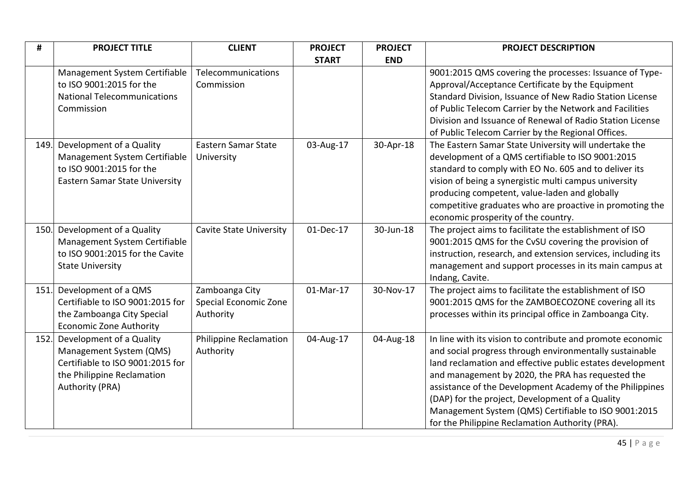| #    | <b>PROJECT TITLE</b>                  | <b>CLIENT</b>                  | <b>PROJECT</b> | <b>PROJECT</b> | <b>PROJECT DESCRIPTION</b>                                   |
|------|---------------------------------------|--------------------------------|----------------|----------------|--------------------------------------------------------------|
|      |                                       |                                | <b>START</b>   | <b>END</b>     |                                                              |
|      | Management System Certifiable         | Telecommunications             |                |                | 9001:2015 QMS covering the processes: Issuance of Type-      |
|      | to ISO 9001:2015 for the              | Commission                     |                |                | Approval/Acceptance Certificate by the Equipment             |
|      | <b>National Telecommunications</b>    |                                |                |                | Standard Division, Issuance of New Radio Station License     |
|      | Commission                            |                                |                |                | of Public Telecom Carrier by the Network and Facilities      |
|      |                                       |                                |                |                | Division and Issuance of Renewal of Radio Station License    |
|      |                                       |                                |                |                | of Public Telecom Carrier by the Regional Offices.           |
| 149. | Development of a Quality              | Eastern Samar State            | 03-Aug-17      | 30-Apr-18      | The Eastern Samar State University will undertake the        |
|      | Management System Certifiable         | University                     |                |                | development of a QMS certifiable to ISO 9001:2015            |
|      | to ISO 9001:2015 for the              |                                |                |                | standard to comply with EO No. 605 and to deliver its        |
|      | <b>Eastern Samar State University</b> |                                |                |                | vision of being a synergistic multi campus university        |
|      |                                       |                                |                |                | producing competent, value-laden and globally                |
|      |                                       |                                |                |                | competitive graduates who are proactive in promoting the     |
|      |                                       |                                |                |                | economic prosperity of the country.                          |
| 150. | Development of a Quality              | <b>Cavite State University</b> | 01-Dec-17      | 30-Jun-18      | The project aims to facilitate the establishment of ISO      |
|      | Management System Certifiable         |                                |                |                | 9001:2015 QMS for the CvSU covering the provision of         |
|      | to ISO 9001:2015 for the Cavite       |                                |                |                | instruction, research, and extension services, including its |
|      | <b>State University</b>               |                                |                |                | management and support processes in its main campus at       |
|      |                                       |                                |                |                | Indang, Cavite.                                              |
| 151. | Development of a QMS                  | Zamboanga City                 | 01-Mar-17      | 30-Nov-17      | The project aims to facilitate the establishment of ISO      |
|      | Certifiable to ISO 9001:2015 for      | Special Economic Zone          |                |                | 9001:2015 QMS for the ZAMBOECOZONE covering all its          |
|      | the Zamboanga City Special            | Authority                      |                |                | processes within its principal office in Zamboanga City.     |
|      | <b>Economic Zone Authority</b>        |                                |                |                |                                                              |
| 152. | Development of a Quality              | Philippine Reclamation         | 04-Aug-17      | 04-Aug-18      | In line with its vision to contribute and promote economic   |
|      | Management System (QMS)               | Authority                      |                |                | and social progress through environmentally sustainable      |
|      | Certifiable to ISO 9001:2015 for      |                                |                |                | land reclamation and effective public estates development    |
|      | the Philippine Reclamation            |                                |                |                | and management by 2020, the PRA has requested the            |
|      | Authority (PRA)                       |                                |                |                | assistance of the Development Academy of the Philippines     |
|      |                                       |                                |                |                | (DAP) for the project, Development of a Quality              |
|      |                                       |                                |                |                | Management System (QMS) Certifiable to ISO 9001:2015         |
|      |                                       |                                |                |                | for the Philippine Reclamation Authority (PRA).              |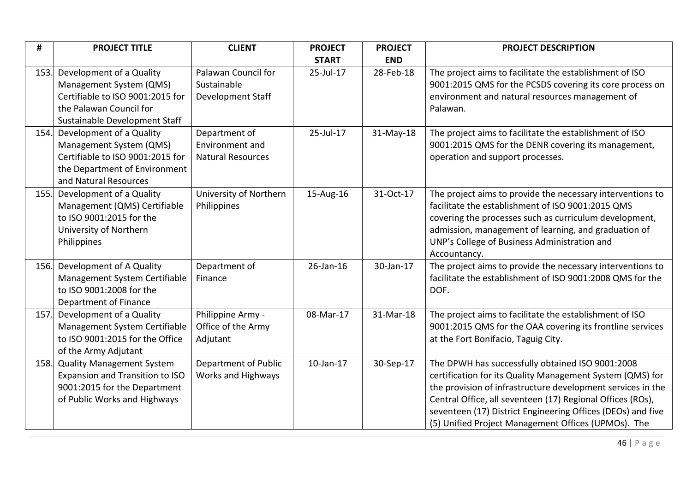| #    | <b>PROJECT TITLE</b>                                                                                                                                | <b>CLIENT</b>                                                | <b>PROJECT</b>  | <b>PROJECT</b> | <b>PROJECT DESCRIPTION</b>                                                                                                                                                                                                                                                                                                                                       |
|------|-----------------------------------------------------------------------------------------------------------------------------------------------------|--------------------------------------------------------------|-----------------|----------------|------------------------------------------------------------------------------------------------------------------------------------------------------------------------------------------------------------------------------------------------------------------------------------------------------------------------------------------------------------------|
|      |                                                                                                                                                     |                                                              | <b>START</b>    | <b>END</b>     |                                                                                                                                                                                                                                                                                                                                                                  |
| 153. | Development of a Quality<br>Management System (QMS)<br>Certifiable to ISO 9001:2015 for<br>the Palawan Council for<br>Sustainable Development Staff | Palawan Council for<br>Sustainable<br>Development Staff      | 25-Jul-17       | 28-Feb-18      | The project aims to facilitate the establishment of ISO<br>9001:2015 QMS for the PCSDS covering its core process on<br>environment and natural resources management of<br>Palawan.                                                                                                                                                                               |
| 154. | Development of a Quality<br>Management System (QMS)<br>Certifiable to ISO 9001:2015 for<br>the Department of Environment<br>and Natural Resources   | Department of<br>Environment and<br><b>Natural Resources</b> | 25-Jul-17       | 31-May-18      | The project aims to facilitate the establishment of ISO<br>9001:2015 QMS for the DENR covering its management,<br>operation and support processes.                                                                                                                                                                                                               |
| 155. | Development of a Quality<br>Management (QMS) Certifiable<br>to ISO 9001:2015 for the<br>University of Northern<br>Philippines                       | University of Northern<br>Philippines                        | 15-Aug-16       | 31-Oct-17      | The project aims to provide the necessary interventions to<br>facilitate the establishment of ISO 9001:2015 QMS<br>covering the processes such as curriculum development,<br>admission, management of learning, and graduation of<br>UNP's College of Business Administration and<br>Accountancy.                                                                |
| 156. | Development of A Quality<br>Management System Certifiable<br>to ISO 9001:2008 for the<br>Department of Finance                                      | Department of<br>Finance                                     | $26$ -Jan-16    | 30-Jan-17      | The project aims to provide the necessary interventions to<br>facilitate the establishment of ISO 9001:2008 QMS for the<br>DOF.                                                                                                                                                                                                                                  |
| 157. | Development of a Quality<br>Management System Certifiable<br>to ISO 9001:2015 for the Office<br>of the Army Adjutant                                | Philippine Army -<br>Office of the Army<br>Adjutant          | 08-Mar-17       | 31-Mar-18      | The project aims to facilitate the establishment of ISO<br>9001:2015 QMS for the OAA covering its frontline services<br>at the Fort Bonifacio, Taguig City.                                                                                                                                                                                                      |
| 158. | <b>Quality Management System</b><br>Expansion and Transition to ISO<br>9001:2015 for the Department<br>of Public Works and Highways                 | Department of Public<br>Works and Highways                   | $10$ -Jan- $17$ | 30-Sep-17      | The DPWH has successfully obtained ISO 9001:2008<br>certification for its Quality Management System (QMS) for<br>the provision of infrastructure development services in the<br>Central Office, all seventeen (17) Regional Offices (ROs),<br>seventeen (17) District Engineering Offices (DEOs) and five<br>(5) Unified Project Management Offices (UPMOs). The |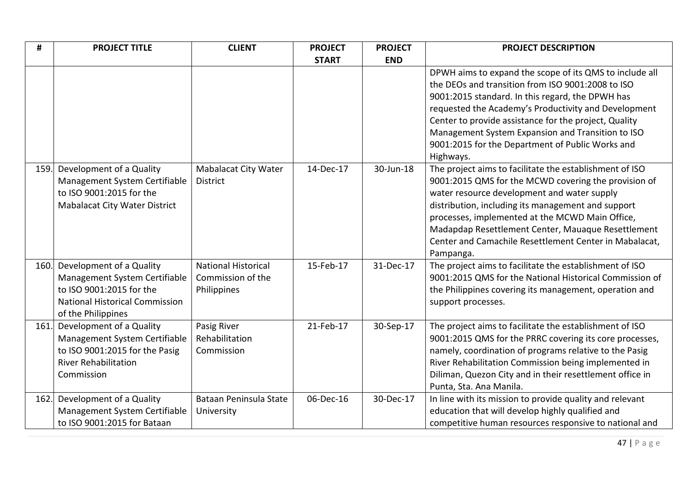| #    | <b>PROJECT TITLE</b>                  | <b>CLIENT</b>               | <b>PROJECT</b> | <b>PROJECT</b> | <b>PROJECT DESCRIPTION</b>                               |
|------|---------------------------------------|-----------------------------|----------------|----------------|----------------------------------------------------------|
|      |                                       |                             | <b>START</b>   | <b>END</b>     |                                                          |
|      |                                       |                             |                |                | DPWH aims to expand the scope of its QMS to include all  |
|      |                                       |                             |                |                | the DEOs and transition from ISO 9001:2008 to ISO        |
|      |                                       |                             |                |                | 9001:2015 standard. In this regard, the DPWH has         |
|      |                                       |                             |                |                | requested the Academy's Productivity and Development     |
|      |                                       |                             |                |                | Center to provide assistance for the project, Quality    |
|      |                                       |                             |                |                | Management System Expansion and Transition to ISO        |
|      |                                       |                             |                |                | 9001:2015 for the Department of Public Works and         |
|      |                                       |                             |                |                | Highways.                                                |
| 159. | Development of a Quality              | <b>Mabalacat City Water</b> | 14-Dec-17      | 30-Jun-18      | The project aims to facilitate the establishment of ISO  |
|      | Management System Certifiable         | <b>District</b>             |                |                | 9001:2015 QMS for the MCWD covering the provision of     |
|      | to ISO 9001:2015 for the              |                             |                |                | water resource development and water supply              |
|      | <b>Mabalacat City Water District</b>  |                             |                |                | distribution, including its management and support       |
|      |                                       |                             |                |                | processes, implemented at the MCWD Main Office,          |
|      |                                       |                             |                |                | Madapdap Resettlement Center, Mauaque Resettlement       |
|      |                                       |                             |                |                | Center and Camachile Resettlement Center in Mabalacat,   |
|      |                                       |                             |                |                | Pampanga.                                                |
| 160. | Development of a Quality              | <b>National Historical</b>  | 15-Feb-17      | 31-Dec-17      | The project aims to facilitate the establishment of ISO  |
|      | Management System Certifiable         | Commission of the           |                |                | 9001:2015 QMS for the National Historical Commission of  |
|      | to ISO 9001:2015 for the              | Philippines                 |                |                | the Philippines covering its management, operation and   |
|      | <b>National Historical Commission</b> |                             |                |                | support processes.                                       |
|      | of the Philippines                    |                             |                |                |                                                          |
| 161. | Development of a Quality              | Pasig River                 | 21-Feb-17      | 30-Sep-17      | The project aims to facilitate the establishment of ISO  |
|      | Management System Certifiable         | Rehabilitation              |                |                | 9001:2015 QMS for the PRRC covering its core processes,  |
|      | to ISO 9001:2015 for the Pasig        | Commission                  |                |                | namely, coordination of programs relative to the Pasig   |
|      | <b>River Rehabilitation</b>           |                             |                |                | River Rehabilitation Commission being implemented in     |
|      | Commission                            |                             |                |                | Diliman, Quezon City and in their resettlement office in |
|      |                                       |                             |                |                | Punta, Sta. Ana Manila.                                  |
| 162. | Development of a Quality              | Bataan Peninsula State      | 06-Dec-16      | 30-Dec-17      | In line with its mission to provide quality and relevant |
|      | Management System Certifiable         | University                  |                |                | education that will develop highly qualified and         |
|      | to ISO 9001:2015 for Bataan           |                             |                |                | competitive human resources responsive to national and   |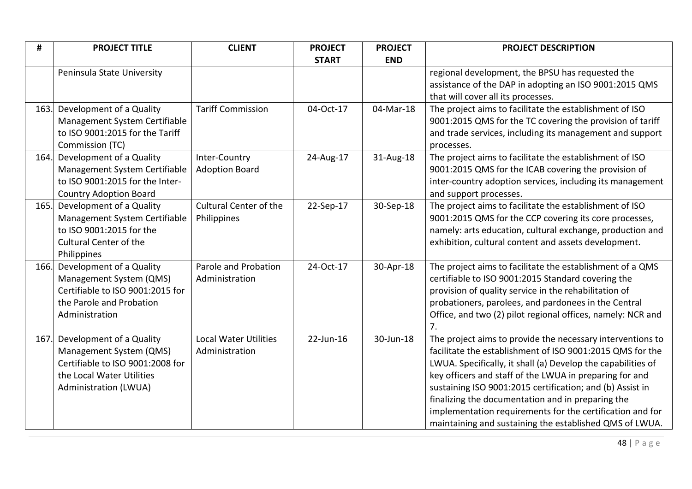| #    | <b>PROJECT TITLE</b>                                             | <b>CLIENT</b>                                  | <b>PROJECT</b> | <b>PROJECT</b> | <b>PROJECT DESCRIPTION</b>                                                                                              |
|------|------------------------------------------------------------------|------------------------------------------------|----------------|----------------|-------------------------------------------------------------------------------------------------------------------------|
|      |                                                                  |                                                | <b>START</b>   | <b>END</b>     |                                                                                                                         |
|      | Peninsula State University                                       |                                                |                |                | regional development, the BPSU has requested the                                                                        |
|      |                                                                  |                                                |                |                | assistance of the DAP in adopting an ISO 9001:2015 QMS                                                                  |
|      |                                                                  |                                                |                |                | that will cover all its processes.                                                                                      |
| 163. | Development of a Quality                                         | <b>Tariff Commission</b>                       | 04-Oct-17      | 04-Mar-18      | The project aims to facilitate the establishment of ISO                                                                 |
|      | Management System Certifiable<br>to ISO 9001:2015 for the Tariff |                                                |                |                | 9001:2015 QMS for the TC covering the provision of tariff<br>and trade services, including its management and support   |
|      | Commission (TC)                                                  |                                                |                |                | processes.                                                                                                              |
| 164. | Development of a Quality                                         | Inter-Country                                  | 24-Aug-17      | 31-Aug-18      | The project aims to facilitate the establishment of ISO                                                                 |
|      | Management System Certifiable                                    | <b>Adoption Board</b>                          |                |                | 9001:2015 QMS for the ICAB covering the provision of                                                                    |
|      | to ISO 9001:2015 for the Inter-                                  |                                                |                |                | inter-country adoption services, including its management                                                               |
|      | <b>Country Adoption Board</b>                                    |                                                |                |                | and support processes.                                                                                                  |
| 165. | Development of a Quality                                         | <b>Cultural Center of the</b>                  | 22-Sep-17      | 30-Sep-18      | The project aims to facilitate the establishment of ISO                                                                 |
|      | Management System Certifiable                                    | Philippines                                    |                |                | 9001:2015 QMS for the CCP covering its core processes,                                                                  |
|      | to ISO 9001:2015 for the<br><b>Cultural Center of the</b>        |                                                |                |                | namely: arts education, cultural exchange, production and<br>exhibition, cultural content and assets development.       |
|      | Philippines                                                      |                                                |                |                |                                                                                                                         |
| 166. | Development of a Quality                                         | Parole and Probation                           | 24-Oct-17      | 30-Apr-18      | The project aims to facilitate the establishment of a QMS                                                               |
|      | Management System (QMS)                                          | Administration                                 |                |                | certifiable to ISO 9001:2015 Standard covering the                                                                      |
|      | Certifiable to ISO 9001:2015 for                                 |                                                |                |                | provision of quality service in the rehabilitation of                                                                   |
|      | the Parole and Probation                                         |                                                |                |                | probationers, parolees, and pardonees in the Central                                                                    |
|      | Administration                                                   |                                                |                |                | Office, and two (2) pilot regional offices, namely: NCR and                                                             |
|      |                                                                  |                                                |                |                | 7.                                                                                                                      |
| 167. | Development of a Quality<br>Management System (QMS)              | <b>Local Water Utilities</b><br>Administration | 22-Jun-16      | 30-Jun-18      | The project aims to provide the necessary interventions to<br>facilitate the establishment of ISO 9001:2015 QMS for the |
|      | Certifiable to ISO 9001:2008 for                                 |                                                |                |                | LWUA. Specifically, it shall (a) Develop the capabilities of                                                            |
|      | the Local Water Utilities                                        |                                                |                |                | key officers and staff of the LWUA in preparing for and                                                                 |
|      | Administration (LWUA)                                            |                                                |                |                | sustaining ISO 9001:2015 certification; and (b) Assist in                                                               |
|      |                                                                  |                                                |                |                | finalizing the documentation and in preparing the                                                                       |
|      |                                                                  |                                                |                |                | implementation requirements for the certification and for                                                               |
|      |                                                                  |                                                |                |                | maintaining and sustaining the established QMS of LWUA.                                                                 |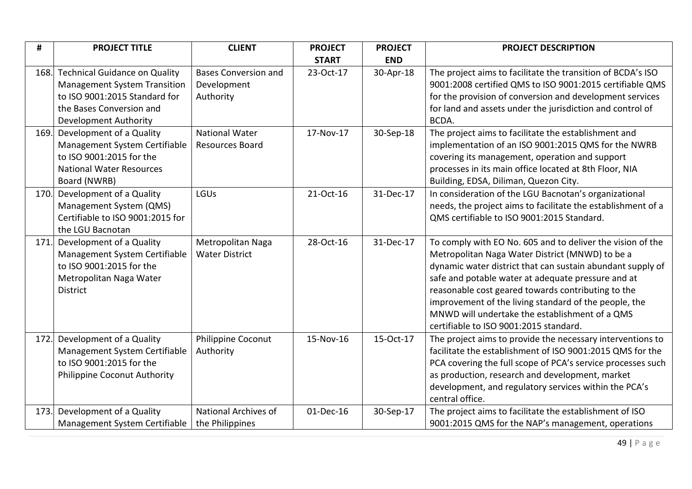| #    | <b>PROJECT TITLE</b>                 | <b>CLIENT</b>               | <b>PROJECT</b> | <b>PROJECT</b> | <b>PROJECT DESCRIPTION</b>                                   |
|------|--------------------------------------|-----------------------------|----------------|----------------|--------------------------------------------------------------|
|      |                                      |                             | <b>START</b>   | <b>END</b>     |                                                              |
| 168. | <b>Technical Guidance on Quality</b> | <b>Bases Conversion and</b> | 23-Oct-17      | 30-Apr-18      | The project aims to facilitate the transition of BCDA's ISO  |
|      | <b>Management System Transition</b>  | Development                 |                |                | 9001:2008 certified QMS to ISO 9001:2015 certifiable QMS     |
|      | to ISO 9001:2015 Standard for        | Authority                   |                |                | for the provision of conversion and development services     |
|      | the Bases Conversion and             |                             |                |                | for land and assets under the jurisdiction and control of    |
|      | Development Authority                |                             |                |                | BCDA.                                                        |
| 169. | Development of a Quality             | <b>National Water</b>       | 17-Nov-17      | 30-Sep-18      | The project aims to facilitate the establishment and         |
|      | Management System Certifiable        | Resources Board             |                |                | implementation of an ISO 9001:2015 QMS for the NWRB          |
|      | to ISO 9001:2015 for the             |                             |                |                | covering its management, operation and support               |
|      | <b>National Water Resources</b>      |                             |                |                | processes in its main office located at 8th Floor, NIA       |
|      | Board (NWRB)                         |                             |                |                | Building, EDSA, Diliman, Quezon City.                        |
| 170. | Development of a Quality             | LGUs                        | 21-Oct-16      | 31-Dec-17      | In consideration of the LGU Bacnotan's organizational        |
|      | Management System (QMS)              |                             |                |                | needs, the project aims to facilitate the establishment of a |
|      | Certifiable to ISO 9001:2015 for     |                             |                |                | QMS certifiable to ISO 9001:2015 Standard.                   |
|      | the LGU Bacnotan                     |                             |                |                |                                                              |
| 171. | Development of a Quality             | Metropolitan Naga           | 28-Oct-16      | 31-Dec-17      | To comply with EO No. 605 and to deliver the vision of the   |
|      | Management System Certifiable        | <b>Water District</b>       |                |                | Metropolitan Naga Water District (MNWD) to be a              |
|      | to ISO 9001:2015 for the             |                             |                |                | dynamic water district that can sustain abundant supply of   |
|      | Metropolitan Naga Water              |                             |                |                | safe and potable water at adequate pressure and at           |
|      | <b>District</b>                      |                             |                |                | reasonable cost geared towards contributing to the           |
|      |                                      |                             |                |                | improvement of the living standard of the people, the        |
|      |                                      |                             |                |                | MNWD will undertake the establishment of a QMS               |
|      |                                      |                             |                |                | certifiable to ISO 9001:2015 standard.                       |
| 172. | Development of a Quality             | Philippine Coconut          | 15-Nov-16      | 15-Oct-17      | The project aims to provide the necessary interventions to   |
|      | Management System Certifiable        | Authority                   |                |                | facilitate the establishment of ISO 9001:2015 QMS for the    |
|      | to ISO 9001:2015 for the             |                             |                |                | PCA covering the full scope of PCA's service processes such  |
|      | Philippine Coconut Authority         |                             |                |                | as production, research and development, market              |
|      |                                      |                             |                |                | development, and regulatory services within the PCA's        |
|      |                                      |                             |                |                | central office.                                              |
| 173. | Development of a Quality             | National Archives of        | 01-Dec-16      | 30-Sep-17      | The project aims to facilitate the establishment of ISO      |
|      | Management System Certifiable        | the Philippines             |                |                | 9001:2015 QMS for the NAP's management, operations           |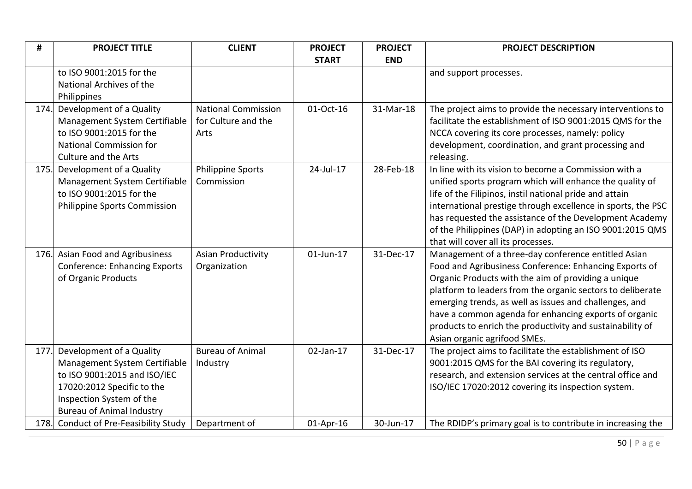| #    | <b>PROJECT TITLE</b>                                                     | <b>CLIENT</b>                             | <b>PROJECT</b> | <b>PROJECT</b> | <b>PROJECT DESCRIPTION</b>                                                                                    |
|------|--------------------------------------------------------------------------|-------------------------------------------|----------------|----------------|---------------------------------------------------------------------------------------------------------------|
|      |                                                                          |                                           | <b>START</b>   | <b>END</b>     |                                                                                                               |
|      | to ISO 9001:2015 for the                                                 |                                           |                |                | and support processes.                                                                                        |
|      | National Archives of the                                                 |                                           |                |                |                                                                                                               |
|      | Philippines                                                              |                                           |                |                |                                                                                                               |
| 174. | Development of a Quality                                                 | <b>National Commission</b>                | 01-Oct-16      | 31-Mar-18      | The project aims to provide the necessary interventions to                                                    |
|      | Management System Certifiable                                            | for Culture and the                       |                |                | facilitate the establishment of ISO 9001:2015 QMS for the                                                     |
|      | to ISO 9001:2015 for the                                                 | Arts                                      |                |                | NCCA covering its core processes, namely: policy                                                              |
|      | <b>National Commission for</b>                                           |                                           |                |                | development, coordination, and grant processing and                                                           |
|      | Culture and the Arts                                                     |                                           |                |                | releasing.                                                                                                    |
| 175. | Development of a Quality                                                 | <b>Philippine Sports</b>                  | 24-Jul-17      | 28-Feb-18      | In line with its vision to become a Commission with a                                                         |
|      | Management System Certifiable                                            | Commission                                |                |                | unified sports program which will enhance the quality of                                                      |
|      | to ISO 9001:2015 for the                                                 |                                           |                |                | life of the Filipinos, instil national pride and attain                                                       |
|      | Philippine Sports Commission                                             |                                           |                |                | international prestige through excellence in sports, the PSC                                                  |
|      |                                                                          |                                           |                |                | has requested the assistance of the Development Academy                                                       |
|      |                                                                          |                                           |                |                | of the Philippines (DAP) in adopting an ISO 9001:2015 QMS                                                     |
|      |                                                                          |                                           | 01-Jun-17      | 31-Dec-17      | that will cover all its processes.                                                                            |
|      | 176. Asian Food and Agribusiness<br><b>Conference: Enhancing Exports</b> | <b>Asian Productivity</b><br>Organization |                |                | Management of a three-day conference entitled Asian<br>Food and Agribusiness Conference: Enhancing Exports of |
|      | of Organic Products                                                      |                                           |                |                | Organic Products with the aim of providing a unique                                                           |
|      |                                                                          |                                           |                |                | platform to leaders from the organic sectors to deliberate                                                    |
|      |                                                                          |                                           |                |                | emerging trends, as well as issues and challenges, and                                                        |
|      |                                                                          |                                           |                |                | have a common agenda for enhancing exports of organic                                                         |
|      |                                                                          |                                           |                |                | products to enrich the productivity and sustainability of                                                     |
|      |                                                                          |                                           |                |                | Asian organic agrifood SMEs.                                                                                  |
| 177. | Development of a Quality                                                 | <b>Bureau of Animal</b>                   | 02-Jan-17      | 31-Dec-17      | The project aims to facilitate the establishment of ISO                                                       |
|      | Management System Certifiable                                            | Industry                                  |                |                | 9001:2015 QMS for the BAI covering its regulatory,                                                            |
|      | to ISO 9001:2015 and ISO/IEC                                             |                                           |                |                | research, and extension services at the central office and                                                    |
|      | 17020:2012 Specific to the                                               |                                           |                |                | ISO/IEC 17020:2012 covering its inspection system.                                                            |
|      | Inspection System of the                                                 |                                           |                |                |                                                                                                               |
|      | <b>Bureau of Animal Industry</b>                                         |                                           |                |                |                                                                                                               |
|      | 178. Conduct of Pre-Feasibility Study                                    | Department of                             | 01-Apr-16      | 30-Jun-17      | The RDIDP's primary goal is to contribute in increasing the                                                   |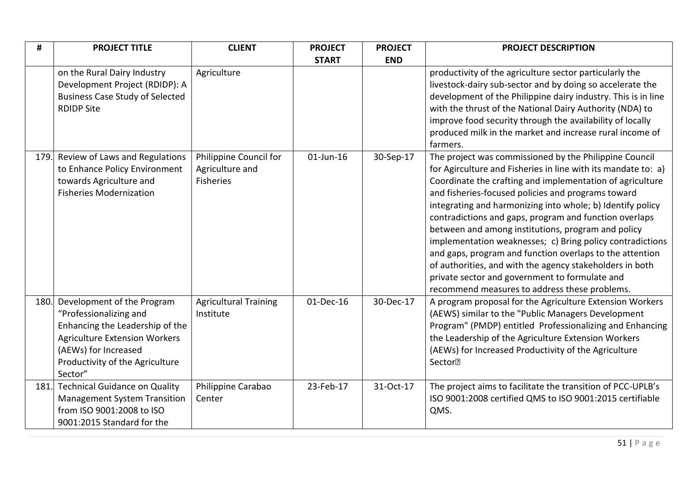| #    | <b>PROJECT TITLE</b>                                                                                                                                                                                  | <b>CLIENT</b>                                                 | <b>PROJECT</b> | <b>PROJECT</b> | <b>PROJECT DESCRIPTION</b>                                                                                                                                                                                                                                                                                                                                                                                                                                                                                                                                                                                                                                                                                       |
|------|-------------------------------------------------------------------------------------------------------------------------------------------------------------------------------------------------------|---------------------------------------------------------------|----------------|----------------|------------------------------------------------------------------------------------------------------------------------------------------------------------------------------------------------------------------------------------------------------------------------------------------------------------------------------------------------------------------------------------------------------------------------------------------------------------------------------------------------------------------------------------------------------------------------------------------------------------------------------------------------------------------------------------------------------------------|
|      |                                                                                                                                                                                                       |                                                               | <b>START</b>   | <b>END</b>     |                                                                                                                                                                                                                                                                                                                                                                                                                                                                                                                                                                                                                                                                                                                  |
|      | on the Rural Dairy Industry<br>Development Project (RDIDP): A<br><b>Business Case Study of Selected</b><br><b>RDIDP Site</b>                                                                          | Agriculture                                                   |                |                | productivity of the agriculture sector particularly the<br>livestock-dairy sub-sector and by doing so accelerate the<br>development of the Philippine dairy industry. This is in line<br>with the thrust of the National Dairy Authority (NDA) to<br>improve food security through the availability of locally<br>produced milk in the market and increase rural income of<br>farmers.                                                                                                                                                                                                                                                                                                                           |
| 179. | Review of Laws and Regulations<br>to Enhance Policy Environment<br>towards Agriculture and<br><b>Fisheries Modernization</b>                                                                          | Philippine Council for<br>Agriculture and<br><b>Fisheries</b> | 01-Jun-16      | 30-Sep-17      | The project was commissioned by the Philippine Council<br>for Agirculture and Fisheries in line with its mandate to: a)<br>Coordinate the crafting and implementation of agriculture<br>and fisheries-focused policies and programs toward<br>integrating and harmonizing into whole; b) Identify policy<br>contradictions and gaps, program and function overlaps<br>between and among institutions, program and policy<br>implementation weaknesses; c) Bring policy contradictions<br>and gaps, program and function overlaps to the attention<br>of authorities, and with the agency stakeholders in both<br>private sector and government to formulate and<br>recommend measures to address these problems. |
| 180. | Development of the Program<br>"Professionalizing and<br>Enhancing the Leadership of the<br><b>Agriculture Extension Workers</b><br>(AEWs) for Increased<br>Productivity of the Agriculture<br>Sector" | <b>Agricultural Training</b><br>Institute                     | 01-Dec-16      | 30-Dec-17      | A program proposal for the Agriculture Extension Workers<br>(AEWS) similar to the "Public Managers Development<br>Program" (PMDP) entitled Professionalizing and Enhancing<br>the Leadership of the Agriculture Extension Workers<br>(AEWs) for Increased Productivity of the Agriculture<br>Sector <sup>•</sup>                                                                                                                                                                                                                                                                                                                                                                                                 |
| 181. | <b>Technical Guidance on Quality</b><br><b>Management System Transition</b><br>from ISO 9001:2008 to ISO<br>9001:2015 Standard for the                                                                | Philippine Carabao<br>Center                                  | 23-Feb-17      | 31-Oct-17      | The project aims to facilitate the transition of PCC-UPLB's<br>ISO 9001:2008 certified QMS to ISO 9001:2015 certifiable<br>QMS.                                                                                                                                                                                                                                                                                                                                                                                                                                                                                                                                                                                  |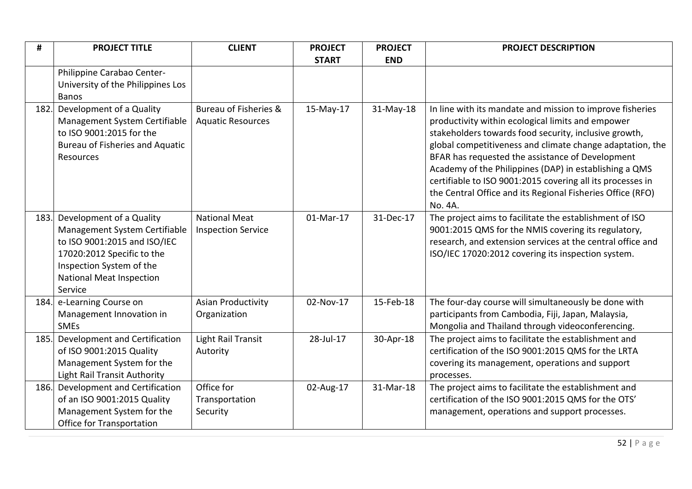| #    | <b>PROJECT TITLE</b>                                                                                                                                                                              | <b>CLIENT</b>                                     | <b>PROJECT</b> | <b>PROJECT</b> | <b>PROJECT DESCRIPTION</b>                                                                                                                                                                                                                                                                                                                                                                                                                                                                |
|------|---------------------------------------------------------------------------------------------------------------------------------------------------------------------------------------------------|---------------------------------------------------|----------------|----------------|-------------------------------------------------------------------------------------------------------------------------------------------------------------------------------------------------------------------------------------------------------------------------------------------------------------------------------------------------------------------------------------------------------------------------------------------------------------------------------------------|
|      |                                                                                                                                                                                                   |                                                   | <b>START</b>   | <b>END</b>     |                                                                                                                                                                                                                                                                                                                                                                                                                                                                                           |
|      | Philippine Carabao Center-<br>University of the Philippines Los<br><b>Banos</b>                                                                                                                   |                                                   |                |                |                                                                                                                                                                                                                                                                                                                                                                                                                                                                                           |
| 182. | Development of a Quality<br>Management System Certifiable<br>to ISO 9001:2015 for the<br><b>Bureau of Fisheries and Aquatic</b><br>Resources                                                      | Bureau of Fisheries &<br><b>Aquatic Resources</b> | 15-May-17      | 31-May-18      | In line with its mandate and mission to improve fisheries<br>productivity within ecological limits and empower<br>stakeholders towards food security, inclusive growth,<br>global competitiveness and climate change adaptation, the<br>BFAR has requested the assistance of Development<br>Academy of the Philippines (DAP) in establishing a QMS<br>certifiable to ISO 9001:2015 covering all its processes in<br>the Central Office and its Regional Fisheries Office (RFO)<br>No. 4A. |
| 183. | Development of a Quality<br>Management System Certifiable<br>to ISO 9001:2015 and ISO/IEC<br>17020:2012 Specific to the<br>Inspection System of the<br><b>National Meat Inspection</b><br>Service | <b>National Meat</b><br><b>Inspection Service</b> | 01-Mar-17      | 31-Dec-17      | The project aims to facilitate the establishment of ISO<br>9001:2015 QMS for the NMIS covering its regulatory,<br>research, and extension services at the central office and<br>ISO/IEC 17020:2012 covering its inspection system.                                                                                                                                                                                                                                                        |
|      | 184. e-Learning Course on<br>Management Innovation in<br><b>SMEs</b>                                                                                                                              | <b>Asian Productivity</b><br>Organization         | 02-Nov-17      | 15-Feb-18      | The four-day course will simultaneously be done with<br>participants from Cambodia, Fiji, Japan, Malaysia,<br>Mongolia and Thailand through videoconferencing.                                                                                                                                                                                                                                                                                                                            |
| 185. | Development and Certification<br>of ISO 9001:2015 Quality<br>Management System for the<br><b>Light Rail Transit Authority</b>                                                                     | <b>Light Rail Transit</b><br>Autority             | 28-Jul-17      | 30-Apr-18      | The project aims to facilitate the establishment and<br>certification of the ISO 9001:2015 QMS for the LRTA<br>covering its management, operations and support<br>processes.                                                                                                                                                                                                                                                                                                              |
| 186. | Development and Certification<br>of an ISO 9001:2015 Quality<br>Management System for the<br><b>Office for Transportation</b>                                                                     | Office for<br>Transportation<br>Security          | 02-Aug-17      | 31-Mar-18      | The project aims to facilitate the establishment and<br>certification of the ISO 9001:2015 QMS for the OTS'<br>management, operations and support processes.                                                                                                                                                                                                                                                                                                                              |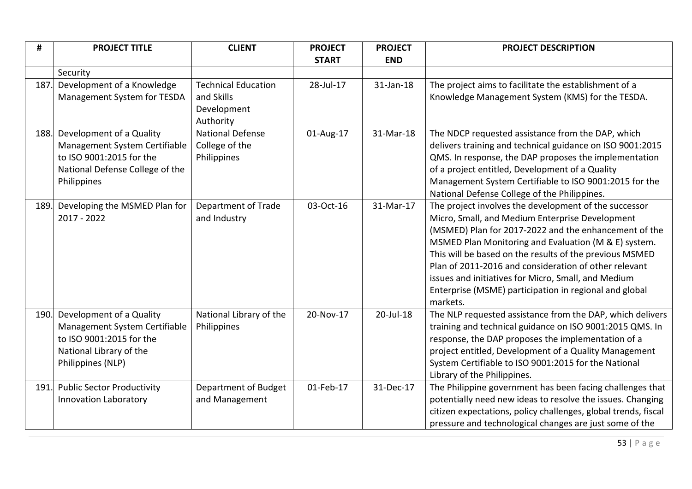| #    | <b>PROJECT TITLE</b>              | <b>CLIENT</b>              | <b>PROJECT</b> | <b>PROJECT</b> | PROJECT DESCRIPTION                                            |
|------|-----------------------------------|----------------------------|----------------|----------------|----------------------------------------------------------------|
|      |                                   |                            | <b>START</b>   | <b>END</b>     |                                                                |
|      | Security                          |                            |                |                |                                                                |
| 187. | Development of a Knowledge        | <b>Technical Education</b> | 28-Jul-17      | 31-Jan-18      | The project aims to facilitate the establishment of a          |
|      | Management System for TESDA       | and Skills                 |                |                | Knowledge Management System (KMS) for the TESDA.               |
|      |                                   | Development                |                |                |                                                                |
|      |                                   | Authority                  |                |                |                                                                |
| 188. | Development of a Quality          | <b>National Defense</b>    | 01-Aug-17      | 31-Mar-18      | The NDCP requested assistance from the DAP, which              |
|      | Management System Certifiable     | College of the             |                |                | delivers training and technical guidance on ISO 9001:2015      |
|      | to ISO 9001:2015 for the          | Philippines                |                |                | QMS. In response, the DAP proposes the implementation          |
|      | National Defense College of the   |                            |                |                | of a project entitled, Development of a Quality                |
|      | Philippines                       |                            |                |                | Management System Certifiable to ISO 9001:2015 for the         |
|      |                                   |                            |                |                | National Defense College of the Philippines.                   |
| 189. | Developing the MSMED Plan for     | Department of Trade        | 03-Oct-16      | 31-Mar-17      | The project involves the development of the successor          |
|      | 2017 - 2022                       | and Industry               |                |                | Micro, Small, and Medium Enterprise Development                |
|      |                                   |                            |                |                | (MSMED) Plan for 2017-2022 and the enhancement of the          |
|      |                                   |                            |                |                | MSMED Plan Monitoring and Evaluation (M & E) system.           |
|      |                                   |                            |                |                | This will be based on the results of the previous MSMED        |
|      |                                   |                            |                |                | Plan of 2011-2016 and consideration of other relevant          |
|      |                                   |                            |                |                | issues and initiatives for Micro, Small, and Medium            |
|      |                                   |                            |                |                | Enterprise (MSME) participation in regional and global         |
|      |                                   |                            |                |                | markets.                                                       |
| 190. | Development of a Quality          | National Library of the    | 20-Nov-17      | 20-Jul-18      | The NLP requested assistance from the DAP, which delivers      |
|      | Management System Certifiable     | Philippines                |                |                | training and technical guidance on ISO 9001:2015 QMS. In       |
|      | to ISO 9001:2015 for the          |                            |                |                | response, the DAP proposes the implementation of a             |
|      | National Library of the           |                            |                |                | project entitled, Development of a Quality Management          |
|      | Philippines (NLP)                 |                            |                |                | System Certifiable to ISO 9001:2015 for the National           |
|      |                                   |                            |                |                | Library of the Philippines.                                    |
| 191. | <b>Public Sector Productivity</b> | Department of Budget       | 01-Feb-17      | 31-Dec-17      | The Philippine government has been facing challenges that      |
|      | <b>Innovation Laboratory</b>      | and Management             |                |                | potentially need new ideas to resolve the issues. Changing     |
|      |                                   |                            |                |                | citizen expectations, policy challenges, global trends, fiscal |
|      |                                   |                            |                |                | pressure and technological changes are just some of the        |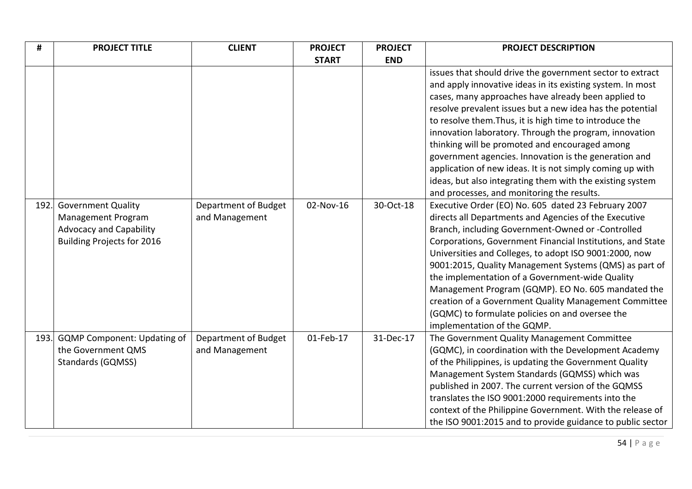| #    | <b>PROJECT TITLE</b>                                                                                                          | <b>CLIENT</b>                          | <b>PROJECT</b> | <b>PROJECT</b> | PROJECT DESCRIPTION                                                                                                                                                                                                                                                                                                                                                                                                                                                                                                                                                                                     |
|------|-------------------------------------------------------------------------------------------------------------------------------|----------------------------------------|----------------|----------------|---------------------------------------------------------------------------------------------------------------------------------------------------------------------------------------------------------------------------------------------------------------------------------------------------------------------------------------------------------------------------------------------------------------------------------------------------------------------------------------------------------------------------------------------------------------------------------------------------------|
|      |                                                                                                                               |                                        | <b>START</b>   | <b>END</b>     |                                                                                                                                                                                                                                                                                                                                                                                                                                                                                                                                                                                                         |
|      |                                                                                                                               |                                        |                |                | issues that should drive the government sector to extract<br>and apply innovative ideas in its existing system. In most<br>cases, many approaches have already been applied to<br>resolve prevalent issues but a new idea has the potential<br>to resolve them. Thus, it is high time to introduce the<br>innovation laboratory. Through the program, innovation<br>thinking will be promoted and encouraged among<br>government agencies. Innovation is the generation and<br>application of new ideas. It is not simply coming up with<br>ideas, but also integrating them with the existing system   |
|      |                                                                                                                               |                                        |                |                | and processes, and monitoring the results.                                                                                                                                                                                                                                                                                                                                                                                                                                                                                                                                                              |
| 192. | <b>Government Quality</b><br><b>Management Program</b><br><b>Advocacy and Capability</b><br><b>Building Projects for 2016</b> | Department of Budget<br>and Management | 02-Nov-16      | 30-Oct-18      | Executive Order (EO) No. 605 dated 23 February 2007<br>directs all Departments and Agencies of the Executive<br>Branch, including Government-Owned or -Controlled<br>Corporations, Government Financial Institutions, and State<br>Universities and Colleges, to adopt ISO 9001:2000, now<br>9001:2015, Quality Management Systems (QMS) as part of<br>the implementation of a Government-wide Quality<br>Management Program (GQMP). EO No. 605 mandated the<br>creation of a Government Quality Management Committee<br>(GQMC) to formulate policies on and oversee the<br>implementation of the GQMP. |
| 193. | <b>GQMP Component: Updating of</b><br>the Government QMS<br><b>Standards (GQMSS)</b>                                          | Department of Budget<br>and Management | 01-Feb-17      | 31-Dec-17      | The Government Quality Management Committee<br>(GQMC), in coordination with the Development Academy<br>of the Philippines, is updating the Government Quality<br>Management System Standards (GQMSS) which was<br>published in 2007. The current version of the GQMSS<br>translates the ISO 9001:2000 requirements into the<br>context of the Philippine Government. With the release of<br>the ISO 9001:2015 and to provide guidance to public sector                                                                                                                                                  |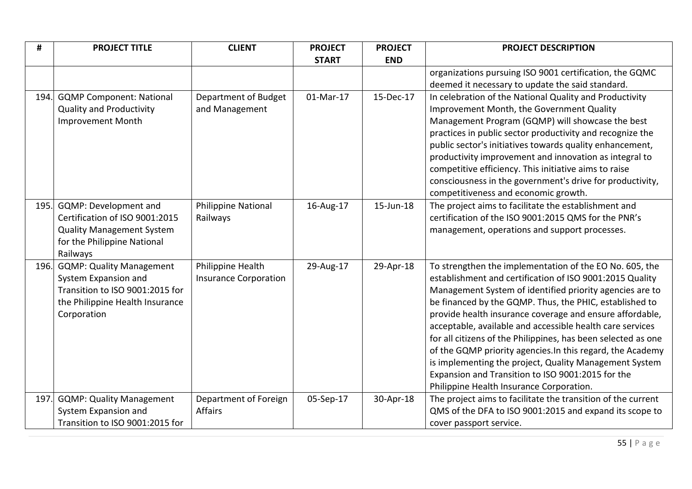| #    | <b>PROJECT TITLE</b>                                            | <b>CLIENT</b>                | <b>PROJECT</b> | <b>PROJECT</b> | <b>PROJECT DESCRIPTION</b>                                    |
|------|-----------------------------------------------------------------|------------------------------|----------------|----------------|---------------------------------------------------------------|
|      |                                                                 |                              | <b>START</b>   | <b>END</b>     |                                                               |
|      |                                                                 |                              |                |                | organizations pursuing ISO 9001 certification, the GQMC       |
|      |                                                                 |                              |                |                | deemed it necessary to update the said standard.              |
| 194. | <b>GQMP Component: National</b>                                 | Department of Budget         | 01-Mar-17      | 15-Dec-17      | In celebration of the National Quality and Productivity       |
|      | <b>Quality and Productivity</b>                                 | and Management               |                |                | Improvement Month, the Government Quality                     |
|      | <b>Improvement Month</b>                                        |                              |                |                | Management Program (GQMP) will showcase the best              |
|      |                                                                 |                              |                |                | practices in public sector productivity and recognize the     |
|      |                                                                 |                              |                |                | public sector's initiatives towards quality enhancement,      |
|      |                                                                 |                              |                |                | productivity improvement and innovation as integral to        |
|      |                                                                 |                              |                |                | competitive efficiency. This initiative aims to raise         |
|      |                                                                 |                              |                |                | consciousness in the government's drive for productivity,     |
|      |                                                                 |                              |                |                | competitiveness and economic growth.                          |
| 195. | GQMP: Development and                                           | Philippine National          | 16-Aug-17      | 15-Jun-18      | The project aims to facilitate the establishment and          |
|      | Certification of ISO 9001:2015                                  | Railways                     |                |                | certification of the ISO 9001:2015 QMS for the PNR's          |
|      | <b>Quality Management System</b><br>for the Philippine National |                              |                |                | management, operations and support processes.                 |
|      | Railways                                                        |                              |                |                |                                                               |
| 196. | <b>GQMP: Quality Management</b>                                 | Philippine Health            | 29-Aug-17      | 29-Apr-18      | To strengthen the implementation of the EO No. 605, the       |
|      | System Expansion and                                            | <b>Insurance Corporation</b> |                |                | establishment and certification of ISO 9001:2015 Quality      |
|      | Transition to ISO 9001:2015 for                                 |                              |                |                | Management System of identified priority agencies are to      |
|      | the Philippine Health Insurance                                 |                              |                |                | be financed by the GQMP. Thus, the PHIC, established to       |
|      | Corporation                                                     |                              |                |                | provide health insurance coverage and ensure affordable,      |
|      |                                                                 |                              |                |                | acceptable, available and accessible health care services     |
|      |                                                                 |                              |                |                | for all citizens of the Philippines, has been selected as one |
|      |                                                                 |                              |                |                | of the GQMP priority agencies. In this regard, the Academy    |
|      |                                                                 |                              |                |                | is implementing the project, Quality Management System        |
|      |                                                                 |                              |                |                | Expansion and Transition to ISO 9001:2015 for the             |
|      |                                                                 |                              |                |                | Philippine Health Insurance Corporation.                      |
| 197. | <b>GQMP: Quality Management</b>                                 | Department of Foreign        | 05-Sep-17      | 30-Apr-18      | The project aims to facilitate the transition of the current  |
|      | System Expansion and                                            | Affairs                      |                |                | QMS of the DFA to ISO 9001:2015 and expand its scope to       |
|      | Transition to ISO 9001:2015 for                                 |                              |                |                | cover passport service.                                       |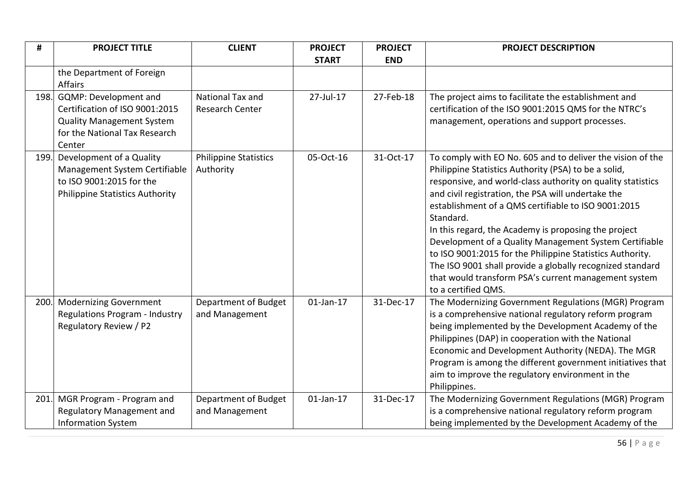| #    | <b>PROJECT TITLE</b>                                                                                                                        | <b>CLIENT</b>                             | <b>PROJECT</b> | <b>PROJECT</b> | <b>PROJECT DESCRIPTION</b>                                                                                                                                                                                                                                                                                                                                                                                                                                                                                                                                                                                                             |
|------|---------------------------------------------------------------------------------------------------------------------------------------------|-------------------------------------------|----------------|----------------|----------------------------------------------------------------------------------------------------------------------------------------------------------------------------------------------------------------------------------------------------------------------------------------------------------------------------------------------------------------------------------------------------------------------------------------------------------------------------------------------------------------------------------------------------------------------------------------------------------------------------------------|
|      |                                                                                                                                             |                                           | <b>START</b>   | <b>END</b>     |                                                                                                                                                                                                                                                                                                                                                                                                                                                                                                                                                                                                                                        |
|      | the Department of Foreign<br><b>Affairs</b>                                                                                                 |                                           |                |                |                                                                                                                                                                                                                                                                                                                                                                                                                                                                                                                                                                                                                                        |
|      | 198. GQMP: Development and<br>Certification of ISO 9001:2015<br><b>Quality Management System</b><br>for the National Tax Research<br>Center | National Tax and<br>Research Center       | 27-Jul-17      | 27-Feb-18      | The project aims to facilitate the establishment and<br>certification of the ISO 9001:2015 QMS for the NTRC's<br>management, operations and support processes.                                                                                                                                                                                                                                                                                                                                                                                                                                                                         |
| 199. | Development of a Quality<br>Management System Certifiable<br>to ISO 9001:2015 for the<br><b>Philippine Statistics Authority</b>             | <b>Philippine Statistics</b><br>Authority | 05-Oct-16      | 31-Oct-17      | To comply with EO No. 605 and to deliver the vision of the<br>Philippine Statistics Authority (PSA) to be a solid,<br>responsive, and world-class authority on quality statistics<br>and civil registration, the PSA will undertake the<br>establishment of a QMS certifiable to ISO 9001:2015<br>Standard.<br>In this regard, the Academy is proposing the project<br>Development of a Quality Management System Certifiable<br>to ISO 9001:2015 for the Philippine Statistics Authority.<br>The ISO 9001 shall provide a globally recognized standard<br>that would transform PSA's current management system<br>to a certified QMS. |
| 200. | <b>Modernizing Government</b><br>Regulations Program - Industry<br>Regulatory Review / P2                                                   | Department of Budget<br>and Management    | $01$ -Jan-17   | 31-Dec-17      | The Modernizing Government Regulations (MGR) Program<br>is a comprehensive national regulatory reform program<br>being implemented by the Development Academy of the<br>Philippines (DAP) in cooperation with the National<br>Economic and Development Authority (NEDA). The MGR<br>Program is among the different government initiatives that<br>aim to improve the regulatory environment in the<br>Philippines.                                                                                                                                                                                                                     |
| 201. | MGR Program - Program and<br>Regulatory Management and<br><b>Information System</b>                                                         | Department of Budget<br>and Management    | $01$ -Jan-17   | 31-Dec-17      | The Modernizing Government Regulations (MGR) Program<br>is a comprehensive national regulatory reform program<br>being implemented by the Development Academy of the                                                                                                                                                                                                                                                                                                                                                                                                                                                                   |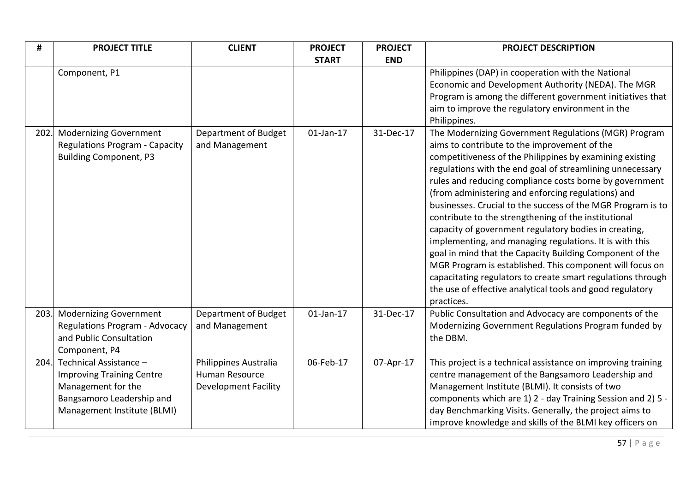| #    | <b>PROJECT TITLE</b>                                                                                                                         | <b>CLIENT</b>                                                          | <b>PROJECT</b> | <b>PROJECT</b> | <b>PROJECT DESCRIPTION</b>                                                                                                                                                                                                                                                                                                                                                                                                                                                                                                                                                                                                                                                                                                                                                                                                                                  |
|------|----------------------------------------------------------------------------------------------------------------------------------------------|------------------------------------------------------------------------|----------------|----------------|-------------------------------------------------------------------------------------------------------------------------------------------------------------------------------------------------------------------------------------------------------------------------------------------------------------------------------------------------------------------------------------------------------------------------------------------------------------------------------------------------------------------------------------------------------------------------------------------------------------------------------------------------------------------------------------------------------------------------------------------------------------------------------------------------------------------------------------------------------------|
|      |                                                                                                                                              |                                                                        | <b>START</b>   | <b>END</b>     |                                                                                                                                                                                                                                                                                                                                                                                                                                                                                                                                                                                                                                                                                                                                                                                                                                                             |
|      | Component, P1                                                                                                                                |                                                                        |                |                | Philippines (DAP) in cooperation with the National<br>Economic and Development Authority (NEDA). The MGR<br>Program is among the different government initiatives that<br>aim to improve the regulatory environment in the<br>Philippines.                                                                                                                                                                                                                                                                                                                                                                                                                                                                                                                                                                                                                  |
| 202. | <b>Modernizing Government</b><br><b>Regulations Program - Capacity</b><br><b>Building Component, P3</b>                                      | Department of Budget<br>and Management                                 | $01$ -Jan-17   | 31-Dec-17      | The Modernizing Government Regulations (MGR) Program<br>aims to contribute to the improvement of the<br>competitiveness of the Philippines by examining existing<br>regulations with the end goal of streamlining unnecessary<br>rules and reducing compliance costs borne by government<br>(from administering and enforcing regulations) and<br>businesses. Crucial to the success of the MGR Program is to<br>contribute to the strengthening of the institutional<br>capacity of government regulatory bodies in creating,<br>implementing, and managing regulations. It is with this<br>goal in mind that the Capacity Building Component of the<br>MGR Program is established. This component will focus on<br>capacitating regulators to create smart regulations through<br>the use of effective analytical tools and good regulatory<br>practices. |
| 203. | <b>Modernizing Government</b><br>Regulations Program - Advocacy<br>and Public Consultation<br>Component, P4                                  | Department of Budget<br>and Management                                 | $01$ -Jan-17   | 31-Dec-17      | Public Consultation and Advocacy are components of the<br>Modernizing Government Regulations Program funded by<br>the DBM.                                                                                                                                                                                                                                                                                                                                                                                                                                                                                                                                                                                                                                                                                                                                  |
| 204. | Technical Assistance -<br><b>Improving Training Centre</b><br>Management for the<br>Bangsamoro Leadership and<br>Management Institute (BLMI) | Philippines Australia<br>Human Resource<br><b>Development Facility</b> | 06-Feb-17      | 07-Apr-17      | This project is a technical assistance on improving training<br>centre management of the Bangsamoro Leadership and<br>Management Institute (BLMI). It consists of two<br>components which are 1) 2 - day Training Session and 2) 5 -<br>day Benchmarking Visits. Generally, the project aims to<br>improve knowledge and skills of the BLMI key officers on                                                                                                                                                                                                                                                                                                                                                                                                                                                                                                 |